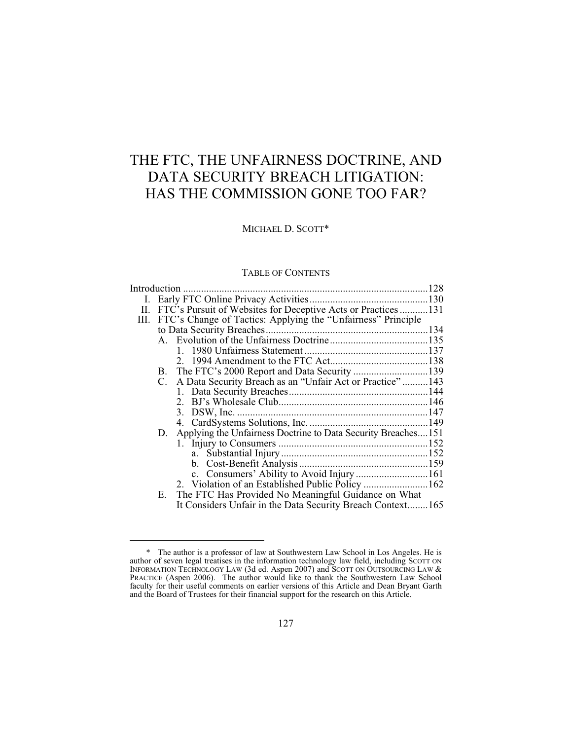# THE FTC, THE UNFAIRNESS DOCTRINE, AND DATA SECURITY BREACH LITIGATION: HAS THE COMMISSION GONE TOO FAR?

# MICHAEL D. SCOTT\*

# TABLE OF CONTENTS

| Е. |                                                            |                                                                                                                                                                                                                                                                                                                                                                                        |
|----|------------------------------------------------------------|----------------------------------------------------------------------------------------------------------------------------------------------------------------------------------------------------------------------------------------------------------------------------------------------------------------------------------------------------------------------------------------|
|    | It Considers Unfair in the Data Security Breach Context165 |                                                                                                                                                                                                                                                                                                                                                                                        |
|    |                                                            | II. FTC's Pursuit of Websites for Deceptive Acts or Practices131<br>III. FTC's Change of Tactics: Applying the "Unfairness" Principle<br>C. A Data Security Breach as an "Unfair Act or Practice"143<br>Applying the Unfairness Doctrine to Data Security Breaches151<br>D.<br>2. Violation of an Established Public Policy 162<br>The FTC Has Provided No Meaningful Guidance on What |

 $\overline{a}$ 

 <sup>\*</sup> The author is a professor of law at Southwestern Law School in Los Angeles. He is author of seven legal treatises in the information technology law field, including SCOTT ON INFORMATION TECHNOLOGY LAW (3d ed. Aspen 2007) and SCOTT ON OUTSOURCING LAW  $\&$ PRACTICE (Aspen 2006). The author would like to thank the Southwestern Law School faculty for their useful comments on earlier versions of this Article and Dean Bryant Garth and the Board of Trustees for their financial support for the research on this Article.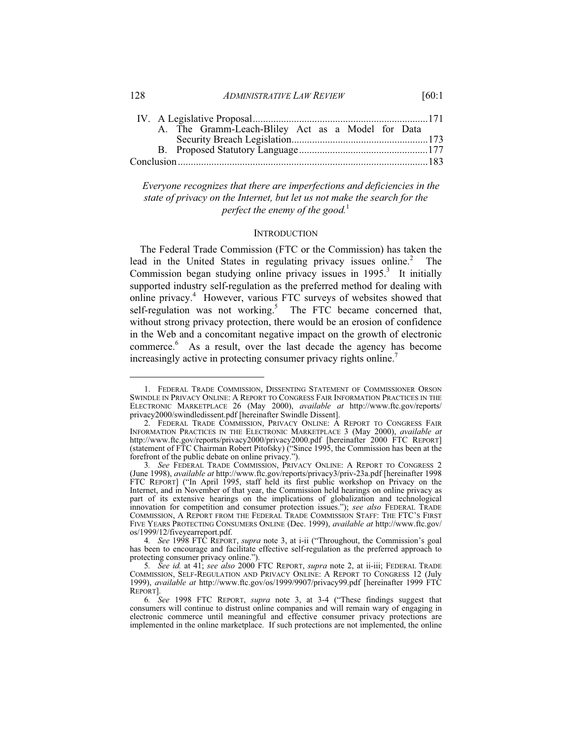128 *ADMINISTRATIVE LAW REVIEW* [60:1

| A. The Gramm-Leach-Bliley Act as a Model for Data |  |
|---------------------------------------------------|--|
|                                                   |  |
|                                                   |  |
|                                                   |  |

*Everyone recognizes that there are imperfections and deficiencies in the state of privacy on the Internet, but let us not make the search for the perfect the enemy of the good.*<sup>1</sup>

#### **INTRODUCTION**

The Federal Trade Commission (FTC or the Commission) has taken the lead in the United States in regulating privacy issues online.<sup>2</sup> The Commission began studying online privacy issues in  $1995<sup>3</sup>$  It initially supported industry self-regulation as the preferred method for dealing with online privacy.<sup>4</sup> However, various FTC surveys of websites showed that self-regulation was not working.<sup>5</sup> The FTC became concerned that, without strong privacy protection, there would be an erosion of confidence in the Web and a concomitant negative impact on the growth of electronic commerce.<sup>6</sup> As a result, over the last decade the agency has become increasingly active in protecting consumer privacy rights online.7

 <sup>1.</sup> FEDERAL TRADE COMMISSION, DISSENTING STATEMENT OF COMMISSIONER ORSON SWINDLE IN PRIVACY ONLINE: A REPORT TO CONGRESS FAIR INFORMATION PRACTICES IN THE ELECTRONIC MARKETPLACE 26 (May 2000), *available at* http://www.ftc.gov/reports/ privacy2000/swindledissent.pdf [hereinafter Swindle Dissent].

<sup>2.</sup> FEDERAL TRADE COMMISSION, PRIVACY ONLINE: A REPORT TO CONGRESS FAIR INFORMATION PRACTICES IN THE ELECTRONIC MARKETPLACE 3 (May 2000), *available at*  http://www.ftc.gov/reports/privacy2000/privacy2000.pdf [hereinafter 2000 FTC REPORT] (statement of FTC Chairman Robert Pitofsky) ("Since 1995, the Commission has been at the forefront of the public debate on online privacy.").

<sup>3.</sup> See FEDERAL TRADE COMMISSION, PRIVACY ONLINE: A REPORT TO CONGRESS 2 (June 1998), *available at* http://www.ftc.gov/reports/privacy3/priv-23a.pdf [hereinafter 1998 FTC REPORT] ("In April 1995, staff held its first public workshop on Privacy on the Internet, and in November of that year, the Commission held hearings on online privacy as part of its extensive hearings on the implications of globalization and technological innovation for competition and consumer protection issues."); *see also* FEDERAL TRADE COMMISSION, A REPORT FROM THE FEDERAL TRADE COMMISSION STAFF: THE FTC'S FIRST FIVE YEARS PROTECTING CONSUMERS ONLINE (Dec. 1999), *available at* http://www.ftc.gov/ os/1999/12/fiveyearreport.pdf.

<sup>4</sup>*. See* 1998 FTC REPORT, *supra* note 3, at i-ii ("Throughout, the Commission's goal has been to encourage and facilitate effective self-regulation as the preferred approach to protecting consumer privacy online.").

<sup>5</sup>*. See id.* at 41; *see also* 2000 FTC REPORT, *supra* note 2, at ii-iii; FEDERAL TRADE COMMISSION, SELF-REGULATION AND PRIVACY ONLINE: A REPORT TO CONGRESS 12 (July 1999), *available at* http://www.ftc.gov/os/1999/9907/privacy99.pdf [hereinafter 1999 FTC REPORT].

<sup>6</sup>*. See* 1998 FTC REPORT, *supra* note 3, at 3-4 ("These findings suggest that consumers will continue to distrust online companies and will remain wary of engaging in electronic commerce until meaningful and effective consumer privacy protections are implemented in the online marketplace. If such protections are not implemented, the online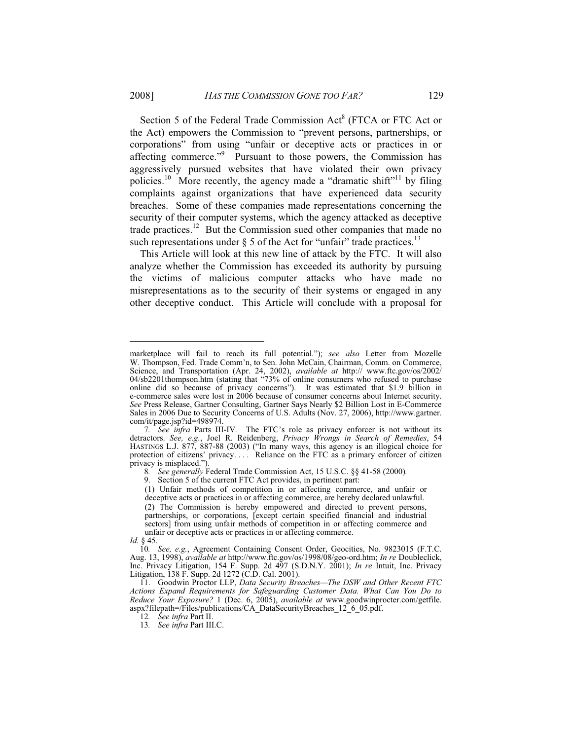Section 5 of the Federal Trade Commission Act<sup>8</sup> (FTCA or FTC Act or the Act) empowers the Commission to "prevent persons, partnerships, or corporations" from using "unfair or deceptive acts or practices in or affecting commerce."<sup>9</sup> Pursuant to those powers, the Commission has aggressively pursued websites that have violated their own privacy policies.<sup>10</sup> More recently, the agency made a "dramatic shift"<sup>11</sup> by filing complaints against organizations that have experienced data security breaches. Some of these companies made representations concerning the security of their computer systems, which the agency attacked as deceptive trade practices.12 But the Commission sued other companies that made no such representations under  $\S$  5 of the Act for "unfair" trade practices.<sup>13</sup>

This Article will look at this new line of attack by the FTC. It will also analyze whether the Commission has exceeded its authority by pursuing the victims of malicious computer attacks who have made no misrepresentations as to the security of their systems or engaged in any other deceptive conduct. This Article will conclude with a proposal for

 $\overline{a}$ 

marketplace will fail to reach its full potential."); *see also* Letter from Mozelle W. Thompson, Fed. Trade Comm'n, to Sen. John McCain, Chairman, Comm. on Commerce, Science, and Transportation (Apr. 24, 2002), *available at* http:// www.ftc.gov/os/2002/ 04/sb2201thompson.htm (stating that "73% of online consumers who refused to purchase online did so because of privacy concerns"). It was estimated that \$1.9 billion in e-commerce sales were lost in 2006 because of consumer concerns about Internet security. *See* Press Release, Gartner Consulting, Gartner Says Nearly \$2 Billion Lost in E-Commerce Sales in 2006 Due to Security Concerns of U.S. Adults (Nov. 27, 2006), http://www.gartner. com/it/page.jsp?id=498974.

<sup>7</sup>*. See infra* Parts III-IV*.* The FTC's role as privacy enforcer is not without its detractors. *See, e.g.*, Joel R. Reidenberg, *Privacy Wrongs in Search of Remedies*, 54 HASTINGS L.J. 877, 887-88 (2003) ("In many ways, this agency is an illogical choice for protection of citizens' privacy.... Reliance on the FTC as a primary enforcer of citizen privacy is misplaced.").

<sup>8</sup>*. See generally* Federal Trade Commission Act, 15 U.S.C. §§ 41-58 (2000)*.*

 <sup>9.</sup> Section 5 of the current FTC Act provides, in pertinent part:

<sup>(1)</sup> Unfair methods of competition in or affecting commerce, and unfair or deceptive acts or practices in or affecting commerce, are hereby declared unlawful. (2) The Commission is hereby empowered and directed to prevent persons, partnerships, or corporations, [except certain specified financial and industrial sectors] from using unfair methods of competition in or affecting commerce and unfair or deceptive acts or practices in or affecting commerce.

*Id.* § 45.

<sup>10</sup>*. See, e.g.*, Agreement Containing Consent Order, Geocities, No. 9823015 (F.T.C. Aug. 13, 1998), *available at* http://www.ftc.gov/os/1998/08/geo-ord.htm; *In re* Doubleclick, Inc. Privacy Litigation, 154 F. Supp. 2d 497 (S.D.N.Y. 2001); *In re* Intuit, Inc. Privacy Litigation, 138 F. Supp. 2d 1272 (C.D. Cal. 2001).

 <sup>11.</sup> Goodwin Proctor LLP, *Data Security Breaches—The DSW and Other Recent FTC Actions Expand Requirements for Safeguarding Customer Data. What Can You Do to Reduce Your Exposure?* 1 (Dec. 6, 2005), *available at* www.goodwinprocter.com/getfile. aspx?filepath=/Files/publications/CA\_DataSecurityBreaches\_12\_6\_05.pdf.

<sup>12</sup>*. See infra* Part II.

<sup>13</sup>*. See infra* Part III.C.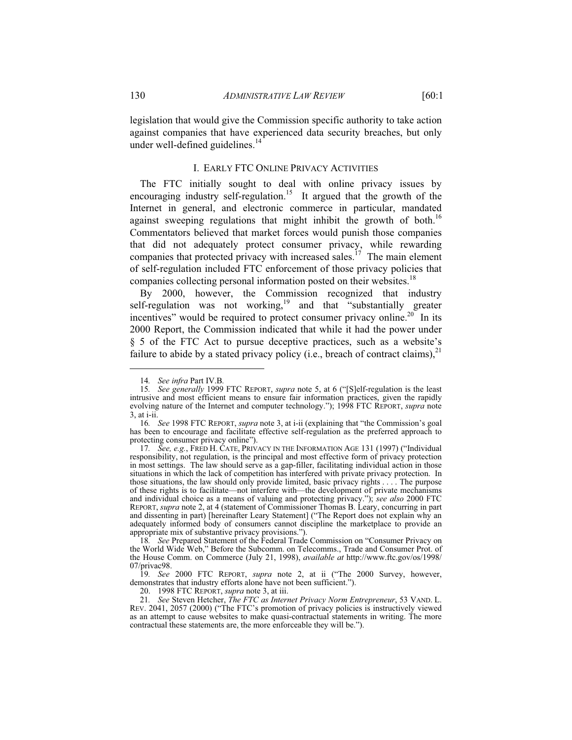#### I. EARLY FTC ONLINE PRIVACY ACTIVITIES

The FTC initially sought to deal with online privacy issues by encouraging industry self-regulation.<sup>15</sup> It argued that the growth of the Internet in general, and electronic commerce in particular, mandated against sweeping regulations that might inhibit the growth of both.<sup>16</sup> Commentators believed that market forces would punish those companies that did not adequately protect consumer privacy, while rewarding companies that protected privacy with increased sales.<sup>17</sup> The main element of self-regulation included FTC enforcement of those privacy policies that companies collecting personal information posted on their websites.<sup>18</sup>

By 2000, however, the Commission recognized that industry self-regulation was not working,<sup>19</sup> and that "substantially greater incentives" would be required to protect consumer privacy online.<sup>20</sup> In its 2000 Report, the Commission indicated that while it had the power under § 5 of the FTC Act to pursue deceptive practices, such as a website's failure to abide by a stated privacy policy (i.e., breach of contract claims),  $2^1$ 

<sup>14</sup>*. See infra* Part IV.B*.*

<sup>15</sup>*. See generally* 1999 FTC REPORT, *supra* note 5, at 6 ("[S]elf-regulation is the least intrusive and most efficient means to ensure fair information practices, given the rapidly evolving nature of the Internet and computer technology."); 1998 FTC REPORT, *supra* note 3, at i-ii.

<sup>16</sup>*. See* 1998 FTC REPORT, *supra* note 3, at i-ii (explaining that "the Commission's goal has been to encourage and facilitate effective self-regulation as the preferred approach to protecting consumer privacy online").

<sup>17</sup>*. See, e.g.*, FRED H. CATE, PRIVACY IN THE INFORMATION AGE 131 (1997) ("Individual responsibility, not regulation, is the principal and most effective form of privacy protection in most settings. The law should serve as a gap-filler, facilitating individual action in those situations in which the lack of competition has interfered with private privacy protection. In those situations, the law should only provide limited, basic privacy rights . . . . The purpose of these rights is to facilitate—not interfere with—the development of private mechanisms and individual choice as a means of valuing and protecting privacy."); *see also* 2000 FTC REPORT, *supra* note 2, at 4 (statement of Commissioner Thomas B. Leary, concurring in part and dissenting in part) [hereinafter Leary Statement] ("The Report does not explain why an adequately informed body of consumers cannot discipline the marketplace to provide an appropriate mix of substantive privacy provisions.").

<sup>18</sup>*. See* Prepared Statement of the Federal Trade Commission on "Consumer Privacy on the World Wide Web," Before the Subcomm. on Telecomms., Trade and Consumer Prot. of the House Comm. on Commerce (July 21, 1998), *available at* http://www.ftc.gov/os/1998/ 07/privac98.

<sup>19</sup>*. See* 2000 FTC REPORT, *supra* note 2, at ii ("The 2000 Survey, however, demonstrates that industry efforts alone have not been sufficient.").

 <sup>20. 1998</sup> FTC REPORT, *supra* note 3, at iii.

<sup>21</sup>*. See* Steven Hetcher, *The FTC as Internet Privacy Norm Entrepreneur*, 53 VAND. L. REV. 2041, 2057 (2000) ("The FTC's promotion of privacy policies is instructively viewed as an attempt to cause websites to make quasi-contractual statements in writing. The more contractual these statements are, the more enforceable they will be.").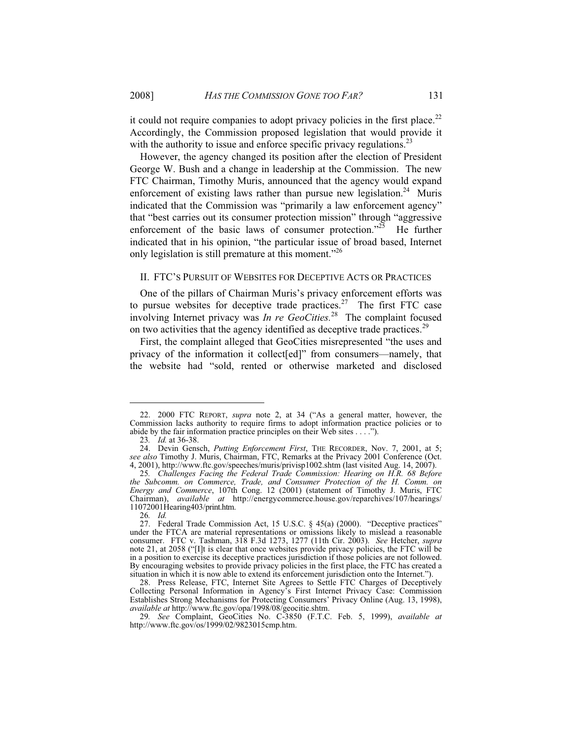it could not require companies to adopt privacy policies in the first place.<sup>22</sup> Accordingly, the Commission proposed legislation that would provide it with the authority to issue and enforce specific privacy regulations.<sup>23</sup>

However, the agency changed its position after the election of President George W. Bush and a change in leadership at the Commission. The new FTC Chairman, Timothy Muris, announced that the agency would expand enforcement of existing laws rather than pursue new legislation.<sup>24</sup> Muris indicated that the Commission was "primarily a law enforcement agency" that "best carries out its consumer protection mission" through "aggressive enforcement of the basic laws of consumer protection."<sup>25</sup> He further indicated that in his opinion, "the particular issue of broad based, Internet only legislation is still premature at this moment."<sup>26</sup>

# II. FTC'S PURSUIT OF WEBSITES FOR DECEPTIVE ACTS OR PRACTICES

One of the pillars of Chairman Muris's privacy enforcement efforts was to pursue websites for deceptive trade practices.<sup>27</sup> The first FTC case involving Internet privacy was *In re GeoCities.*28 The complaint focused on two activities that the agency identified as deceptive trade practices.<sup>29</sup>

First, the complaint alleged that GeoCities misrepresented "the uses and privacy of the information it collect[ed]" from consumers—namely, that the website had "sold, rented or otherwise marketed and disclosed

 <sup>22. 2000</sup> FTC REPORT, *supra* note 2, at 34 ("As a general matter, however, the Commission lacks authority to require firms to adopt information practice policies or to abide by the fair information practice principles on their Web sites . . . .").

<sup>23</sup>*. Id.* at 36-38.

 <sup>24.</sup> Devin Gensch, *Putting Enforcement First*, THE RECORDER, Nov. 7, 2001, at 5; *see also* Timothy J. Muris, Chairman, FTC, Remarks at the Privacy 2001 Conference (Oct. 4, 2001), http://www.ftc.gov/speeches/muris/privisp1002.shtm (last visited Aug. 14, 2007).

<sup>25</sup>*. Challenges Facing the Federal Trade Commission: Hearing on H.R. 68 Before the Subcomm. on Commerce, Trade, and Consumer Protection of the H. Comm. on Energy and Commerce*, 107th Cong. 12 (2001) (statement of Timothy J. Muris, FTC Chairman), *available at* http://energycommerce.house.gov/reparchives/107/hearings/ 11072001Hearing403/print.htm.

<sup>26</sup>*. Id.*

 <sup>27.</sup> Federal Trade Commission Act, 15 U.S.C. § 45(a) (2000). "Deceptive practices" under the FTCA are material representations or omissions likely to mislead a reasonable consumer. FTC v. Tashman, 318 F.3d 1273, 1277 (11th Cir. 2003). *See* Hetcher, *supra* note 21, at 2058 ("[I]t is clear that once websites provide privacy policies, the FTC will be in a position to exercise its deceptive practices jurisdiction if those policies are not followed. By encouraging websites to provide privacy policies in the first place, the FTC has created a situation in which it is now able to extend its enforcement jurisdiction onto the Internet.").

 <sup>28.</sup> Press Release, FTC, Internet Site Agrees to Settle FTC Charges of Deceptively Collecting Personal Information in Agency's First Internet Privacy Case: Commission Establishes Strong Mechanisms for Protecting Consumers' Privacy Online (Aug. 13, 1998), *available at* http://www.ftc.gov/opa/1998/08/geocitie.shtm.

<sup>29</sup>*. See* Complaint, GeoCities No. C-3850 (F.T.C. Feb. 5, 1999), *available at* http://www.ftc.gov/os/1999/02/9823015cmp.htm.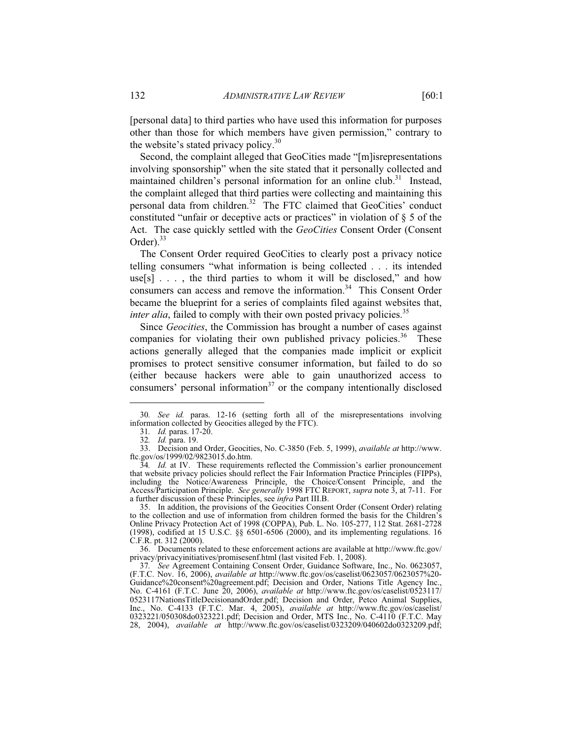[personal data] to third parties who have used this information for purposes other than those for which members have given permission," contrary to the website's stated privacy policy.<sup>30</sup>

Second, the complaint alleged that GeoCities made "[m]isrepresentations involving sponsorship" when the site stated that it personally collected and maintained children's personal information for an online club.<sup>31</sup> Instead, the complaint alleged that third parties were collecting and maintaining this personal data from children.<sup>32</sup> The FTC claimed that GeoCities' conduct constituted "unfair or deceptive acts or practices" in violation of  $\S$  5 of the Act. The case quickly settled with the *GeoCities* Consent Order (Consent Order). $33$ 

The Consent Order required GeoCities to clearly post a privacy notice telling consumers "what information is being collected . . . its intended use[s]  $\ldots$ , the third parties to whom it will be disclosed," and how consumers can access and remove the information.<sup>34</sup> This Consent Order became the blueprint for a series of complaints filed against websites that, *inter alia*, failed to comply with their own posted privacy policies.<sup>35</sup>

Since *Geocities*, the Commission has brought a number of cases against companies for violating their own published privacy policies.<sup>36</sup> These actions generally alleged that the companies made implicit or explicit promises to protect sensitive consumer information, but failed to do so (either because hackers were able to gain unauthorized access to consumers' personal information $37$  or the company intentionally disclosed

<sup>30</sup>*. See id.* paras. 12-16 (setting forth all of the misrepresentations involving information collected by Geocities alleged by the FTC).

<sup>31</sup>*. Id.* paras. 17-20.

<sup>32</sup>*. Id.* para. 19.

 <sup>33.</sup> Decision and Order, Geocities, No. C-3850 (Feb. 5, 1999), *available at* http://www. ftc.gov/os/1999/02/9823015.do.htm.

<sup>34</sup>*. Id.* at IV. These requirements reflected the Commission's earlier pronouncement that website privacy policies should reflect the Fair Information Practice Principles (FIPPs), including the Notice/Awareness Principle, the Choice/Consent Principle, and the Access/Participation Principle. *See generally* 1998 FTC REPORT, *supra* note 3, at 7-11. For a further discussion of these Principles, see *infra* Part III.B.

 <sup>35.</sup> In addition, the provisions of the Geocities Consent Order (Consent Order) relating to the collection and use of information from children formed the basis for the Children's Online Privacy Protection Act of 1998 (COPPA), Pub. L. No. 105-277, 112 Stat. 2681-2728 (1998), codified at 15 U.S.C. §§ 6501-6506 (2000), and its implementing regulations. 16 C.F.R. pt. 312 (2000).

 <sup>36.</sup> Documents related to these enforcement actions are available at http://www.ftc.gov/ privacy/privacyinitiatives/promisesenf.html (last visited Feb. 1, 2008).

<sup>37</sup>*. See* Agreement Containing Consent Order, Guidance Software, Inc., No. 0623057, (F.T.C. Nov. 16, 2006), *available at* http://www.ftc.gov/os/caselist/0623057/0623057%20- Guidance%20consent%20agreement.pdf; Decision and Order, Nations Title Agency Inc., No. C-4161 (F.T.C. June 20, 2006), *available at* http://www.ftc.gov/os/caselist/0523117/ 0523117NationsTitleDecisionandOrder.pdf; Decision and Order, Petco Animal Supplies, Inc., No. C-4133 (F.T.C. Mar. 4, 2005), *available at* http://www.ftc.gov/os/caselist/ 0323221/050308do0323221.pdf; Decision and Order, MTS Inc., No. C-4110 (F.T.C. May 28, 2004), *available at* http://www.ftc.gov/os/caselist/0323209/040602do0323209.pdf;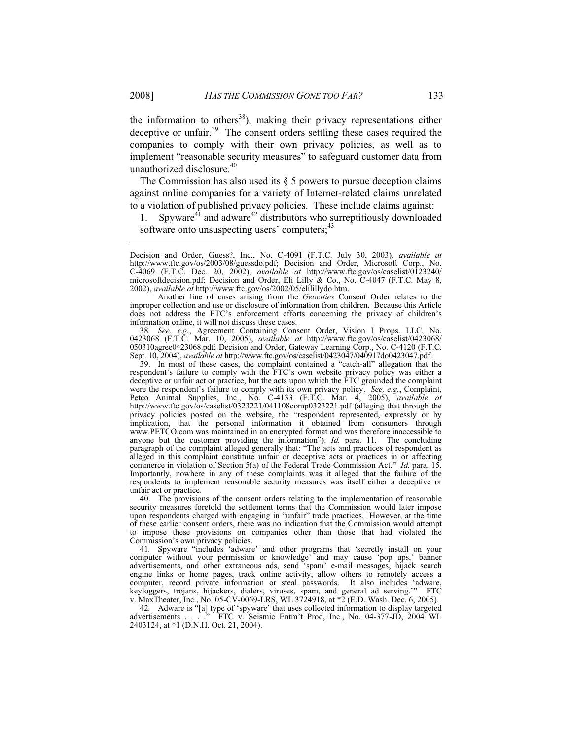the information to others<sup>38</sup>), making their privacy representations either deceptive or unfair.<sup>39</sup> The consent orders settling these cases required the companies to comply with their own privacy policies, as well as to implement "reasonable security measures" to safeguard customer data from unauthorized disclosure.<sup>40</sup>

The Commission has also used its  $\S$  5 powers to pursue deception claims against online companies for a variety of Internet-related claims unrelated to a violation of published privacy policies. These include claims against:

1. Spyware<sup>41</sup> and adware<sup>42</sup> distributors who surreptitiously downloaded software onto unsuspecting users' computers;<sup>43</sup>

 Another line of cases arising from the *Geocities* Consent Order relates to the improper collection and use or disclosure of information from children. Because this Article does not address the FTC's enforcement efforts concerning the privacy of children's information online, it will not discuss these cases.

38*. See, e.g.*, Agreement Containing Consent Order, Vision I Props. LLC, No. 0423068 (F.T.C. Mar. 10, 2005), *available at* http://www.ftc.gov/os/caselist/0423068/ 050310agree0423068.pdf; Decision and Order, Gateway Learning Corp., No. C-4120 (F.T.C. Sept. 10, 2004), *available at* http://www.ftc.gov/os/caselist/0423047/040917do0423047.pdf.

 39. In most of these cases, the complaint contained a "catch-all" allegation that the respondent's failure to comply with the FTC's own website privacy policy was either a deceptive or unfair act or practice, but the acts upon which the FTC grounded the complaint were the respondent's failure to comply with its own privacy policy. *See, e.g.*, Complaint, Petco Animal Supplies, Inc., No. C-4133 (F.T.C. Mar. 4, 2005), *available at*  http://www.ftc.gov/os/caselist/0323221/041108comp0323221.pdf (alleging that through the privacy policies posted on the website, the "respondent represented, expressly or by implication, that the personal information it obtained from consumers through www.PETCO.com was maintained in an encrypted format and was therefore inaccessible to anyone but the customer providing the information"). *Id.* para. 11. The concluding paragraph of the complaint alleged generally that: "The acts and practices of respondent as alleged in this complaint constitute unfair or deceptive acts or practices in or affecting commerce in violation of Section 5(a) of the Federal Trade Commission Act." *Id.* para. 15. Importantly, nowhere in any of these complaints was it alleged that the failure of the respondents to implement reasonable security measures was itself either a deceptive or unfair act or practice.

 40. The provisions of the consent orders relating to the implementation of reasonable security measures foretold the settlement terms that the Commission would later impose upon respondents charged with engaging in "unfair" trade practices. However, at the time of these earlier consent orders, there was no indication that the Commission would attempt to impose these provisions on companies other than those that had violated the Commission's own privacy policies.

41*.* Spyware "includes 'adware' and other programs that 'secretly install on your computer without your permission or knowledge' and may cause 'pop ups,' banner advertisements, and other extraneous ads, send 'spam' e-mail messages, hijack search engine links or home pages, track online activity, allow others to remotely access a computer, record private information or steal passwords. It also includes 'adware, keyloggers, trojans, hijackers, dialers, viruses, spam, and general ad serving.'" FTC v. MaxTheater, Inc., No. 05-CV-0069-LRS, WL 3724918, at \*2 (E.D. Wash. Dec. 6, 2005).

42. Adware is "[a] type of 'spyware' that uses collected information to display targeted advertisements . . . . . . TTC v. Seismic Entm't Prod, Inc., No. 04-377-JD, 2004 WL FTC v. Seismic Entm't Prod, Inc., No. 04-377-JD, 2004 WL 2403124, at \*1 (D.N.H. Oct. 21, 2004).

Decision and Order, Guess?, Inc., No. C-4091 (F.T.C. July 30, 2003), *available at*  http://www.ftc.gov/os/2003/08/guessdo.pdf; Decision and Order, Microsoft Corp., No. C-4069 (F.T.C. Dec. 20, 2002), *available at* http://www.ftc.gov/os/caselist/0123240/ microsoftdecision.pdf; Decision and Order, Eli Lilly & Co., No. C-4047 (F.T.C. May 8, 2002), *available at* http://www.ftc.gov/os/2002/05/elilillydo.htm.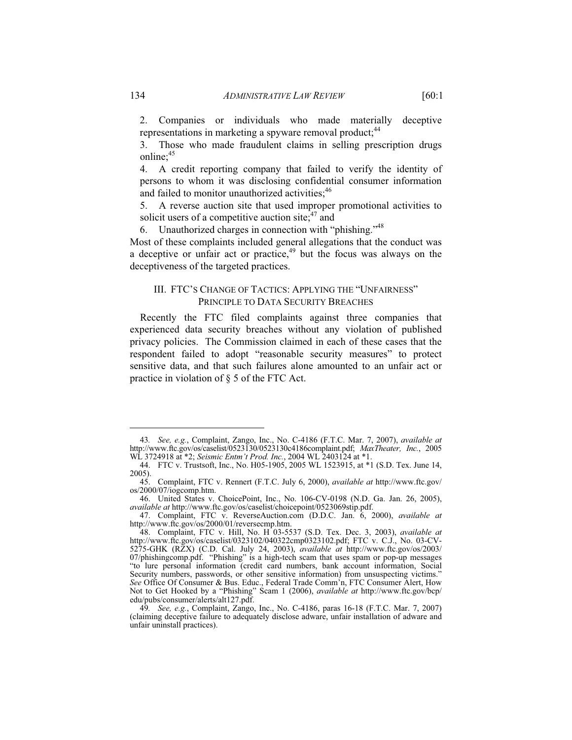2. Companies or individuals who made materially deceptive representations in marketing a spyware removal product;<sup>44</sup>

3. Those who made fraudulent claims in selling prescription drugs online;<sup>45</sup>

4. A credit reporting company that failed to verify the identity of persons to whom it was disclosing confidential consumer information and failed to monitor unauthorized activities; $46$ 

5. A reverse auction site that used improper promotional activities to solicit users of a competitive auction site; $47$  and

6. Unauthorized charges in connection with "phishing."48

Most of these complaints included general allegations that the conduct was a deceptive or unfair act or practice, $49$  but the focus was always on the deceptiveness of the targeted practices.

# III. FTC'S CHANGE OF TACTICS: APPLYING THE "UNFAIRNESS" PRINCIPLE TO DATA SECURITY BREACHES

Recently the FTC filed complaints against three companies that experienced data security breaches without any violation of published privacy policies. The Commission claimed in each of these cases that the respondent failed to adopt "reasonable security measures" to protect sensitive data, and that such failures alone amounted to an unfair act or practice in violation of § 5 of the FTC Act.

<sup>43</sup>*. See, e.g.*, Complaint, Zango, Inc., No. C-4186 (F.T.C. Mar. 7, 2007), *available at*  http://www.ftc.gov/os/caselist/0523130/0523130c4186complaint.pdf; *MaxTheater, Inc.*, 2005 WL 3724918 at \*2; *Seismic Entm't Prod. Inc.*, 2004 WL 2403124 at \*1.

 <sup>44.</sup> FTC v. Trustsoft, Inc., No. H05-1905, 2005 WL 1523915, at \*1 (S.D. Tex. June 14, 2005).

 <sup>45.</sup> Complaint, FTC v. Rennert (F.T.C. July 6, 2000), *available at* http://www.ftc.gov/ os/2000/07/iogcomp.htm.

 <sup>46.</sup> United States v. ChoicePoint, Inc., No. 106-CV-0198 (N.D. Ga. Jan. 26, 2005), *available at* http://www.ftc.gov/os/caselist/choicepoint/0523069stip.pdf.

 <sup>47.</sup> Complaint, FTC v. ReverseAuction.com (D.D.C. Jan. 6, 2000), *available at* http://www.ftc.gov/os/2000/01/reversecmp.htm.

 <sup>48.</sup> Complaint, FTC v. Hill, No. H 03-5537 (S.D. Tex. Dec. 3, 2003), *available at*  http://www.ftc.gov/os/caselist/0323102/040322cmp0323102.pdf; FTC v. C.J., No. 03-CV-5275-GHK (RZX) (C.D. Cal. July 24, 2003), *available at* http://www.ftc.gov/os/2003/ 07/phishingcomp.pdf. "Phishing" is a high-tech scam that uses spam or pop-up messages "to lure personal information (credit card numbers, bank account information, Social Security numbers, passwords, or other sensitive information) from unsuspecting victims." *See* Office Of Consumer & Bus. Educ., Federal Trade Comm'n, FTC Consumer Alert, How Not to Get Hooked by a "Phishing" Scam 1 (2006), *available at* http://www.ftc.gov/bcp/ edu/pubs/consumer/alerts/alt127.pdf.

<sup>49</sup>*. See, e.g.*, Complaint, Zango, Inc., No. C-4186, paras 16-18 (F.T.C. Mar. 7, 2007) (claiming deceptive failure to adequately disclose adware, unfair installation of adware and unfair uninstall practices).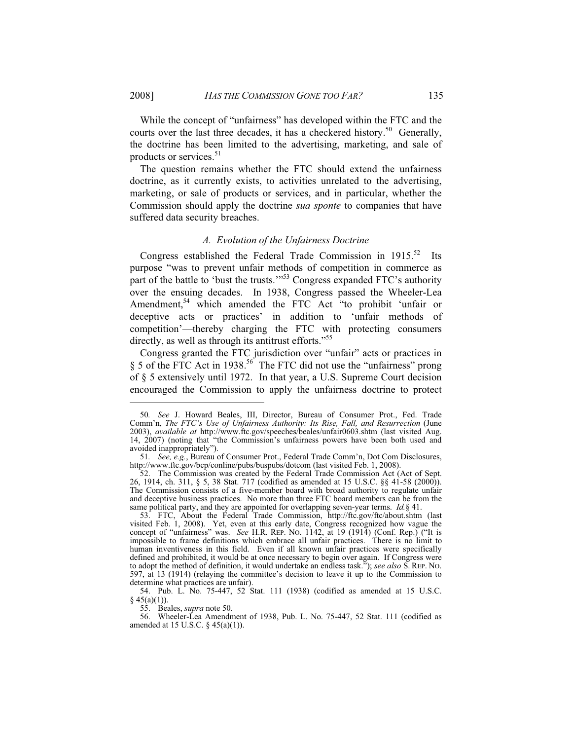While the concept of "unfairness" has developed within the FTC and the courts over the last three decades, it has a checkered history.<sup>50</sup> Generally, the doctrine has been limited to the advertising, marketing, and sale of products or services.<sup>51</sup>

The question remains whether the FTC should extend the unfairness doctrine, as it currently exists, to activities unrelated to the advertising, marketing, or sale of products or services, and in particular, whether the Commission should apply the doctrine *sua sponte* to companies that have suffered data security breaches.

#### *A. Evolution of the Unfairness Doctrine*

Congress established the Federal Trade Commission in  $1915$ .<sup>52</sup> Its purpose "was to prevent unfair methods of competition in commerce as part of the battle to 'bust the trusts.'"<sup>53</sup> Congress expanded FTC's authority over the ensuing decades. In 1938, Congress passed the Wheeler-Lea Amendment,<sup>54</sup> which amended the FTC Act "to prohibit 'unfair or deceptive acts or practices' in addition to 'unfair methods of competition'—thereby charging the FTC with protecting consumers directly, as well as through its antitrust efforts."<sup>55</sup>

Congress granted the FTC jurisdiction over "unfair" acts or practices in § 5 of the FTC Act in 1938.<sup>56</sup> The FTC did not use the "unfairness" prong of § 5 extensively until 1972. In that year, a U.S. Supreme Court decision encouraged the Commission to apply the unfairness doctrine to protect

<sup>50</sup>*. See* J. Howard Beales, III, Director, Bureau of Consumer Prot., Fed. Trade Comm'n, *The FTC's Use of Unfairness Authority: Its Rise, Fall, and Resurrection* (June 2003), *available at* http://www.ftc.gov/speeches/beales/unfair0603.shtm (last visited Aug. 14, 2007) (noting that "the Commission's unfairness powers have been both used and avoided inappropriately").

<sup>51</sup>*. See, e.g.*, Bureau of Consumer Prot., Federal Trade Comm'n, Dot Com Disclosures, http://www.ftc.gov/bcp/conline/pubs/buspubs/dotcom (last visited Feb. 1, 2008).

 <sup>52.</sup> The Commission was created by the Federal Trade Commission Act (Act of Sept. 26, 1914, ch. 311, § 5, 38 Stat. 717 (codified as amended at 15 U.S.C. §§ 41-58 (2000)). The Commission consists of a five-member board with broad authority to regulate unfair and deceptive business practices. No more than three FTC board members can be from the same political party, and they are appointed for overlapping seven-year terms. *Id.*§ 41.

 <sup>53.</sup> FTC, About the Federal Trade Commission, http://ftc.gov/ftc/about.shtm (last visited Feb. 1, 2008). Yet, even at this early date, Congress recognized how vague the concept of "unfairness" was. *See* H.R. REP. NO. 1142, at 19 (1914) (Conf. Rep.) ("It is impossible to frame definitions which embrace all unfair practices. There is no limit to human inventiveness in this field. Even if all known unfair practices were specifically defined and prohibited, it would be at once necessary to begin over again. If Congress were to adopt the method of definition, it would undertake an endless task."); *see also* S. REP. NO. 597, at 13 (1914) (relaying the committee's decision to leave it up to the Commission to determine what practices are unfair).

 <sup>54.</sup> Pub. L. No. 75-447, 52 Stat. 111 (1938) (codified as amended at 15 U.S.C.  $§$  45(a)(1)).

 <sup>55.</sup> Beales, *supra* note 50.

 <sup>56.</sup> Wheeler-Lea Amendment of 1938, Pub. L. No. 75-447, 52 Stat. 111 (codified as amended at 15 U.S.C. § 45(a)(1)).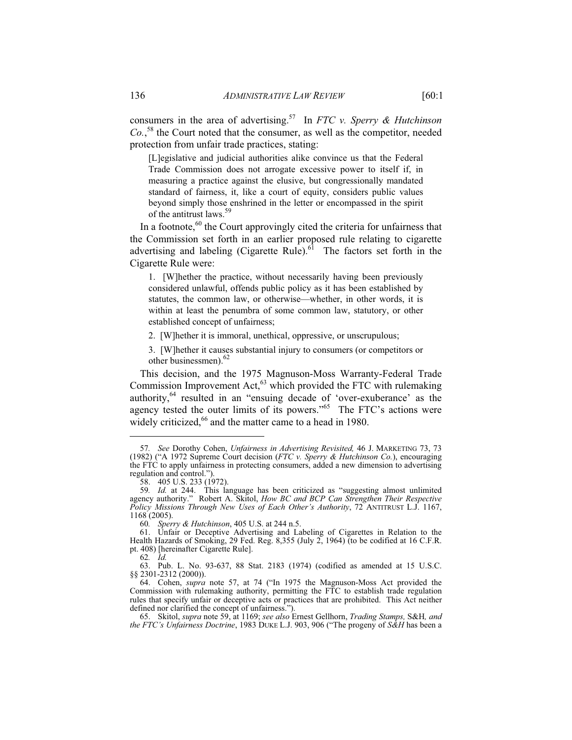consumers in the area of advertising.57 In *FTC v. Sperry & Hutchinson Co.*, 58 the Court noted that the consumer, as well as the competitor, needed protection from unfair trade practices, stating:

[L]egislative and judicial authorities alike convince us that the Federal Trade Commission does not arrogate excessive power to itself if, in measuring a practice against the elusive, but congressionally mandated standard of fairness, it, like a court of equity, considers public values beyond simply those enshrined in the letter or encompassed in the spirit of the antitrust laws.<sup>5</sup>

In a footnote, $60$  the Court approvingly cited the criteria for unfairness that the Commission set forth in an earlier proposed rule relating to cigarette advertising and labeling (Cigarette Rule). $^{61}$  The factors set forth in the Cigarette Rule were:

1. [W]hether the practice, without necessarily having been previously considered unlawful, offends public policy as it has been established by statutes, the common law, or otherwise—whether, in other words, it is within at least the penumbra of some common law, statutory, or other established concept of unfairness;

2. [W]hether it is immoral, unethical, oppressive, or unscrupulous;

3. [W]hether it causes substantial injury to consumers (or competitors or other businessmen).62

This decision, and the 1975 Magnuson-Moss Warranty-Federal Trade Commission Improvement Act, $^{63}$  which provided the FTC with rulemaking authority,<sup>64</sup> resulted in an "ensuing decade of 'over-exuberance' as the agency tested the outer limits of its powers."<sup>65</sup> The FTC's actions were widely criticized,<sup>66</sup> and the matter came to a head in 1980.

62*. Id.*

-

 63. Pub. L. No. 93-637, 88 Stat. 2183 (1974) (codified as amended at 15 U.S.C. §§ 2301-2312 (2000)).

<sup>57</sup>*. See* Dorothy Cohen, *Unfairness in Advertising Revisited,* 46 J. MARKETING 73, 73 (1982) ("A 1972 Supreme Court decision (*FTC v. Sperry & Hutchinson Co.*), encouraging the FTC to apply unfairness in protecting consumers, added a new dimension to advertising regulation and control.").

 <sup>58. 405</sup> U.S. 233 (1972).

<sup>59</sup>*. Id.* at 244. This language has been criticized as "suggesting almost unlimited agency authority." Robert A. Skitol, *How BC and BCP Can Strengthen Their Respective Policy Missions Through New Uses of Each Other's Authority*, 72 ANTITRUST L.J. 1167, 1168 (2005).

<sup>60</sup>*. Sperry & Hutchinson*, 405 U.S. at 244 n.5.

Unfair or Deceptive Advertising and Labeling of Cigarettes in Relation to the Health Hazards of Smoking, 29 Fed. Reg. 8,355 (July 2, 1964) (to be codified at 16 C.F.R. pt. 408) [hereinafter Cigarette Rule].

 <sup>64.</sup> Cohen, *supra* note 57, at 74 ("In 1975 the Magnuson-Moss Act provided the Commission with rulemaking authority, permitting the FTC to establish trade regulation rules that specify unfair or deceptive acts or practices that are prohibited. This Act neither defined nor clarified the concept of unfairness.").

 <sup>65.</sup> Skitol, *supra* note 59, at 1169; *see also* Ernest Gellhorn, *Trading Stamps,* S&H*, and the FTC's Unfairness Doctrine*, 1983 DUKE L.J. 903, 906 ("The progeny of *S&H* has been a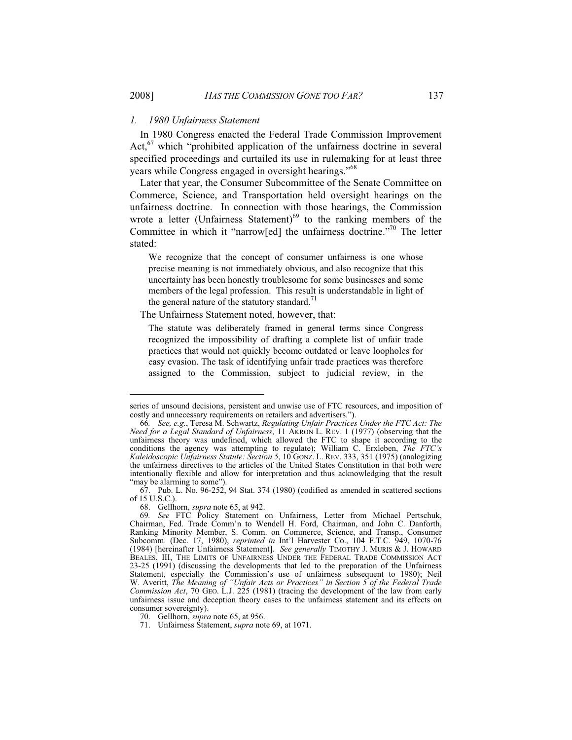#### *1. 1980 Unfairness Statement*

In 1980 Congress enacted the Federal Trade Commission Improvement Act, $67$  which "prohibited application of the unfairness doctrine in several specified proceedings and curtailed its use in rulemaking for at least three years while Congress engaged in oversight hearings."<sup>68</sup>

Later that year, the Consumer Subcommittee of the Senate Committee on Commerce, Science, and Transportation held oversight hearings on the unfairness doctrine. In connection with those hearings, the Commission wrote a letter (Unfairness Statement) $69$  to the ranking members of the Committee in which it "narrow[ed] the unfairness doctrine."70 The letter stated:

We recognize that the concept of consumer unfairness is one whose precise meaning is not immediately obvious, and also recognize that this uncertainty has been honestly troublesome for some businesses and some members of the legal profession. This result is understandable in light of the general nature of the statutory standard.<sup> $1$ </sup>

#### The Unfairness Statement noted, however, that:

The statute was deliberately framed in general terms since Congress recognized the impossibility of drafting a complete list of unfair trade practices that would not quickly become outdated or leave loopholes for easy evasion. The task of identifying unfair trade practices was therefore assigned to the Commission, subject to judicial review, in the

68. Gellhorn, *supra* note 65, at 942.

series of unsound decisions, persistent and unwise use of FTC resources, and imposition of costly and unnecessary requirements on retailers and advertisers.").

<sup>66</sup>*. See, e.g.*, Teresa M. Schwartz, *Regulating Unfair Practices Under the FTC Act: The Need for a Legal Standard of Unfairness*, 11 AKRON L. REV. 1 (1977) (observing that the unfairness theory was undefined, which allowed the FTC to shape it according to the conditions the agency was attempting to regulate); William C. Erxleben, *The FTC's Kaleidoscopic Unfairness Statute: Section 5*, 10 GONZ. L. REV. 333, 351 (1975) (analogizing the unfairness directives to the articles of the United States Constitution in that both were intentionally flexible and allow for interpretation and thus acknowledging that the result "may be alarming to some").

 <sup>67.</sup> Pub. L. No. 96-252, 94 Stat. 374 (1980) (codified as amended in scattered sections of 15 U.S.C.).

<sup>69</sup>*. See* FTC Policy Statement on Unfairness, Letter from Michael Pertschuk, Chairman, Fed. Trade Comm'n to Wendell H. Ford, Chairman, and John C. Danforth, Ranking Minority Member, S. Comm. on Commerce, Science, and Transp., Consumer Subcomm. (Dec. 17, 1980), *reprinted in* Int'l Harvester Co., 104 F.T.C. 949, 1070-76 (1984) [hereinafter Unfairness Statement]. *See generally* TIMOTHY J. MURIS & J. HOWARD BEALES, III, THE LIMITS OF UNFAIRNESS UNDER THE FEDERAL TRADE COMMISSION ACT 23-25 (1991) (discussing the developments that led to the preparation of the Unfairness Statement, especially the Commission's use of unfairness subsequent to 1980); Neil W. Averitt, *The Meaning of "Unfair Acts or Practices" in Section 5 of the Federal Trade Commission Act*, 70 GEO. L.J. 225 (1981) (tracing the development of the law from early unfairness issue and deception theory cases to the unfairness statement and its effects on consumer sovereignty).

 <sup>70.</sup> Gellhorn, *supra* note 65, at 956.

 <sup>71.</sup> Unfairness Statement, *supra* note 69, at 1071.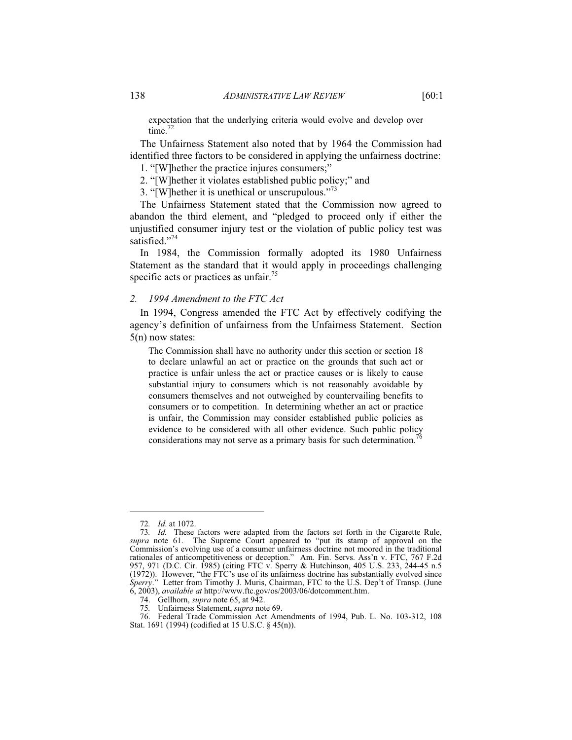expectation that the underlying criteria would evolve and develop over time. $^{72}$ 

The Unfairness Statement also noted that by 1964 the Commission had identified three factors to be considered in applying the unfairness doctrine:

1. "[W]hether the practice injures consumers;"

2. "[W]hether it violates established public policy;" and

3. "[W]hether it is unethical or unscrupulous."<sup>73</sup>

The Unfairness Statement stated that the Commission now agreed to abandon the third element, and "pledged to proceed only if either the unjustified consumer injury test or the violation of public policy test was satisfied."<sup>74</sup>

In 1984, the Commission formally adopted its 1980 Unfairness Statement as the standard that it would apply in proceedings challenging specific acts or practices as unfair.<sup>75</sup>

# *2. 1994 Amendment to the FTC Act*

In 1994, Congress amended the FTC Act by effectively codifying the agency's definition of unfairness from the Unfairness Statement. Section 5(n) now states:

The Commission shall have no authority under this section or section 18 to declare unlawful an act or practice on the grounds that such act or practice is unfair unless the act or practice causes or is likely to cause substantial injury to consumers which is not reasonably avoidable by consumers themselves and not outweighed by countervailing benefits to consumers or to competition. In determining whether an act or practice is unfair, the Commission may consider established public policies as evidence to be considered with all other evidence. Such public policy considerations may not serve as a primary basis for such determination.

<sup>72</sup>*. Id*. at 1072.

<sup>73</sup>*. Id.* These factors were adapted from the factors set forth in the Cigarette Rule, *supra* note 61. The Supreme Court appeared to "put its stamp of approval on the Commission's evolving use of a consumer unfairness doctrine not moored in the traditional rationales of anticompetitiveness or deception." Am. Fin. Servs. Ass'n v. FTC, 767 F.2d 957, 971 (D.C. Cir. 1985) (citing FTC v. Sperry & Hutchinson, 405 U.S. 233, 244-45 n.5 (1972)). However, "the FTC's use of its unfairness doctrine has substantially evolved since *Sperry*." Letter from Timothy J. Muris, Chairman, FTC to the U.S. Dep't of Transp. (June 6, 2003), *available at* http://www.ftc.gov/os/2003/06/dotcomment.htm.

 <sup>74.</sup> Gellhorn, *supra* note 65, at 942.

<sup>75</sup>*.* Unfairness Statement, *supra* note 69.

Federal Trade Commission Act Amendments of 1994, Pub. L. No. 103-312, 108 Stat. 1691 (1994) (codified at 15 U.S.C. § 45(n)).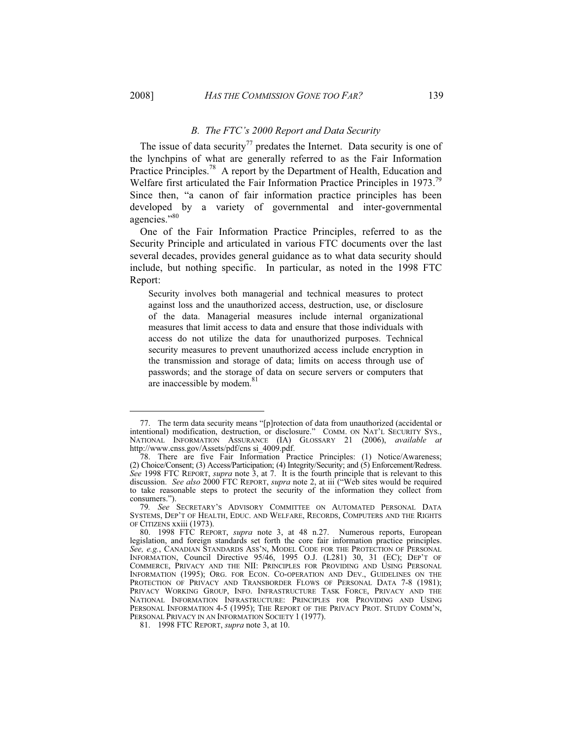-

#### *B. The FTC's 2000 Report and Data Security*

The issue of data security<sup>77</sup> predates the Internet. Data security is one of the lynchpins of what are generally referred to as the Fair Information Practice Principles.<sup>78</sup> A report by the Department of Health, Education and Welfare first articulated the Fair Information Practice Principles in 1973.<sup>79</sup> Since then, "a canon of fair information practice principles has been developed by a variety of governmental and inter-governmental agencies."<sup>80</sup>

One of the Fair Information Practice Principles, referred to as the Security Principle and articulated in various FTC documents over the last several decades, provides general guidance as to what data security should include, but nothing specific. In particular, as noted in the 1998 FTC Report:

Security involves both managerial and technical measures to protect against loss and the unauthorized access, destruction, use, or disclosure of the data. Managerial measures include internal organizational measures that limit access to data and ensure that those individuals with access do not utilize the data for unauthorized purposes. Technical security measures to prevent unauthorized access include encryption in the transmission and storage of data; limits on access through use of passwords; and the storage of data on secure servers or computers that are inaccessible by modem.<sup>81</sup>

81. 1998 FTC REPORT, *supra* note 3, at 10.

 <sup>77.</sup> The term data security means "[p]rotection of data from unauthorized (accidental or intentional) modification, destruction, or disclosure." COMM. ON NAT'L SECURITY SYS., NATIONAL INFORMATION ASSURANCE (IA) GLOSSARY 21 (2006), *available at*  http://www.cnss.gov/Assets/pdf/cns si\_4009.pdf.

 <sup>78.</sup> There are five Fair Information Practice Principles: (1) Notice/Awareness; (2) Choice/Consent; (3) Access/Participation; (4) Integrity/Security; and (5) Enforcement/Redress. *See* 1998 FTC REPORT, *supra* note 3, at 7. It is the fourth principle that is relevant to this discussion. *See also* 2000 FTC REPORT, *supra* note 2, at iii ("Web sites would be required to take reasonable steps to protect the security of the information they collect from consumers.").

<sup>79</sup>*. See* SECRETARY'S ADVISORY COMMITTEE ON AUTOMATED PERSONAL DATA SYSTEMS, DEP'T OF HEALTH, EDUC. AND WELFARE, RECORDS, COMPUTERS AND THE RIGHTS OF CITIZENS xxiii (1973).

 <sup>80. 1998</sup> FTC REPORT, *supra* note 3, at 48 n.27. Numerous reports, European legislation, and foreign standards set forth the core fair information practice principles. *See, e.g.*, CANADIAN STANDARDS ASS'N, MODEL CODE FOR THE PROTECTION OF PERSONAL INFORMATION, Council Directive 95/46, 1995 O.J. (L281) 30, 31 (EC); DEP'T OF COMMERCE, PRIVACY AND THE NII: PRINCIPLES FOR PROVIDING AND USING PERSONAL INFORMATION (1995); ORG. FOR ECON. CO-OPERATION AND DEV., GUIDELINES ON THE PROTECTION OF PRIVACY AND TRANSBORDER FLOWS OF PERSONAL DATA 7-8 (1981); PRIVACY WORKING GROUP, INFO. INFRASTRUCTURE TASK FORCE, PRIVACY AND THE NATIONAL INFORMATION INFRASTRUCTURE: PRINCIPLES FOR PROVIDING AND USING PERSONAL INFORMATION 4-5 (1995); THE REPORT OF THE PRIVACY PROT. STUDY COMM'N, PERSONAL PRIVACY IN AN INFORMATION SOCIETY 1 (1977).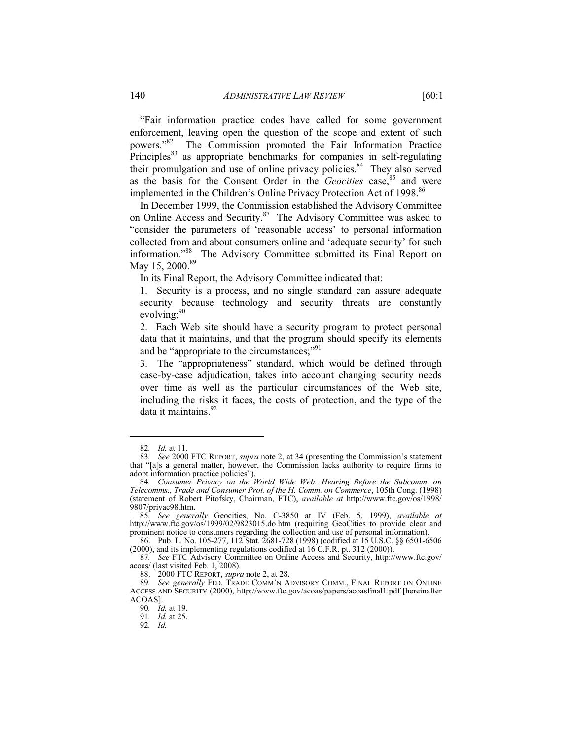"Fair information practice codes have called for some government enforcement, leaving open the question of the scope and extent of such powers."82 The Commission promoted the Fair Information Practice Principles<sup>83</sup> as appropriate benchmarks for companies in self-regulating their promulgation and use of online privacy policies. $84$  They also served as the basis for the Consent Order in the *Geocities* case,<sup>85</sup> and were implemented in the Children's Online Privacy Protection Act of 1998.<sup>86</sup>

In December 1999, the Commission established the Advisory Committee on Online Access and Security.<sup>87</sup> The Advisory Committee was asked to "consider the parameters of 'reasonable access' to personal information collected from and about consumers online and 'adequate security' for such information."88 The Advisory Committee submitted its Final Report on May 15, 2000.<sup>89</sup>

In its Final Report, the Advisory Committee indicated that:

1. Security is a process, and no single standard can assure adequate security because technology and security threats are constantly evolving: $90$ 

2. Each Web site should have a security program to protect personal data that it maintains, and that the program should specify its elements and be "appropriate to the circumstances;"<sup>91</sup>

3. The "appropriateness" standard, which would be defined through case-by-case adjudication, takes into account changing security needs over time as well as the particular circumstances of the Web site, including the risks it faces, the costs of protection, and the type of the data it maintains.<sup>92</sup>

<sup>82</sup>*. Id.* at 11.

<sup>83</sup>*. See* 2000 FTC REPORT, *supra* note 2, at 34 (presenting the Commission's statement that "[a]s a general matter, however, the Commission lacks authority to require firms to adopt information practice policies").

<sup>84</sup>*. Consumer Privacy on the World Wide Web: Hearing Before the Subcomm. on Telecomms., Trade and Consumer Prot. of the H. Comm. on Commerce*, 105th Cong. (1998) (statement of Robert Pitofsky, Chairman, FTC), *available at* http://www.ftc.gov/os/1998/ 9807/privac98.htm.

<sup>85</sup>*. See generally* Geocities, No. C-3850 at IV (Feb. 5, 1999), *available at* http://www.ftc.gov/os/1999/02/9823015.do.htm (requiring GeoCities to provide clear and prominent notice to consumers regarding the collection and use of personal information)*.*

 <sup>86.</sup> Pub. L. No. 105-277, 112 Stat. 2681-728 (1998) (codified at 15 U.S.C. §§ 6501-6506 (2000), and its implementing regulations codified at 16 C.F.R. pt. 312 (2000)).

<sup>87</sup>*. See* FTC Advisory Committee on Online Access and Security, http://www.ftc.gov/ acoas/ (last visited Feb. 1, 2008).

 <sup>88. 2000</sup> FTC REPORT, *supra* note 2, at 28.

<sup>89</sup>*. See generally* FED. TRADE COMM'N ADVISORY COMM., FINAL REPORT ON ONLINE ACCESS AND SECURITY (2000), http://www.ftc.gov/acoas/papers/acoasfinal1.pdf [hereinafter ACOAS].

<sup>90</sup>*. Id.* at 19.

<sup>91</sup>*. Id.* at 25.

<sup>92</sup>*. Id.*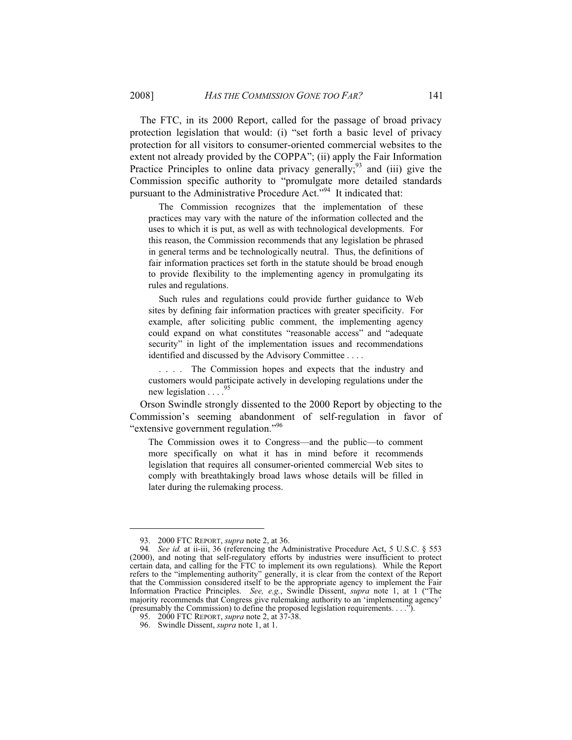The FTC, in its 2000 Report, called for the passage of broad privacy protection legislation that would: (i) "set forth a basic level of privacy protection for all visitors to consumer-oriented commercial websites to the extent not already provided by the COPPA"; (ii) apply the Fair Information Practice Principles to online data privacy generally;<sup>93</sup> and (iii) give the Commission specific authority to "promulgate more detailed standards pursuant to the Administrative Procedure Act."<sup>94</sup> It indicated that:

 The Commission recognizes that the implementation of these practices may vary with the nature of the information collected and the uses to which it is put, as well as with technological developments. For this reason, the Commission recommends that any legislation be phrased in general terms and be technologically neutral. Thus, the definitions of fair information practices set forth in the statute should be broad enough to provide flexibility to the implementing agency in promulgating its rules and regulations.

 Such rules and regulations could provide further guidance to Web sites by defining fair information practices with greater specificity. For example, after soliciting public comment, the implementing agency could expand on what constitutes "reasonable access" and "adequate security" in light of the implementation issues and recommendations identified and discussed by the Advisory Committee . . . .

 . . . . The Commission hopes and expects that the industry and customers would participate actively in developing regulations under the new legislation  $\ldots$ <sup>95</sup>

Orson Swindle strongly dissented to the 2000 Report by objecting to the Commission's seeming abandonment of self-regulation in favor of "extensive government regulation."<sup>96</sup>

The Commission owes it to Congress—and the public—to comment more specifically on what it has in mind before it recommends legislation that requires all consumer-oriented commercial Web sites to comply with breathtakingly broad laws whose details will be filled in later during the rulemaking process.

 <sup>93. 2000</sup> FTC REPORT, *supra* note 2, at 36.

<sup>94</sup>*. See id.* at ii-iii, 36 (referencing the Administrative Procedure Act, 5 U.S.C. § 553 (2000), and noting that self-regulatory efforts by industries were insufficient to protect certain data, and calling for the FTC to implement its own regulations). While the Report refers to the "implementing authority" generally, it is clear from the context of the Report that the Commission considered itself to be the appropriate agency to implement the Fair Information Practice Principles. *See, e.g.*, Swindle Dissent, *supra* note 1, at 1 ("The majority recommends that Congress give rulemaking authority to an 'implementing agency' (presumably the Commission) to define the proposed legislation requirements. . . .").

 <sup>95. 2000</sup> FTC REPORT, *supra* note 2, at 37-38.

 <sup>96.</sup> Swindle Dissent, *supra* note 1, at 1.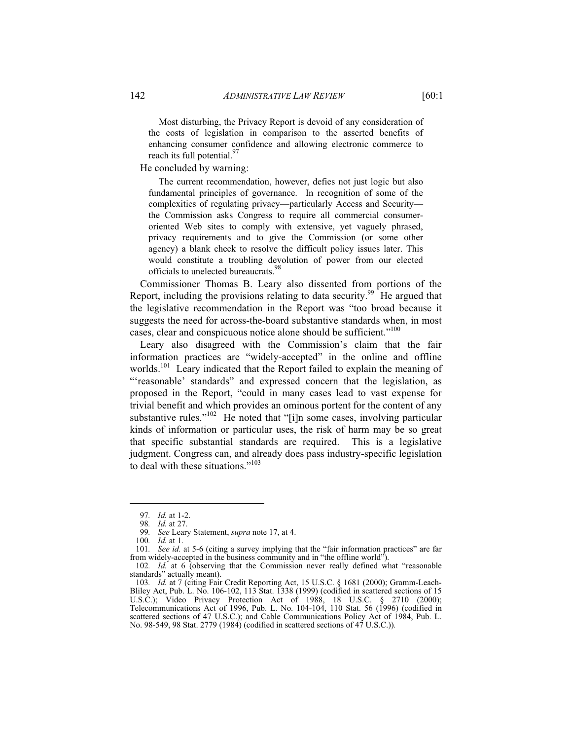Most disturbing, the Privacy Report is devoid of any consideration of the costs of legislation in comparison to the asserted benefits of enhancing consumer confidence and allowing electronic commerce to reach its full potential. $97$ 

He concluded by warning:

 The current recommendation, however, defies not just logic but also fundamental principles of governance. In recognition of some of the complexities of regulating privacy—particularly Access and Security the Commission asks Congress to require all commercial consumeroriented Web sites to comply with extensive, yet vaguely phrased, privacy requirements and to give the Commission (or some other agency) a blank check to resolve the difficult policy issues later. This would constitute a troubling devolution of power from our elected officials to unelected bureaucrats.<sup>98</sup>

Commissioner Thomas B. Leary also dissented from portions of the Report, including the provisions relating to data security.<sup>99</sup> He argued that the legislative recommendation in the Report was "too broad because it suggests the need for across-the-board substantive standards when, in most cases, clear and conspicuous notice alone should be sufficient."<sup>100</sup>

Leary also disagreed with the Commission's claim that the fair information practices are "widely-accepted" in the online and offline worlds.<sup>101</sup> Leary indicated that the Report failed to explain the meaning of "'reasonable' standards" and expressed concern that the legislation, as proposed in the Report, "could in many cases lead to vast expense for trivial benefit and which provides an ominous portent for the content of any substantive rules."<sup>102</sup> He noted that "[i]n some cases, involving particular kinds of information or particular uses, the risk of harm may be so great that specific substantial standards are required. This is a legislative judgment. Congress can, and already does pass industry-specific legislation to deal with these situations."<sup>103</sup>

<sup>97</sup>*. Id.* at 1-2.

<sup>98</sup>*. Id.* at 27.

<sup>99</sup>*. See* Leary Statement, *supra* note 17, at 4.

<sup>100</sup>*. Id.* at 1.

<sup>101</sup>*. See id.* at 5-6 (citing a survey implying that the "fair information practices" are far from widely-accepted in the business community and in "the offline world").

<sup>102</sup>*. Id.* at 6 (observing that the Commission never really defined what "reasonable standards" actually meant).

<sup>103</sup>*. Id.* at 7 (citing Fair Credit Reporting Act, 15 U.S.C. § 1681 (2000); Gramm-Leach-Bliley Act, Pub. L. No. 106-102, 113 Stat. 1338 (1999) (codified in scattered sections of 15 U.S.C.); Video Privacy Protection Act of 1988, 18 U.S.C. § 2710 (2000); Telecommunications Act of 1996, Pub. L. No. 104-104, 110 Stat. 56 (1996) (codified in scattered sections of 47 U.S.C.); and Cable Communications Policy Act of 1984, Pub. L. No. 98-549, 98 Stat. 2779 (1984) (codified in scattered sections of 47 U.S.C.))*.*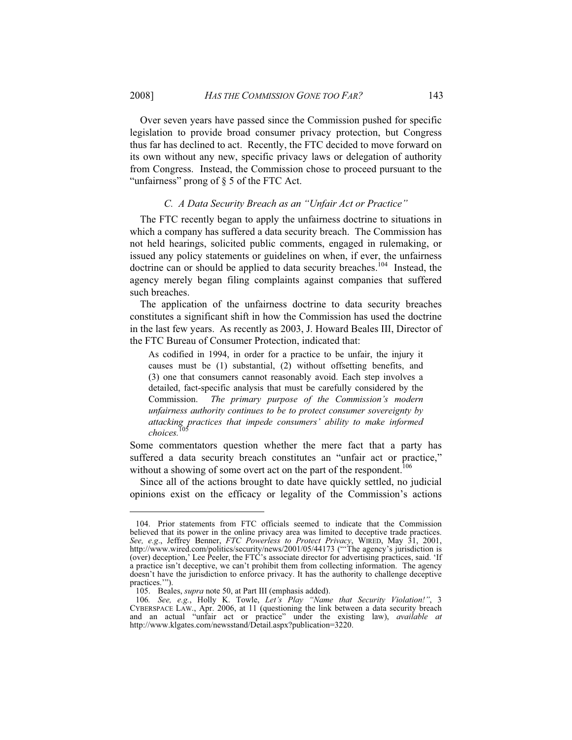Over seven years have passed since the Commission pushed for specific legislation to provide broad consumer privacy protection, but Congress thus far has declined to act. Recently, the FTC decided to move forward on its own without any new, specific privacy laws or delegation of authority from Congress. Instead, the Commission chose to proceed pursuant to the "unfairness" prong of § 5 of the FTC Act.

#### *C. A Data Security Breach as an "Unfair Act or Practice"*

The FTC recently began to apply the unfairness doctrine to situations in which a company has suffered a data security breach. The Commission has not held hearings, solicited public comments, engaged in rulemaking, or issued any policy statements or guidelines on when, if ever, the unfairness doctrine can or should be applied to data security breaches.<sup>104</sup> Instead, the agency merely began filing complaints against companies that suffered such breaches.

The application of the unfairness doctrine to data security breaches constitutes a significant shift in how the Commission has used the doctrine in the last few years. As recently as 2003, J. Howard Beales III, Director of the FTC Bureau of Consumer Protection, indicated that:

As codified in 1994, in order for a practice to be unfair, the injury it causes must be (1) substantial, (2) without offsetting benefits, and (3) one that consumers cannot reasonably avoid. Each step involves a detailed, fact-specific analysis that must be carefully considered by the Commission. *The primary purpose of the Commission's modern unfairness authority continues to be to protect consumer sovereignty by attacking practices that impede consumers' ability to make informed*   $choices.$ 

Some commentators question whether the mere fact that a party has suffered a data security breach constitutes an "unfair act or practice," without a showing of some overt act on the part of the respondent.<sup>106</sup>

Since all of the actions brought to date have quickly settled, no judicial opinions exist on the efficacy or legality of the Commission's actions

 <sup>104.</sup> Prior statements from FTC officials seemed to indicate that the Commission believed that its power in the online privacy area was limited to deceptive trade practices. *See, e.g*., Jeffrey Benner, *FTC Powerless to Protect Privacy*, WIRED, May 31, 2001, http://www.wired.com/politics/security/news/2001/05/44173 ("'The agency's jurisdiction is (over) deception,' Lee Peeler, the FTC's associate director for advertising practices, said. 'If a practice isn't deceptive, we can't prohibit them from collecting information. The agency doesn't have the jurisdiction to enforce privacy. It has the authority to challenge deceptive practices.'").

 <sup>105.</sup> Beales, *supra* note 50, at Part III (emphasis added).

<sup>106</sup>*. See, e.g.*, Holly K. Towle, *Let's Play "Name that Security Violation!"*, 3 CYBERSPACE LAW., Apr. 2006, at 11 (questioning the link between a data security breach and an actual "unfair act or practice" under the existing law), *available at*  http://www.klgates.com/newsstand/Detail.aspx?publication=3220.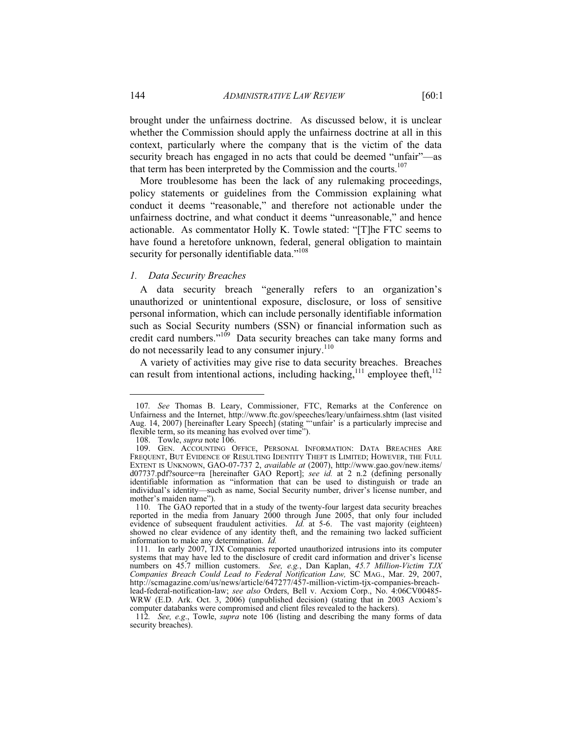brought under the unfairness doctrine. As discussed below, it is unclear whether the Commission should apply the unfairness doctrine at all in this context, particularly where the company that is the victim of the data security breach has engaged in no acts that could be deemed "unfair"—as that term has been interpreted by the Commission and the courts. $107$ 

More troublesome has been the lack of any rulemaking proceedings, policy statements or guidelines from the Commission explaining what conduct it deems "reasonable," and therefore not actionable under the unfairness doctrine, and what conduct it deems "unreasonable," and hence actionable. As commentator Holly K. Towle stated: "[T]he FTC seems to have found a heretofore unknown, federal, general obligation to maintain security for personally identifiable data."<sup>108</sup>

#### *1. Data Security Breaches*

A data security breach "generally refers to an organization's unauthorized or unintentional exposure, disclosure, or loss of sensitive personal information, which can include personally identifiable information such as Social Security numbers (SSN) or financial information such as credit card numbers."<sup>109</sup> Data security breaches can take many forms and do not necessarily lead to any consumer injury. $110$ 

A variety of activities may give rise to data security breaches. Breaches can result from intentional actions, including hacking,<sup>111</sup> employee theft,<sup>112</sup>

<sup>107</sup>*. See* Thomas B. Leary, Commissioner, FTC, Remarks at the Conference on Unfairness and the Internet, http://www.ftc.gov/speeches/leary/unfairness.shtm (last visited Aug. 14, 2007) [hereinafter Leary Speech] (stating "'unfair' is a particularly imprecise and flexible term, so its meaning has evolved over time").

 <sup>108.</sup> Towle, *supra* note 106.

 <sup>109.</sup> GEN. ACCOUNTING OFFICE, PERSONAL INFORMATION: DATA BREACHES ARE FREQUENT, BUT EVIDENCE OF RESULTING IDENTITY THEFT IS LIMITED; HOWEVER, THE FULL EXTENT IS UNKNOWN, GAO-07-737 2, *available at* (2007), http://www.gao.gov/new.items/ d07737.pdf?source=ra [hereinafter GAO Report]; *see id.* at 2 n.2 (defining personally identifiable information as "information that can be used to distinguish or trade an individual's identity—such as name, Social Security number, driver's license number, and mother's maiden name").

 <sup>110.</sup> The GAO reported that in a study of the twenty-four largest data security breaches reported in the media from January 2000 through June 2005, that only four included evidence of subsequent fraudulent activities. *Id.* at 5-6. The vast majority (eighteen) showed no clear evidence of any identity theft, and the remaining two lacked sufficient information to make any determination. *Id.*

 <sup>111.</sup> In early 2007, TJX Companies reported unauthorized intrusions into its computer systems that may have led to the disclosure of credit card information and driver's license numbers on 45.7 million customers. *See, e.g.*, Dan Kaplan, *45.7 Million-Victim TJX Companies Breach Could Lead to Federal Notification Law,* SC MAG., Mar. 29, 2007, http://scmagazine.com/us/news/article/647277/457-million-victim-tjx-companies-breachlead-federal-notification-law; *see also* Orders, Bell v. Acxiom Corp., No. 4:06CV00485- WRW (E.D. Ark. Oct. 3, 2006) (unpublished decision) (stating that in 2003 Acxiom's computer databanks were compromised and client files revealed to the hackers).

<sup>112</sup>*. See, e.g*., Towle, *supra* note 106 (listing and describing the many forms of data security breaches).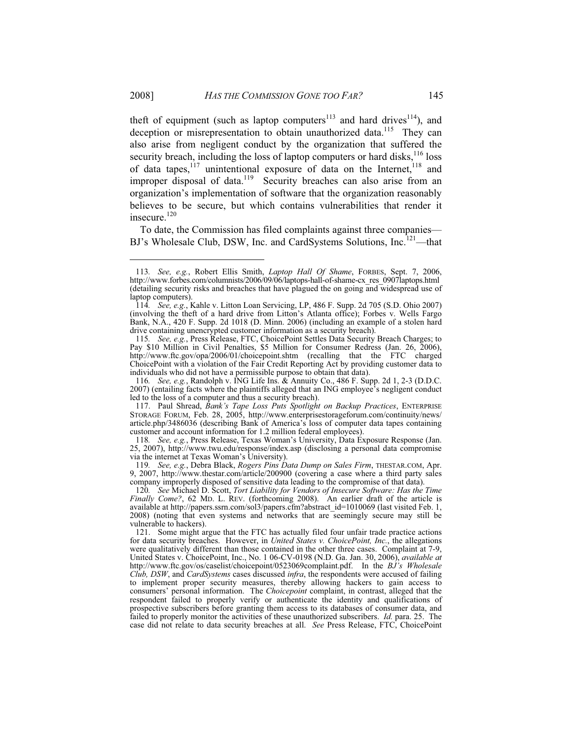theft of equipment (such as laptop computers<sup>113</sup> and hard drives<sup>114</sup>), and deception or misrepresentation to obtain unauthorized data.<sup>115</sup> They can also arise from negligent conduct by the organization that suffered the security breach, including the loss of laptop computers or hard disks,  $116$  loss of data tapes, $117$  unintentional exposure of data on the Internet, $118$  and improper disposal of data.<sup>119</sup> Security breaches can also arise from an organization's implementation of software that the organization reasonably believes to be secure, but which contains vulnerabilities that render it insecure.<sup>120</sup>

To date, the Commission has filed complaints against three companies— BJ's Wholesale Club, DSW, Inc. and CardSystems Solutions, Inc.<sup>121</sup>—that

 117. Paul Shread, *Bank's Tape Loss Puts Spotlight on Backup Practices*, ENTERPRISE STORAGE FORUM, Feb. 28, 2005, http://www.enterprisestorageforum.com/continuity/news/ article.php/3486036 (describing Bank of America's loss of computer data tapes containing customer and account information for 1.2 million federal employees).

118*. See, e.g.*, Press Release, Texas Woman's University, Data Exposure Response (Jan. 25, 2007), http://www.twu.edu/response/index.asp (disclosing a personal data compromise via the internet at Texas Woman's University).

119*. See, e.g.*, Debra Black, *Rogers Pins Data Dump on Sales Firm*, THESTAR.COM, Apr. 9, 2007, http://www.thestar.com/article/200900 (covering a case where a third party sales company improperly disposed of sensitive data leading to the compromise of that data).

120*. See* Michael D. Scott, *Tort Liability for Vendors of Insecure Software: Has the Time Finally Come?*, 62 MD. L. REV. (forthcoming 2008). An earlier draft of the article is available at http://papers.ssrn.com/sol3/papers.cfm?abstract\_id=1010069 (last visited Feb. 1, 2008) (noting that even systems and networks that are seemingly secure may still be vulnerable to hackers).

<sup>113</sup>*. See, e.g.*, Robert Ellis Smith, *Laptop Hall Of Shame*, FORBES, Sept. 7, 2006, http://www.forbes.com/columnists/2006/09/06/laptops-hall-of-shame-cx\_res\_0907laptops.html (detailing security risks and breaches that have plagued the on going and widespread use of laptop computers).

<sup>114</sup>*. See, e.g.*, Kahle v. Litton Loan Servicing, LP, 486 F. Supp. 2d 705 (S.D. Ohio 2007) (involving the theft of a hard drive from Litton's Atlanta office); Forbes v. Wells Fargo Bank, N.A., 420 F. Supp. 2d 1018 (D. Minn. 2006) (including an example of a stolen hard drive containing unencrypted customer information as a security breach).

<sup>115</sup>*. See, e.g.*, Press Release, FTC, ChoicePoint Settles Data Security Breach Charges; to Pay \$10 Million in Civil Penalties, \$5 Million for Consumer Redress (Jan. 26, 2006), http://www.ftc.gov/opa/2006/01/choicepoint.shtm (recalling that the FTC charged ChoicePoint with a violation of the Fair Credit Reporting Act by providing customer data to individuals who did not have a permissible purpose to obtain that data).

<sup>116</sup>*. See, e.g.*, Randolph v. ING Life Ins. & Annuity Co., 486 F. Supp. 2d 1, 2-3 (D.D.C. 2007) (entailing facts where the plaintiffs alleged that an ING employee's negligent conduct led to the loss of a computer and thus a security breach).

 <sup>121.</sup> Some might argue that the FTC has actually filed four unfair trade practice actions for data security breaches. However, in *United States v. ChoicePoint, Inc.*, the allegations were qualitatively different than those contained in the other three cases. Complaint at 7-9, United States v. ChoicePoint, Inc., No. 1 06-CV-0198 (N.D. Ga. Jan. 30, 2006), *available at*  http://www.ftc.gov/os/caselist/choicepoint/0523069complaint.pdf. In the *BJ's Wholesale Club, DSW*, and *CardSystems* cases discussed *infra*, the respondents were accused of failing to implement proper security measures, thereby allowing hackers to gain access to consumers' personal information. The *Choicepoint* complaint, in contrast, alleged that the respondent failed to properly verify or authenticate the identity and qualifications of prospective subscribers before granting them access to its databases of consumer data, and failed to properly monitor the activities of these unauthorized subscribers. *Id.* para. 25. The case did not relate to data security breaches at all. *See* Press Release, FTC, ChoicePoint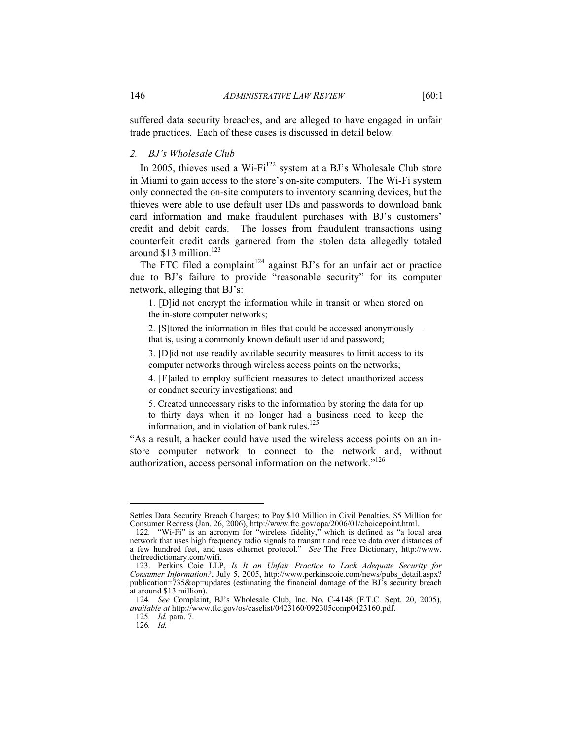suffered data security breaches, and are alleged to have engaged in unfair trade practices. Each of these cases is discussed in detail below.

## *2. BJ's Wholesale Club*

In 2005, thieves used a Wi-Fi<sup>122</sup> system at a BJ's Wholesale Club store in Miami to gain access to the store's on-site computers. The Wi-Fi system only connected the on-site computers to inventory scanning devices, but the thieves were able to use default user IDs and passwords to download bank card information and make fraudulent purchases with BJ's customers' credit and debit cards. The losses from fraudulent transactions using counterfeit credit cards garnered from the stolen data allegedly totaled around \$13 million.<sup>123</sup>

The FTC filed a complaint<sup>124</sup> against BJ's for an unfair act or practice due to BJ's failure to provide "reasonable security" for its computer network, alleging that BJ's:

1. [D]id not encrypt the information while in transit or when stored on the in-store computer networks;

2. [S]tored the information in files that could be accessed anonymously that is, using a commonly known default user id and password;

3. [D]id not use readily available security measures to limit access to its computer networks through wireless access points on the networks;

4. [F]ailed to employ sufficient measures to detect unauthorized access or conduct security investigations; and

5. Created unnecessary risks to the information by storing the data for up to thirty days when it no longer had a business need to keep the information, and in violation of bank rules.<sup>125</sup>

"As a result, a hacker could have used the wireless access points on an instore computer network to connect to the network and, without authorization, access personal information on the network."126

Settles Data Security Breach Charges; to Pay \$10 Million in Civil Penalties, \$5 Million for Consumer Redress (Jan. 26, 2006), http://www.ftc.gov/opa/2006/01/choicepoint.html.

<sup>122</sup>*.* "Wi-Fi" is an acronym for "wireless fidelity," which is defined as "a local area network that uses high frequency radio signals to transmit and receive data over distances of a few hundred feet, and uses ethernet protocol." *See* The Free Dictionary, http://www. thefreedictionary.com/wifi.

 <sup>123.</sup> Perkins Coie LLP, *Is It an Unfair Practice to Lack Adequate Security for Consumer Information?*, July 5, 2005, http://www.perkinscoie.com/news/pubs\_detail.aspx? publication=735&op=updates (estimating the financial damage of the BJ's security breach at around \$13 million).

<sup>124</sup>*. See* Complaint, BJ's Wholesale Club, Inc. No. C-4148 (F.T.C. Sept. 20, 2005), *available at* http://www.ftc.gov/os/caselist/0423160/092305comp0423160.pdf.

<sup>125</sup>*. Id.* para. 7.

<sup>126</sup>*. Id.*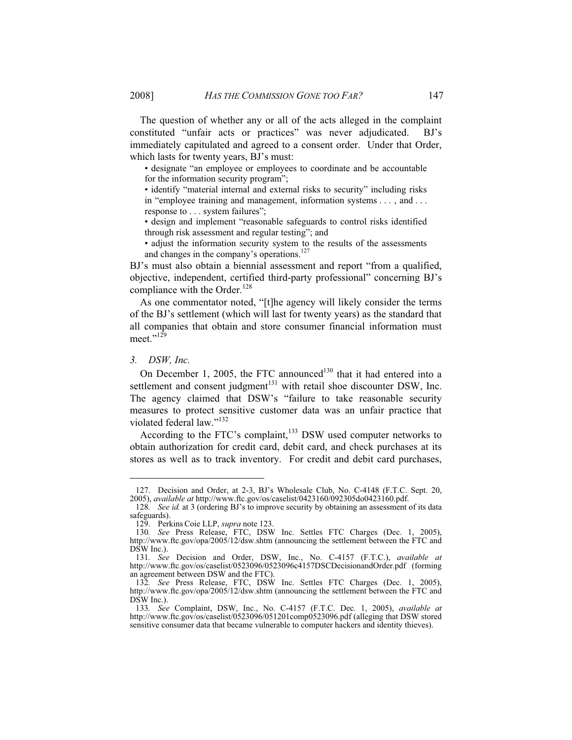The question of whether any or all of the acts alleged in the complaint constituted "unfair acts or practices" was never adjudicated. BJ's immediately capitulated and agreed to a consent order. Under that Order, which lasts for twenty years, BJ's must:

• designate "an employee or employees to coordinate and be accountable for the information security program";

• identify "material internal and external risks to security" including risks in "employee training and management, information systems . . . , and . . . response to . . . system failures";

• design and implement "reasonable safeguards to control risks identified through risk assessment and regular testing"; and

• adjust the information security system to the results of the assessments and changes in the company's operations.<sup>127</sup>

BJ's must also obtain a biennial assessment and report "from a qualified, objective, independent, certified third-party professional" concerning BJ's compliance with the Order.<sup>128</sup>

As one commentator noted, "[t]he agency will likely consider the terms of the BJ's settlement (which will last for twenty years) as the standard that all companies that obtain and store consumer financial information must meet."<sup>129</sup>

# *3. DSW, Inc.*

-

On December 1, 2005, the FTC announced<sup>130</sup> that it had entered into a settlement and consent judgment<sup>131</sup> with retail shoe discounter DSW, Inc. The agency claimed that DSW's "failure to take reasonable security measures to protect sensitive customer data was an unfair practice that violated federal law."<sup>132</sup>

According to the FTC's complaint, $133$  DSW used computer networks to obtain authorization for credit card, debit card, and check purchases at its stores as well as to track inventory. For credit and debit card purchases,

 <sup>127.</sup> Decision and Order, at 2-3, BJ's Wholesale Club, No. C-4148 (F.T.C. Sept. 20, 2005), *available at* http://www.ftc.gov/os/caselist/0423160/092305do0423160.pdf.

<sup>128</sup>*. See id.* at 3 (ordering BJ's to improve security by obtaining an assessment of its data safeguards).

 <sup>129.</sup> Perkins Coie LLP, *supra* note 123.

<sup>130</sup>*. See* Press Release, FTC, DSW Inc. Settles FTC Charges (Dec. 1, 2005), http://www.ftc.gov/opa/2005/12/dsw.shtm (announcing the settlement between the FTC and DSW Inc.).

<sup>131</sup>*. See* Decision and Order, DSW, Inc., No. C-4157 (F.T.C.), *available at*  http://www.ftc.gov/os/caselist/0523096/0523096c4157DSCDecisionandOrder.pdf (forming an agreement between DSW and the FTC).

<sup>132</sup>*. See* Press Release, FTC, DSW Inc. Settles FTC Charges (Dec. 1, 2005), http://www.ftc.gov/opa/2005/12/dsw.shtm (announcing the settlement between the FTC and DSW Inc.).

<sup>133</sup>*. See* Complaint, DSW, Inc., No. C-4157 (F.T.C. Dec. 1, 2005), *available at*  http://www.ftc.gov/os/caselist/0523096/051201comp0523096.pdf (alleging that DSW stored sensitive consumer data that became vulnerable to computer hackers and identity thieves).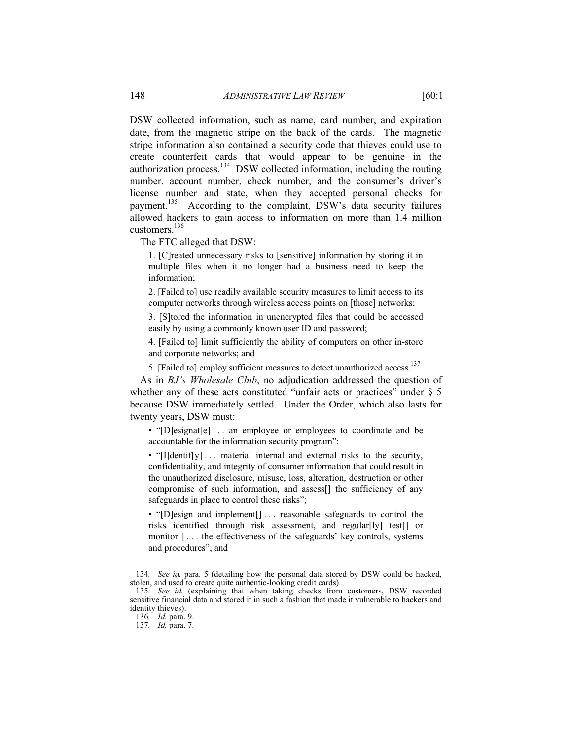DSW collected information, such as name, card number, and expiration date, from the magnetic stripe on the back of the cards. The magnetic stripe information also contained a security code that thieves could use to create counterfeit cards that would appear to be genuine in the authorization process.134 DSW collected information, including the routing number, account number, check number, and the consumer's driver's license number and state, when they accepted personal checks for payment.<sup>135</sup> According to the complaint, DSW's data security failures allowed hackers to gain access to information on more than 1.4 million customers.<sup>136</sup>

The FTC alleged that DSW:

1. [C]reated unnecessary risks to [sensitive] information by storing it in multiple files when it no longer had a business need to keep the information;

2. [Failed to] use readily available security measures to limit access to its computer networks through wireless access points on [those] networks;

3. [S]tored the information in unencrypted files that could be accessed easily by using a commonly known user ID and password;

4. [Failed to] limit sufficiently the ability of computers on other in-store and corporate networks; and

5. [Failed to] employ sufficient measures to detect unauthorized access.<sup>137</sup>

As in *BJ's Wholesale Club*, no adjudication addressed the question of whether any of these acts constituted "unfair acts or practices" under  $\S$  5 because DSW immediately settled. Under the Order, which also lasts for twenty years, DSW must:

• "[D]esignat[e]... an employee or employees to coordinate and be accountable for the information security program";

• "[I]dentif[y] ... material internal and external risks to the security, confidentiality, and integrity of consumer information that could result in the unauthorized disclosure, misuse, loss, alteration, destruction or other compromise of such information, and assess[] the sufficiency of any safeguards in place to control these risks";

• "[D]esign and implement[] . . . reasonable safeguards to control the risks identified through risk assessment, and regular[ly] test[] or monitor[] . . . the effectiveness of the safeguards' key controls, systems and procedures"; and

<sup>134</sup>*. See id.* para. 5 (detailing how the personal data stored by DSW could be hacked, stolen, and used to create quite authentic-looking credit cards).

<sup>135</sup>*. See id.* (explaining that when taking checks from customers, DSW recorded sensitive financial data and stored it in such a fashion that made it vulnerable to hackers and identity thieves).

<sup>136</sup>*. Id.* para. 9.

<sup>137</sup>*. Id.* para. 7.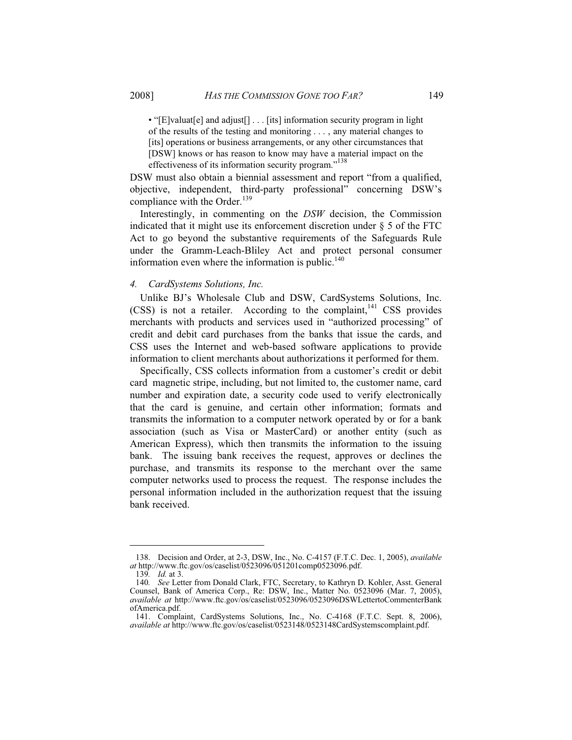• "[E]valuat[e] and adjust[] . . . [its] information security program in light of the results of the testing and monitoring . . . , any material changes to [its] operations or business arrangements, or any other circumstances that [DSW] knows or has reason to know may have a material impact on the effectiveness of its information security program."<sup>138</sup>

DSW must also obtain a biennial assessment and report "from a qualified, objective, independent, third-party professional" concerning DSW's compliance with the Order.<sup>139</sup>

Interestingly, in commenting on the *DSW* decision, the Commission indicated that it might use its enforcement discretion under § 5 of the FTC Act to go beyond the substantive requirements of the Safeguards Rule under the Gramm-Leach-Bliley Act and protect personal consumer information even where the information is public. $140$ 

#### *4. CardSystems Solutions, Inc.*

Unlike BJ's Wholesale Club and DSW, CardSystems Solutions, Inc.  $(CSS)$  is not a retailer. According to the complaint, <sup>141</sup> CSS provides merchants with products and services used in "authorized processing" of credit and debit card purchases from the banks that issue the cards, and CSS uses the Internet and web-based software applications to provide information to client merchants about authorizations it performed for them.

Specifically, CSS collects information from a customer's credit or debit card magnetic stripe, including, but not limited to, the customer name, card number and expiration date, a security code used to verify electronically that the card is genuine, and certain other information; formats and transmits the information to a computer network operated by or for a bank association (such as Visa or MasterCard) or another entity (such as American Express), which then transmits the information to the issuing bank. The issuing bank receives the request, approves or declines the purchase, and transmits its response to the merchant over the same computer networks used to process the request. The response includes the personal information included in the authorization request that the issuing bank received.

 <sup>138.</sup> Decision and Order, at 2-3, DSW, Inc., No. C-4157 (F.T.C. Dec. 1, 2005), *available at* http://www.ftc.gov/os/caselist/0523096/051201comp0523096.pdf.

<sup>139</sup>*. Id.* at 3.

<sup>140</sup>*. See* Letter from Donald Clark, FTC, Secretary, to Kathryn D. Kohler, Asst. General Counsel, Bank of America Corp., Re: DSW, Inc., Matter No. 0523096 (Mar. 7, 2005), *available at* http://www.ftc.gov/os/caselist/0523096/0523096DSWLettertoCommenterBank ofAmerica.pdf.

 <sup>141.</sup> Complaint, CardSystems Solutions, Inc., No. C-4168 (F.T.C. Sept. 8, 2006), *available at* http://www.ftc.gov/os/caselist/0523148/0523148CardSystemscomplaint.pdf.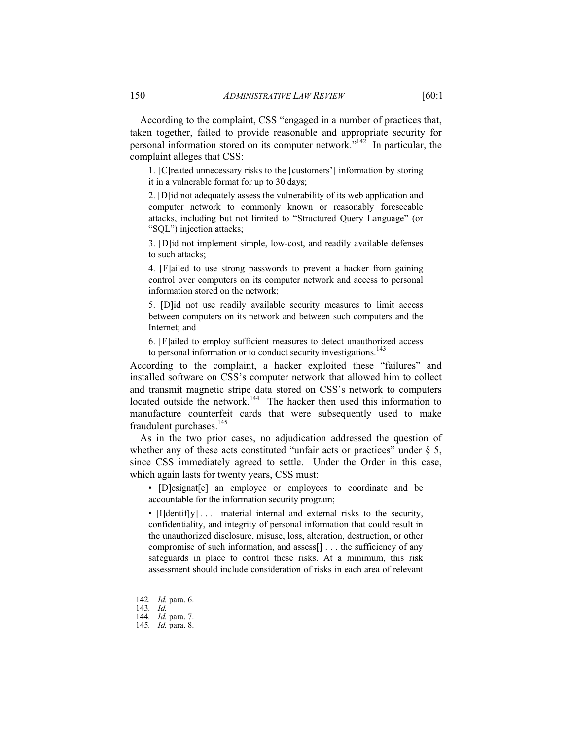According to the complaint, CSS "engaged in a number of practices that, taken together, failed to provide reasonable and appropriate security for personal information stored on its computer network. $142^7$  In particular, the complaint alleges that CSS:

1. [C]reated unnecessary risks to the [customers'] information by storing it in a vulnerable format for up to 30 days;

2. [D]id not adequately assess the vulnerability of its web application and computer network to commonly known or reasonably foreseeable attacks, including but not limited to "Structured Query Language" (or "SQL") injection attacks;

3. [D]id not implement simple, low-cost, and readily available defenses to such attacks;

4. [F]ailed to use strong passwords to prevent a hacker from gaining control over computers on its computer network and access to personal information stored on the network;

5. [D]id not use readily available security measures to limit access between computers on its network and between such computers and the Internet; and

6. [F]ailed to employ sufficient measures to detect unauthorized access to personal information or to conduct security investigations.<sup>143</sup>

According to the complaint, a hacker exploited these "failures" and installed software on CSS's computer network that allowed him to collect and transmit magnetic stripe data stored on CSS's network to computers located outside the network.<sup>144</sup> The hacker then used this information to manufacture counterfeit cards that were subsequently used to make fraudulent purchases.<sup>145</sup>

As in the two prior cases, no adjudication addressed the question of whether any of these acts constituted "unfair acts or practices" under  $\S$  5, since CSS immediately agreed to settle. Under the Order in this case, which again lasts for twenty years, CSS must:

• [D]esignat[e] an employee or employees to coordinate and be accountable for the information security program;

• [I]dentif[y] ... material internal and external risks to the security, confidentiality, and integrity of personal information that could result in the unauthorized disclosure, misuse, loss, alteration, destruction, or other compromise of such information, and assess[] . . . the sufficiency of any safeguards in place to control these risks. At a minimum, this risk assessment should include consideration of risks in each area of relevant

<sup>142</sup>*. Id.* para. 6.

<sup>143</sup>*. Id.*

<sup>144</sup>*. Id.* para. 7. 145*. Id.* para. 8.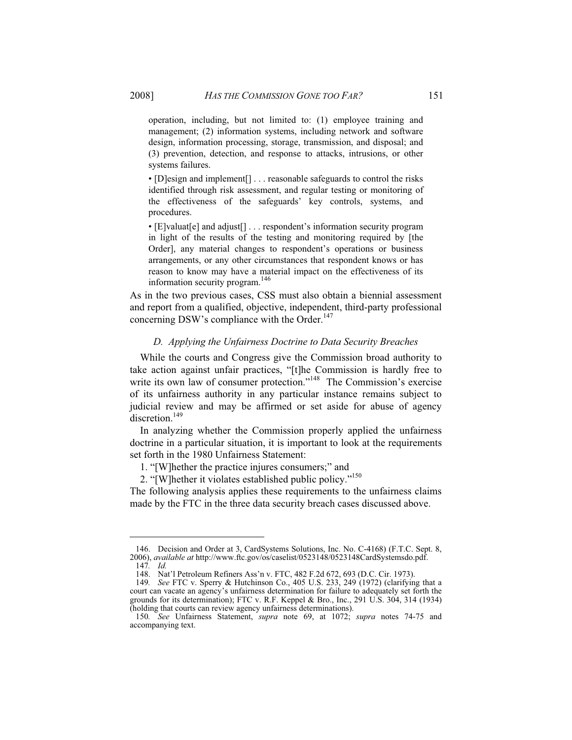operation, including, but not limited to: (1) employee training and management; (2) information systems, including network and software design, information processing, storage, transmission, and disposal; and (3) prevention, detection, and response to attacks, intrusions, or other systems failures.

• [D]esign and implement[] . . . reasonable safeguards to control the risks identified through risk assessment, and regular testing or monitoring of the effectiveness of the safeguards' key controls, systems, and procedures.

• [E]valuat[e] and adjust[] . . . respondent's information security program in light of the results of the testing and monitoring required by [the Order], any material changes to respondent's operations or business arrangements, or any other circumstances that respondent knows or has reason to know may have a material impact on the effectiveness of its information security program.<sup>146</sup>

As in the two previous cases, CSS must also obtain a biennial assessment and report from a qualified, objective, independent, third-party professional concerning DSW's compliance with the Order.<sup>147</sup>

#### *D. Applying the Unfairness Doctrine to Data Security Breaches*

While the courts and Congress give the Commission broad authority to take action against unfair practices, "[t]he Commission is hardly free to write its own law of consumer protection."<sup>148</sup> The Commission's exercise of its unfairness authority in any particular instance remains subject to judicial review and may be affirmed or set aside for abuse of agency discretion.<sup>149</sup>

In analyzing whether the Commission properly applied the unfairness doctrine in a particular situation, it is important to look at the requirements set forth in the 1980 Unfairness Statement:

1. "[W]hether the practice injures consumers;" and

2. "[W]hether it violates established public policy."150

The following analysis applies these requirements to the unfairness claims made by the FTC in the three data security breach cases discussed above.

 <sup>146.</sup> Decision and Order at 3, CardSystems Solutions, Inc. No. C-4168) (F.T.C. Sept. 8, 2006), *available at* http://www.ftc.gov/os/caselist/0523148/0523148CardSystemsdo.pdf.

<sup>147</sup>*. Id.*

 <sup>148.</sup> Nat'l Petroleum Refiners Ass'n v. FTC, 482 F.2d 672, 693 (D.C. Cir. 1973).

<sup>149</sup>*. See* FTC v. Sperry & Hutchinson Co., 405 U.S. 233, 249 (1972) (clarifying that a court can vacate an agency's unfairness determination for failure to adequately set forth the grounds for its determination); FTC v. R.F. Keppel & Bro., Inc., 291 U.S. 304, 314 (1934) (holding that courts can review agency unfairness determinations).

<sup>150</sup>*. See* Unfairness Statement, *supra* note 69, at 1072; *supra* notes 74-75 and accompanying text.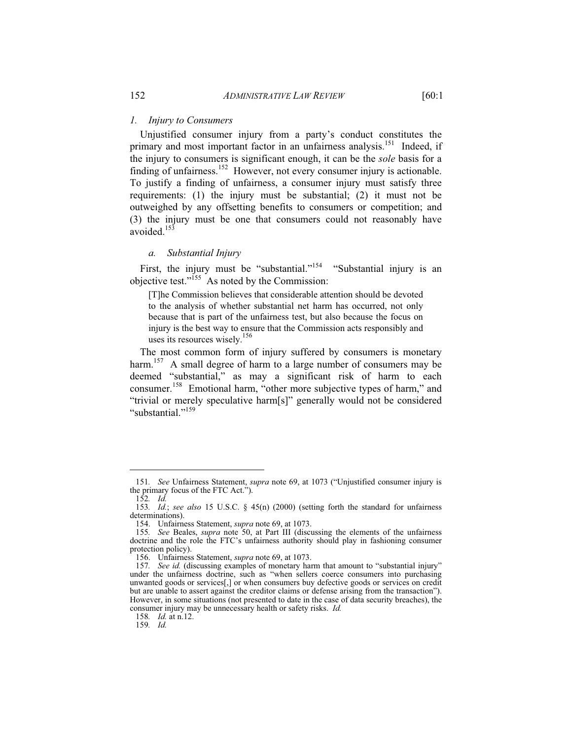#### *1. Injury to Consumers*

Unjustified consumer injury from a party's conduct constitutes the primary and most important factor in an unfairness analysis.<sup>151</sup> Indeed, if the injury to consumers is significant enough, it can be the *sole* basis for a finding of unfairness.<sup>152</sup> However, not every consumer injury is actionable. To justify a finding of unfairness, a consumer injury must satisfy three requirements: (1) the injury must be substantial; (2) it must not be outweighed by any offsetting benefits to consumers or competition; and (3) the injury must be one that consumers could not reasonably have avoided.<sup>153</sup>

#### *a. Substantial Injury*

First, the injury must be "substantial."<sup>154</sup> "Substantial injury is an objective test."155 As noted by the Commission:

[T]he Commission believes that considerable attention should be devoted to the analysis of whether substantial net harm has occurred, not only because that is part of the unfairness test, but also because the focus on injury is the best way to ensure that the Commission acts responsibly and uses its resources wisely.<sup>156</sup>

The most common form of injury suffered by consumers is monetary harm.<sup>157</sup> A small degree of harm to a large number of consumers may be deemed "substantial," as may a significant risk of harm to each consumer.158 Emotional harm, "other more subjective types of harm," and "trivial or merely speculative harm[s]" generally would not be considered "substantial."<sup>159</sup>

<sup>151</sup>*. See* Unfairness Statement, *supra* note 69, at 1073 ("Unjustified consumer injury is the primary focus of the FTC Act.").

<sup>152</sup>*. Id.*

<sup>153</sup>*. Id.*; *see also* 15 U.S.C. § 45(n) (2000) (setting forth the standard for unfairness determinations).

 <sup>154.</sup> Unfairness Statement, *supra* note 69, at 1073.

<sup>155</sup>*. See* Beales, *supra* note 50, at Part III (discussing the elements of the unfairness doctrine and the role the FTC's unfairness authority should play in fashioning consumer protection policy).

 <sup>156.</sup> Unfairness Statement, *supra* note 69, at 1073.

<sup>157</sup>*. See id.* (discussing examples of monetary harm that amount to "substantial injury" under the unfairness doctrine, such as "when sellers coerce consumers into purchasing unwanted goods or services[,] or when consumers buy defective goods or services on credit but are unable to assert against the creditor claims or defense arising from the transaction"). However, in some situations (not presented to date in the case of data security breaches), the consumer injury may be unnecessary health or safety risks. *Id.*

<sup>158</sup>*. Id.* at n.12.

<sup>159</sup>*. Id.*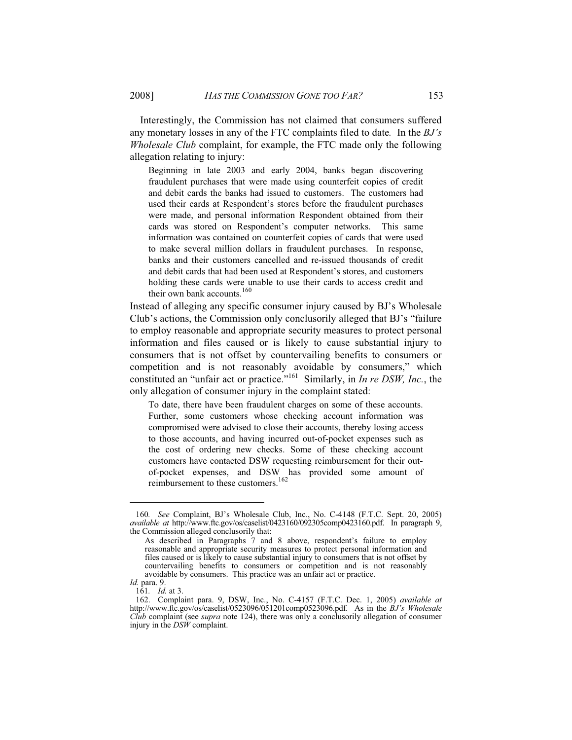Interestingly, the Commission has not claimed that consumers suffered any monetary losses in any of the FTC complaints filed to date*.* In the *BJ's Wholesale Club* complaint, for example, the FTC made only the following allegation relating to injury:

Beginning in late 2003 and early 2004, banks began discovering fraudulent purchases that were made using counterfeit copies of credit and debit cards the banks had issued to customers. The customers had used their cards at Respondent's stores before the fraudulent purchases were made, and personal information Respondent obtained from their cards was stored on Respondent's computer networks. This same information was contained on counterfeit copies of cards that were used to make several million dollars in fraudulent purchases. In response, banks and their customers cancelled and re-issued thousands of credit and debit cards that had been used at Respondent's stores, and customers holding these cards were unable to use their cards to access credit and their own bank accounts.<sup>160</sup>

Instead of alleging any specific consumer injury caused by BJ's Wholesale Club's actions, the Commission only conclusorily alleged that BJ's "failure to employ reasonable and appropriate security measures to protect personal information and files caused or is likely to cause substantial injury to consumers that is not offset by countervailing benefits to consumers or competition and is not reasonably avoidable by consumers," which constituted an "unfair act or practice."161 Similarly, in *In re DSW, Inc.*, the only allegation of consumer injury in the complaint stated:

To date, there have been fraudulent charges on some of these accounts. Further, some customers whose checking account information was compromised were advised to close their accounts, thereby losing access to those accounts, and having incurred out-of-pocket expenses such as the cost of ordering new checks. Some of these checking account customers have contacted DSW requesting reimbursement for their outof-pocket expenses, and DSW has provided some amount of reimbursement to these customers.<sup>162</sup>

 $\overline{a}$ 

<sup>160</sup>*. See* Complaint, BJ's Wholesale Club, Inc., No. C-4148 (F.T.C. Sept. 20, 2005) *available at* http://www.ftc.gov/os/caselist/0423160/092305comp0423160.pdf. In paragraph 9, the Commission alleged conclusorily that:

As described in Paragraphs 7 and 8 above, respondent's failure to employ reasonable and appropriate security measures to protect personal information and files caused or is likely to cause substantial injury to consumers that is not offset by countervailing benefits to consumers or competition and is not reasonably avoidable by consumers. This practice was an unfair act or practice.

*Id.* para. 9.

<sup>161</sup>*. Id.* at 3.

 <sup>162.</sup> Complaint para. 9, DSW, Inc., No. C-4157 (F.T.C. Dec. 1, 2005) *available at* http://www.ftc.gov/os/caselist/0523096/051201comp0523096.pdf. As in the *BJ's Wholesale Club* complaint (see *supra* note 124), there was only a conclusorily allegation of consumer injury in the *DSW* complaint.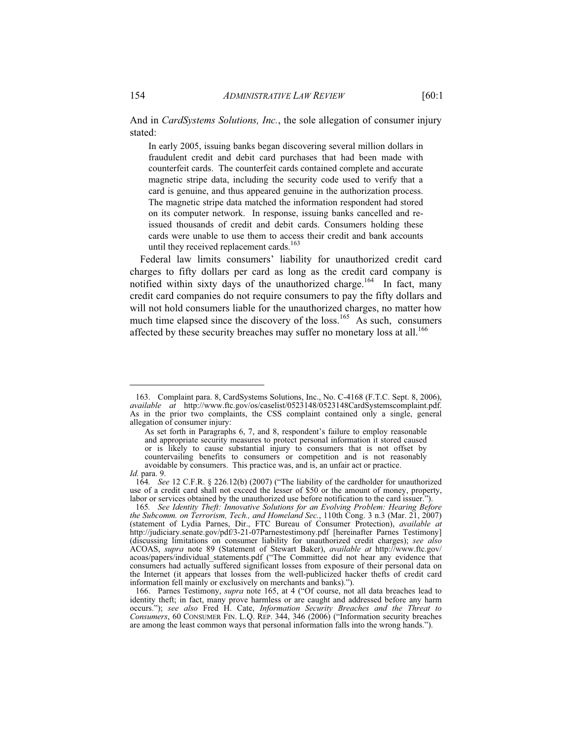And in *CardSystems Solutions, Inc.*, the sole allegation of consumer injury stated:

In early 2005, issuing banks began discovering several million dollars in fraudulent credit and debit card purchases that had been made with counterfeit cards. The counterfeit cards contained complete and accurate magnetic stripe data, including the security code used to verify that a card is genuine, and thus appeared genuine in the authorization process. The magnetic stripe data matched the information respondent had stored on its computer network. In response, issuing banks cancelled and reissued thousands of credit and debit cards. Consumers holding these cards were unable to use them to access their credit and bank accounts until they received replacement cards.<sup>163</sup>

Federal law limits consumers' liability for unauthorized credit card charges to fifty dollars per card as long as the credit card company is notified within sixty days of the unauthorized charge.<sup>164</sup> In fact, many credit card companies do not require consumers to pay the fifty dollars and will not hold consumers liable for the unauthorized charges, no matter how much time elapsed since the discovery of the loss.<sup>165</sup> As such, consumers affected by these security breaches may suffer no monetary loss at all.<sup>166</sup>

 $\overline{a}$ 

 <sup>163.</sup> Complaint para. 8, CardSystems Solutions, Inc., No. C-4168 (F.T.C. Sept. 8, 2006), *available at* http://www.ftc.gov/os/caselist/0523148/0523148CardSystemscomplaint.pdf. As in the prior two complaints, the CSS complaint contained only a single, general allegation of consumer injury:

As set forth in Paragraphs 6, 7, and 8, respondent's failure to employ reasonable and appropriate security measures to protect personal information it stored caused or is likely to cause substantial injury to consumers that is not offset by countervailing benefits to consumers or competition and is not reasonably avoidable by consumers. This practice was, and is, an unfair act or practice.

*Id.* para. 9.

<sup>164</sup>*. See* 12 C.F.R. § 226.12(b) (2007) ("The liability of the cardholder for unauthorized use of a credit card shall not exceed the lesser of \$50 or the amount of money, property, labor or services obtained by the unauthorized use before notification to the card issuer.").

<sup>165</sup>*. See Identity Theft: Innovative Solutions for an Evolving Problem: Hearing Before the Subcomm. on Terrorism, Tech., and Homeland Sec.*, 110th Cong. 3 n.3 (Mar. 21, 2007) (statement of Lydia Parnes, Dir., FTC Bureau of Consumer Protection), *available at* http://judiciary.senate.gov/pdf/3-21-07Parnestestimony.pdf [hereinafter Parnes Testimony] (discussing limitations on consumer liability for unauthorized credit charges); *see also* ACOAS, *supra* note 89 (Statement of Stewart Baker), *available at* http://www.ftc.gov/ acoas/papers/individual\_statements.pdf ("The Committee did not hear any evidence that consumers had actually suffered significant losses from exposure of their personal data on the Internet (it appears that losses from the well-publicized hacker thefts of credit card information fell mainly or exclusively on merchants and banks).").

 <sup>166.</sup> Parnes Testimony, *supra* note 165, at 4 ("Of course, not all data breaches lead to identity theft; in fact, many prove harmless or are caught and addressed before any harm occurs."); *see also* Fred H. Cate, *Information Security Breaches and the Threat to Consumers*, 60 CONSUMER FIN. L.Q. REP. 344, 346 (2006) ("Information security breaches are among the least common ways that personal information falls into the wrong hands.").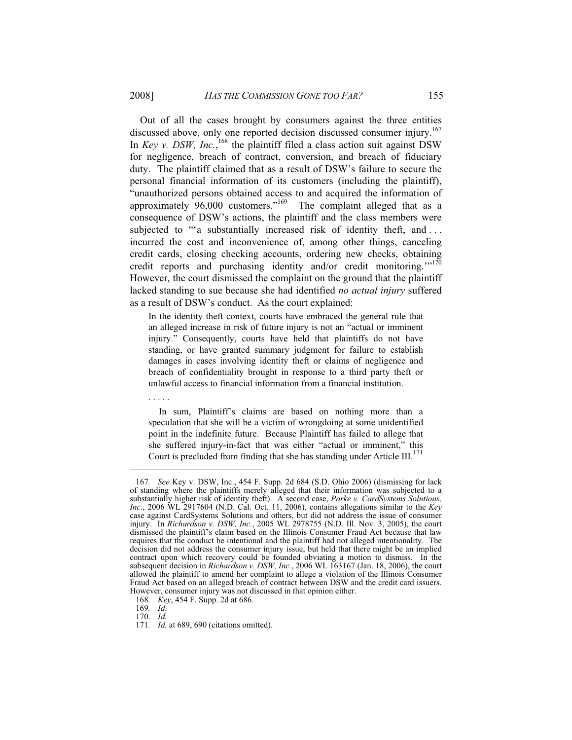Out of all the cases brought by consumers against the three entities discussed above, only one reported decision discussed consumer injury.<sup>167</sup> In *Key v. DSW, Inc.*,<sup>168</sup> the plaintiff filed a class action suit against DSW for negligence, breach of contract, conversion, and breach of fiduciary duty. The plaintiff claimed that as a result of DSW's failure to secure the personal financial information of its customers (including the plaintiff), "unauthorized persons obtained access to and acquired the information of approximately  $96,000$  customers."<sup>169</sup> The complaint alleged that as a consequence of DSW's actions, the plaintiff and the class members were subjected to "'a substantially increased risk of identity theft, and ... incurred the cost and inconvenience of, among other things, canceling credit cards, closing checking accounts, ordering new checks, obtaining credit reports and purchasing identity and/or credit monitoring."<sup>170</sup> However, the court dismissed the complaint on the ground that the plaintiff lacked standing to sue because she had identified *no actual injury* suffered as a result of DSW's conduct. As the court explained:

In the identity theft context, courts have embraced the general rule that an alleged increase in risk of future injury is not an "actual or imminent injury." Consequently, courts have held that plaintiffs do not have standing, or have granted summary judgment for failure to establish damages in cases involving identity theft or claims of negligence and breach of confidentiality brought in response to a third party theft or unlawful access to financial information from a financial institution.

 In sum, Plaintiff's claims are based on nothing more than a speculation that she will be a victim of wrongdoing at some unidentified point in the indefinite future. Because Plaintiff has failed to allege that she suffered injury-in-fact that was either "actual or imminent," this Court is precluded from finding that she has standing under Article III.<sup>171</sup>

. . . . .

<sup>167</sup>*. See* Key v. DSW, Inc., 454 F. Supp. 2d 684 (S.D. Ohio 2006) (dismissing for lack of standing where the plaintiffs merely alleged that their information was subjected to a substantially higher risk of identity theft). A second case, *Parke v. CardSystems Solutions, Inc*., 2006 WL 2917604 (N.D. Cal. Oct. 11, 2006), contains allegations similar to the *Key* case against CardSystems Solutions and others, but did not address the issue of consumer injury. In *Richardson v. DSW, Inc.*, 2005 WL 2978755 (N.D. Ill. Nov. 3, 2005), the court dismissed the plaintiff's claim based on the Illinois Consumer Fraud Act because that law requires that the conduct be intentional and the plaintiff had not alleged intentionality. The decision did not address the consumer injury issue, but held that there might be an implied contract upon which recovery could be founded obviating a motion to dismiss. In the subsequent decision in *Richardson v. DSW, Inc.*, 2006 WL 163167 (Jan. 18, 2006), the court allowed the plaintiff to amend her complaint to allege a violation of the Illinois Consumer Fraud Act based on an alleged breach of contract between DSW and the credit card issuers. However, consumer injury was not discussed in that opinion either.

<sup>168</sup>*. Key*, 454 F. Supp. 2d at 686.

<sup>169</sup>*. Id*.

<sup>170</sup>*. Id.*

<sup>171</sup>*. Id.* at 689, 690 (citations omitted).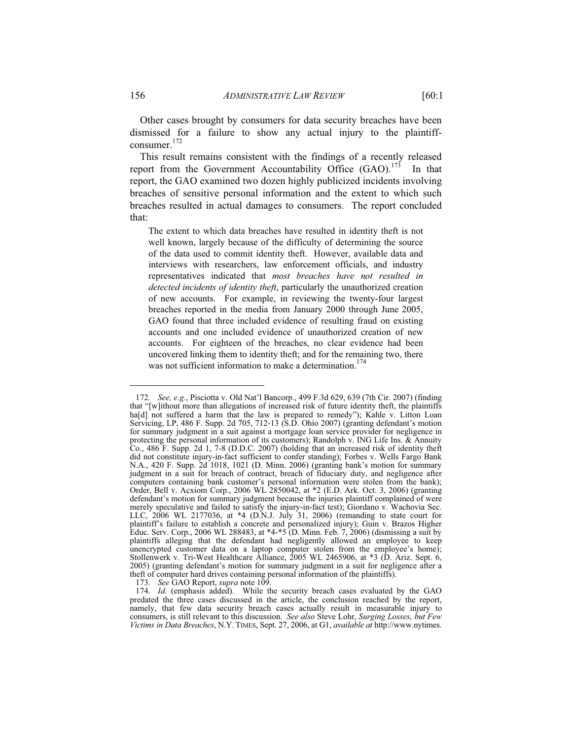Other cases brought by consumers for data security breaches have been dismissed for a failure to show any actual injury to the plaintiffconsumer.<sup>172</sup>

This result remains consistent with the findings of a recently released report from the Government Accountability Office  $(GAO)$ .<sup>173</sup> In that report, the GAO examined two dozen highly publicized incidents involving breaches of sensitive personal information and the extent to which such breaches resulted in actual damages to consumers. The report concluded that:

The extent to which data breaches have resulted in identity theft is not well known, largely because of the difficulty of determining the source of the data used to commit identity theft. However, available data and interviews with researchers, law enforcement officials, and industry representatives indicated that *most breaches have not resulted in detected incidents of identity theft*, particularly the unauthorized creation of new accounts. For example, in reviewing the twenty-four largest breaches reported in the media from January 2000 through June 2005, GAO found that three included evidence of resulting fraud on existing accounts and one included evidence of unauthorized creation of new accounts. For eighteen of the breaches, no clear evidence had been uncovered linking them to identity theft; and for the remaining two, there was not sufficient information to make a determination.<sup>174</sup>

173*. See* GAO Report, *supra* note 109.

<sup>172</sup>*. See, e.g*., Pisciotta v. Old Nat'l Bancorp., 499 F.3d 629, 639 (7th Cir. 2007) (finding that "[w]ithout more than allegations of increased risk of future identity theft, the plaintiffs ha[d] not suffered a harm that the law is prepared to remedy"); Kahle v. Litton Loan Servicing, LP, 486 F. Supp. 2d 705, 712-13 (S.D. Ohio 2007) (granting defendant's motion for summary judgment in a suit against a mortgage loan service provider for negligence in protecting the personal information of its customers); Randolph v. ING Life Ins. & Annuity Co., 486 F. Supp. 2d 1, 7-8 (D.D.C. 2007) (holding that an increased risk of identity theft did not constitute injury-in-fact sufficient to confer standing); Forbes v. Wells Fargo Bank N.A., 420 F. Supp. 2d 1018, 1021 (D. Minn. 2006) (granting bank's motion for summary judgment in a suit for breach of contract, breach of fiduciary duty, and negligence after computers containing bank customer's personal information were stolen from the bank); Order, Bell v. Acxiom Corp., 2006 WL 2850042, at \*2 (E.D. Ark. Oct. 3, 2006) (granting defendant's motion for summary judgment because the injuries plaintiff complained of were merely speculative and failed to satisfy the injury-in-fact test); Giordano v. Wachovia Sec. LLC, 2006 WL 2177036, at \*4 (D.N.J. July 31, 2006) (remanding to state court for plaintiff's failure to establish a concrete and personalized injury); Guin v. Brazos Higher Educ. Serv. Corp., 2006 WL 288483, at \*4-\*5 (D. Minn. Feb. 7, 2006) (dismissing a suit by plaintiffs alleging that the defendant had negligently allowed an employee to keep unencrypted customer data on a laptop computer stolen from the employee's home); Stollenwerk v. Tri-West Healthcare Alliance, 2005 WL 2465906, at \*3 (D. Ariz. Sept. 6, 2005) (granting defendant's motion for summary judgment in a suit for negligence after a theft of computer hard drives containing personal information of the plaintiffs).

<sup>174</sup>*. Id.* (emphasis added). While the security breach cases evaluated by the GAO predated the three cases discussed in the article, the conclusion reached by the report, namely, that few data security breach cases actually result in measurable injury to consumers, is still relevant to this discussion. *See also* Steve Lohr, *Surging Losses, but Few Victims in Data Breaches*, N.Y. TIMES, Sept. 27, 2006, at G1, *available at* http://www.nytimes.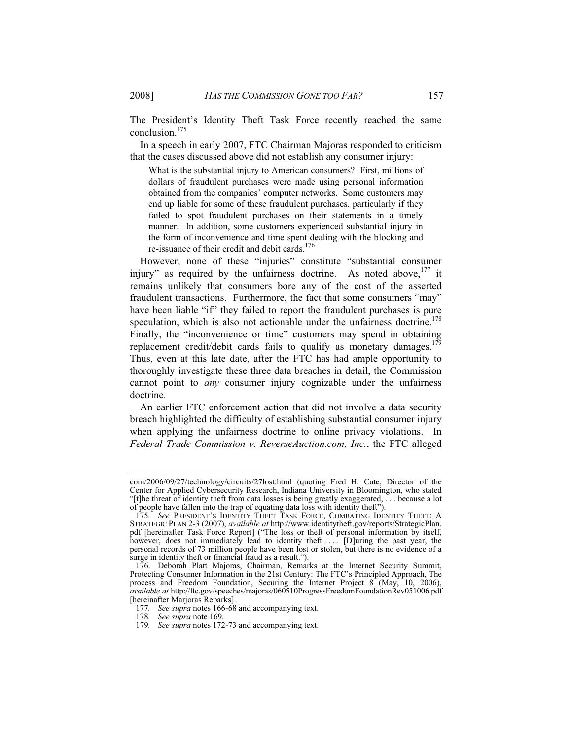The President's Identity Theft Task Force recently reached the same conclusion.175

In a speech in early 2007, FTC Chairman Majoras responded to criticism that the cases discussed above did not establish any consumer injury:

What is the substantial injury to American consumers? First, millions of dollars of fraudulent purchases were made using personal information obtained from the companies' computer networks. Some customers may end up liable for some of these fraudulent purchases, particularly if they failed to spot fraudulent purchases on their statements in a timely manner. In addition, some customers experienced substantial injury in the form of inconvenience and time spent dealing with the blocking and re-issuance of their credit and debit cards.<sup>176</sup>

However, none of these "injuries" constitute "substantial consumer injury" as required by the unfairness doctrine. As noted above,<sup>177</sup> it remains unlikely that consumers bore any of the cost of the asserted fraudulent transactions. Furthermore, the fact that some consumers "may" have been liable "if" they failed to report the fraudulent purchases is pure speculation, which is also not actionable under the unfairness doctrine.<sup>178</sup> Finally, the "inconvenience or time" customers may spend in obtaining replacement credit/debit cards fails to qualify as monetary damages.<sup>179</sup> Thus, even at this late date, after the FTC has had ample opportunity to thoroughly investigate these three data breaches in detail, the Commission cannot point to *any* consumer injury cognizable under the unfairness doctrine.

An earlier FTC enforcement action that did not involve a data security breach highlighted the difficulty of establishing substantial consumer injury when applying the unfairness doctrine to online privacy violations. In *Federal Trade Commission v. ReverseAuction.com, Inc.*, the FTC alleged

com/2006/09/27/technology/circuits/27lost.html (quoting Fred H. Cate, Director of the Center for Applied Cybersecurity Research, Indiana University in Bloomington, who stated "[t]he threat of identity theft from data losses is being greatly exaggerated, . . . because a lot of people have fallen into the trap of equating data loss with identity theft").

<sup>175</sup>*. See* PRESIDENT'S IDENTITY THEFT TASK FORCE, COMBATING IDENTITY THEFT: A STRATEGIC PLAN 2-3 (2007), *available at* http://www.identitytheft.gov/reports/StrategicPlan. pdf [hereinafter Task Force Report] ("The loss or theft of personal information by itself, however, does not immediately lead to identity theft ... [D]uring the past year, the personal records of 73 million people have been lost or stolen, but there is no evidence of a surge in identity theft or financial fraud as a result.").

 <sup>176.</sup> Deborah Platt Majoras, Chairman, Remarks at the Internet Security Summit, Protecting Consumer Information in the 21st Century: The FTC's Principled Approach, The process and Freedom Foundation, Securing the Internet Project 8 (May, 10, 2006), *available at* http://ftc.gov/speeches/majoras/060510ProgressFreedomFoundationRev051006.pdf [hereinafter Marjoras Reparks].

<sup>177</sup>*. See supra* notes 166-68 and accompanying text.

<sup>178</sup>*. See supra* note 169*.*

<sup>179</sup>*. See supra* notes 172-73 and accompanying text.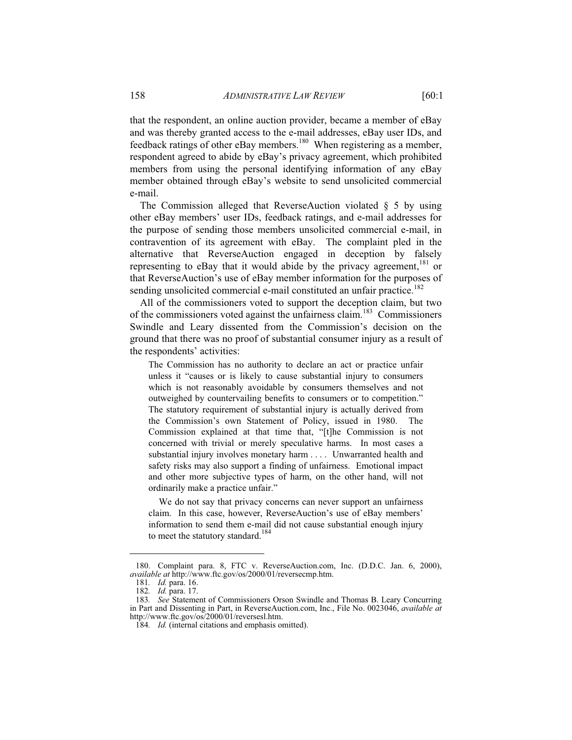that the respondent, an online auction provider, became a member of eBay and was thereby granted access to the e-mail addresses, eBay user IDs, and feedback ratings of other eBay members.<sup>180</sup> When registering as a member, respondent agreed to abide by eBay's privacy agreement, which prohibited members from using the personal identifying information of any eBay member obtained through eBay's website to send unsolicited commercial e-mail.

The Commission alleged that ReverseAuction violated  $\S$  5 by using other eBay members' user IDs, feedback ratings, and e-mail addresses for the purpose of sending those members unsolicited commercial e-mail, in contravention of its agreement with eBay. The complaint pled in the alternative that ReverseAuction engaged in deception by falsely representing to eBay that it would abide by the privacy agreement, $181$  or that ReverseAuction's use of eBay member information for the purposes of sending unsolicited commercial e-mail constituted an unfair practice.<sup>182</sup>

All of the commissioners voted to support the deception claim, but two of the commissioners voted against the unfairness claim.<sup>183</sup> Commissioners Swindle and Leary dissented from the Commission's decision on the ground that there was no proof of substantial consumer injury as a result of the respondents' activities:

The Commission has no authority to declare an act or practice unfair unless it "causes or is likely to cause substantial injury to consumers which is not reasonably avoidable by consumers themselves and not outweighed by countervailing benefits to consumers or to competition." The statutory requirement of substantial injury is actually derived from the Commission's own Statement of Policy, issued in 1980. The Commission explained at that time that, "[t]he Commission is not concerned with trivial or merely speculative harms. In most cases a substantial injury involves monetary harm . . . . Unwarranted health and safety risks may also support a finding of unfairness. Emotional impact and other more subjective types of harm, on the other hand, will not ordinarily make a practice unfair."

 We do not say that privacy concerns can never support an unfairness claim. In this case, however, ReverseAuction's use of eBay members' information to send them e-mail did not cause substantial enough injury to meet the statutory standard.<sup>184</sup>

 <sup>180.</sup> Complaint para. 8, FTC v. ReverseAuction.com, Inc. (D.D.C. Jan. 6, 2000), *available at* http://www.ftc.gov/os/2000/01/reversecmp.htm.

<sup>181</sup>*. Id.* para. 16.

<sup>182</sup>*. Id.* para. 17.

<sup>183</sup>*. See* Statement of Commissioners Orson Swindle and Thomas B. Leary Concurring in Part and Dissenting in Part, in ReverseAuction.com, Inc., File No. 0023046, *available at* http://www.ftc.gov/os/2000/01/reversesl.htm.

<sup>184</sup>*. Id.* (internal citations and emphasis omitted).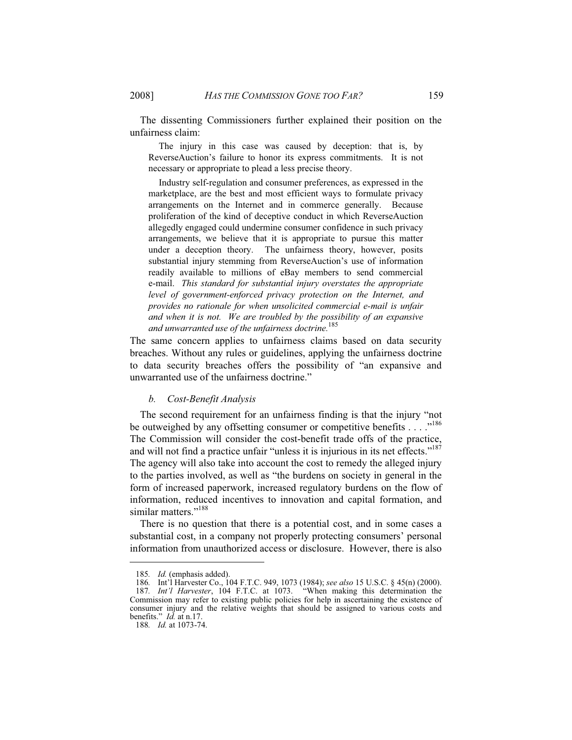The dissenting Commissioners further explained their position on the unfairness claim:

 The injury in this case was caused by deception: that is, by ReverseAuction's failure to honor its express commitments. It is not necessary or appropriate to plead a less precise theory.

 Industry self-regulation and consumer preferences, as expressed in the marketplace, are the best and most efficient ways to formulate privacy arrangements on the Internet and in commerce generally. Because proliferation of the kind of deceptive conduct in which ReverseAuction allegedly engaged could undermine consumer confidence in such privacy arrangements, we believe that it is appropriate to pursue this matter under a deception theory. The unfairness theory, however, posits substantial injury stemming from ReverseAuction's use of information readily available to millions of eBay members to send commercial e-mail. *This standard for substantial injury overstates the appropriate level of government-enforced privacy protection on the Internet, and provides no rationale for when unsolicited commercial e-mail is unfair and when it is not. We are troubled by the possibility of an expansive and unwarranted use of the unfairness doctrine.*<sup>185</sup>

The same concern applies to unfairness claims based on data security breaches. Without any rules or guidelines, applying the unfairness doctrine to data security breaches offers the possibility of "an expansive and unwarranted use of the unfairness doctrine."

#### *b. Cost-Benefit Analysis*

The second requirement for an unfairness finding is that the injury "not be outweighed by any offsetting consumer or competitive benefits . . . ."<sup>186</sup> The Commission will consider the cost-benefit trade offs of the practice, and will not find a practice unfair "unless it is injurious in its net effects."<sup>187</sup> The agency will also take into account the cost to remedy the alleged injury to the parties involved, as well as "the burdens on society in general in the form of increased paperwork, increased regulatory burdens on the flow of information, reduced incentives to innovation and capital formation, and similar matters."<sup>188</sup>

There is no question that there is a potential cost, and in some cases a substantial cost, in a company not properly protecting consumers' personal information from unauthorized access or disclosure. However, there is also

<sup>185</sup>*. Id.* (emphasis added).

<sup>186</sup>*.* Int'l Harvester Co., 104 F.T.C. 949, 1073 (1984); *see also* 15 U.S.C. § 45(n) (2000). 187*. Int'l Harvester*, 104 F.T.C. at 1073. "When making this determination the Commission may refer to existing public policies for help in ascertaining the existence of consumer injury and the relative weights that should be assigned to various costs and benefits." *Id.* at n.17.

<sup>188</sup>*. Id.* at 1073-74.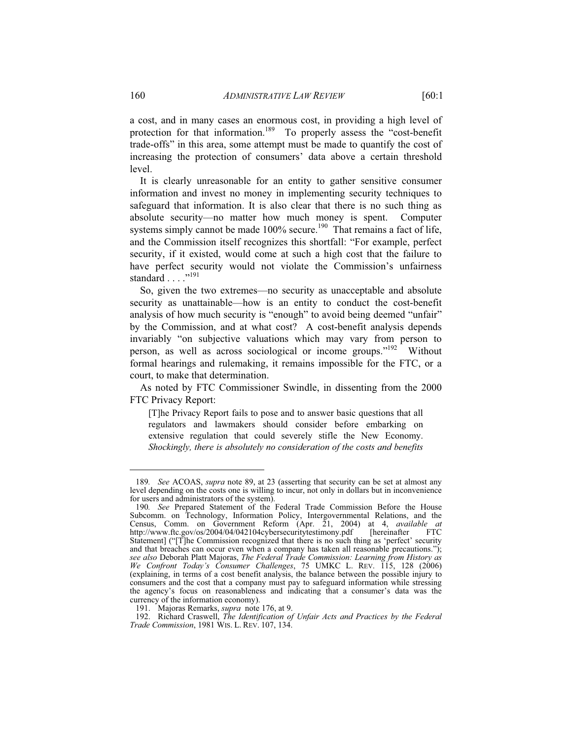a cost, and in many cases an enormous cost, in providing a high level of protection for that information.<sup>189</sup> To properly assess the "cost-benefit trade-offs" in this area, some attempt must be made to quantify the cost of increasing the protection of consumers' data above a certain threshold level.

It is clearly unreasonable for an entity to gather sensitive consumer information and invest no money in implementing security techniques to safeguard that information. It is also clear that there is no such thing as absolute security—no matter how much money is spent. Computer systems simply cannot be made  $100\%$  secure.<sup>190</sup> That remains a fact of life, and the Commission itself recognizes this shortfall: "For example, perfect security, if it existed, would come at such a high cost that the failure to have perfect security would not violate the Commission's unfairness standard . . . . . . 191

So, given the two extremes—no security as unacceptable and absolute security as unattainable—how is an entity to conduct the cost-benefit analysis of how much security is "enough" to avoid being deemed "unfair" by the Commission, and at what cost? A cost-benefit analysis depends invariably "on subjective valuations which may vary from person to person, as well as across sociological or income groups."<sup>192</sup> Without formal hearings and rulemaking, it remains impossible for the FTC, or a court, to make that determination.

As noted by FTC Commissioner Swindle, in dissenting from the 2000 FTC Privacy Report:

[T]he Privacy Report fails to pose and to answer basic questions that all regulators and lawmakers should consider before embarking on extensive regulation that could severely stifle the New Economy. *Shockingly, there is absolutely no consideration of the costs and benefits* 

<sup>189</sup>*. See* ACOAS, *supra* note 89, at 23 (asserting that security can be set at almost any level depending on the costs one is willing to incur, not only in dollars but in inconvenience for users and administrators of the system).

<sup>190</sup>*. See* Prepared Statement of the Federal Trade Commission Before the House Subcomm. on Technology, Information Policy, Intergovernmental Relations, and the Census, Comm. on Government Reform (Apr. 21, 2004) at 4, *available at* http://www.ftc.gov/os/2004/04/042104cybersecuritytestimony.pdf Statement] ("[T]he Commission recognized that there is no such thing as 'perfect' security and that breaches can occur even when a company has taken all reasonable precautions."); *see also* Deborah Platt Majoras, *The Federal Trade Commission: Learning from History as We Confront Today's Consumer Challenges*, 75 UMKC L. REV. 115, 128 (2006) (explaining, in terms of a cost benefit analysis, the balance between the possible injury to consumers and the cost that a company must pay to safeguard information while stressing the agency's focus on reasonableness and indicating that a consumer's data was the currency of the information economy).

 <sup>191.</sup> Majoras Remarks, *supra* note 176, at 9.

 <sup>192.</sup> Richard Craswell, *The Identification of Unfair Acts and Practices by the Federal Trade Commission*, 1981 WIS. L. REV. 107, 134.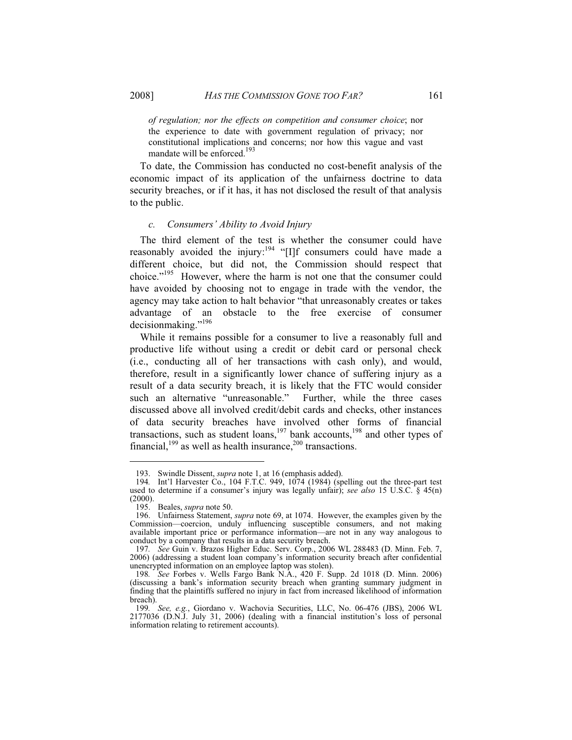*of regulation; nor the effects on competition and consumer choice*; nor the experience to date with government regulation of privacy; nor constitutional implications and concerns; nor how this vague and vast mandate will be enforced.<sup>193</sup>

To date, the Commission has conducted no cost-benefit analysis of the economic impact of its application of the unfairness doctrine to data security breaches, or if it has, it has not disclosed the result of that analysis to the public.

#### *c. Consumers' Ability to Avoid Injury*

The third element of the test is whether the consumer could have reasonably avoided the injury:<sup>194</sup> "[I]f consumers could have made a different choice, but did not, the Commission should respect that choice."195 However, where the harm is not one that the consumer could have avoided by choosing not to engage in trade with the vendor, the agency may take action to halt behavior "that unreasonably creates or takes advantage of an obstacle to the free exercise of consumer decisionmaking."196

While it remains possible for a consumer to live a reasonably full and productive life without using a credit or debit card or personal check (i.e., conducting all of her transactions with cash only), and would, therefore, result in a significantly lower chance of suffering injury as a result of a data security breach, it is likely that the FTC would consider such an alternative "unreasonable." Further, while the three cases discussed above all involved credit/debit cards and checks, other instances of data security breaches have involved other forms of financial transactions, such as student loans, $197$  bank accounts,  $198$  and other types of financial, $199$  as well as health insurance, $200$  transactions.

 <sup>193.</sup> Swindle Dissent, *supra* note 1, at 16 (emphasis added).

<sup>194</sup>*.* Int'l Harvester Co., 104 F.T.C. 949, 1074 (1984) (spelling out the three-part test used to determine if a consumer's injury was legally unfair); *see also* 15 U.S.C. § 45(n) (2000).

 <sup>195.</sup> Beales, *supra* note 50.

 <sup>196.</sup> Unfairness Statement, *supra* note 69, at 1074. However, the examples given by the Commission—coercion, unduly influencing susceptible consumers, and not making available important price or performance information—are not in any way analogous to conduct by a company that results in a data security breach.

<sup>197</sup>*. See* Guin v. Brazos Higher Educ. Serv. Corp., 2006 WL 288483 (D. Minn. Feb. 7, 2006) (addressing a student loan company's information security breach after confidential unencrypted information on an employee laptop was stolen).

<sup>198</sup>*. See* Forbes v. Wells Fargo Bank N.A., 420 F. Supp. 2d 1018 (D. Minn. 2006) (discussing a bank's information security breach when granting summary judgment in finding that the plaintiffs suffered no injury in fact from increased likelihood of information breach).

<sup>199</sup>*. See, e.g.*, Giordano v. Wachovia Securities, LLC, No. 06-476 (JBS), 2006 WL 2177036 (D.N.J. July 31, 2006) (dealing with a financial institution's loss of personal information relating to retirement accounts).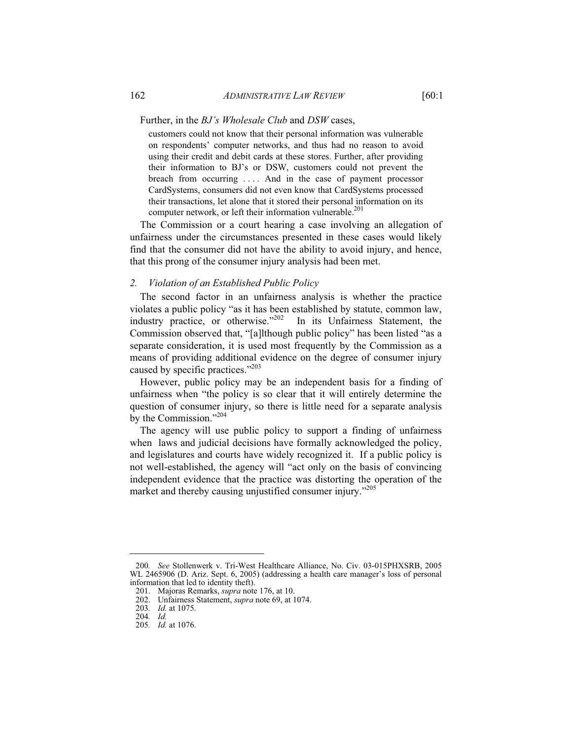customers could not know that their personal information was vulnerable on respondents' computer networks, and thus had no reason to avoid using their credit and debit cards at these stores. Further, after providing their information to BJ's or DSW, customers could not prevent the breach from occurring . . . . And in the case of payment processor CardSystems, consumers did not even know that CardSystems processed their transactions, let alone that it stored their personal information on its computer network, or left their information vulnerable.<sup>201</sup>

The Commission or a court hearing a case involving an allegation of unfairness under the circumstances presented in these cases would likely find that the consumer did not have the ability to avoid injury, and hence, that this prong of the consumer injury analysis had been met.

#### *2. Violation of an Established Public Policy*

The second factor in an unfairness analysis is whether the practice violates a public policy "as it has been established by statute, common law, industry practice, or otherwise."202 In its Unfairness Statement, the Commission observed that, "[a]lthough public policy" has been listed "as a separate consideration, it is used most frequently by the Commission as a means of providing additional evidence on the degree of consumer injury caused by specific practices."<sup>203</sup>

However, public policy may be an independent basis for a finding of unfairness when "the policy is so clear that it will entirely determine the question of consumer injury, so there is little need for a separate analysis by the Commission."<sup>204</sup>

The agency will use public policy to support a finding of unfairness when laws and judicial decisions have formally acknowledged the policy, and legislatures and courts have widely recognized it. If a public policy is not well-established, the agency will "act only on the basis of convincing independent evidence that the practice was distorting the operation of the market and thereby causing unjustified consumer injury."<sup>205</sup>

<sup>200</sup>*. See* Stollenwerk v. Tri-West Healthcare Alliance, No. Civ. 03-015PHXSRB, 2005 WL 2465906 (D. Ariz. Sept. 6, 2005) (addressing a health care manager's loss of personal information that led to identity theft).

 <sup>201.</sup> Majoras Remarks, *supra* note 176, at 10.

 <sup>202.</sup> Unfairness Statement, *supra* note 69, at 1074.

<sup>203</sup>*. Id.* at 1075.

<sup>204</sup>*. Id.*

<sup>205</sup>*. Id.* at 1076.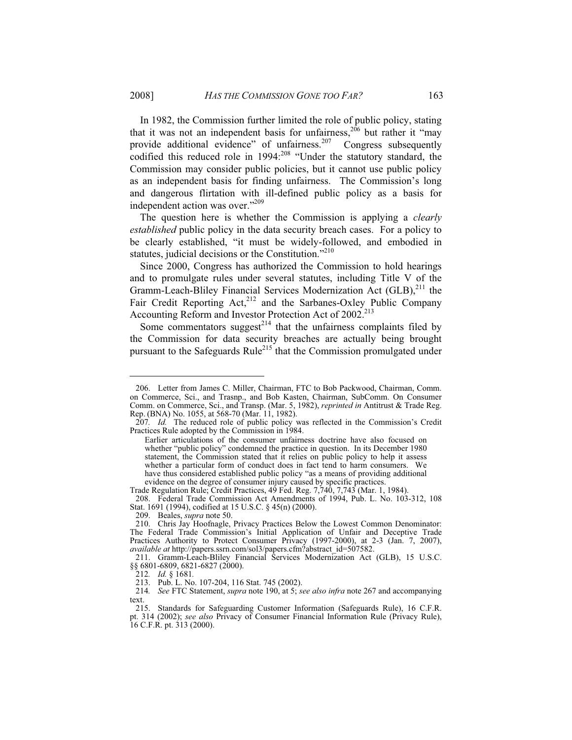In 1982, the Commission further limited the role of public policy, stating that it was not an independent basis for unfairness,<sup>206</sup> but rather it "may" provide additional evidence" of unfairness.<sup>207</sup> Congress subsequently codified this reduced role in 1994:<sup>208</sup> "Under the statutory standard, the Commission may consider public policies, but it cannot use public policy as an independent basis for finding unfairness. The Commission's long and dangerous flirtation with ill-defined public policy as a basis for independent action was over."<sup>209</sup>

The question here is whether the Commission is applying a *clearly established* public policy in the data security breach cases. For a policy to be clearly established, "it must be widely-followed, and embodied in statutes, judicial decisions or the Constitution."<sup>210</sup>

Since 2000, Congress has authorized the Commission to hold hearings and to promulgate rules under several statutes, including Title V of the Gramm-Leach-Bliley Financial Services Modernization Act (GLB),<sup>211</sup> the Fair Credit Reporting Act,<sup>212</sup> and the Sarbanes-Oxley Public Company Accounting Reform and Investor Protection Act of 2002.<sup>213</sup>

Some commentators suggest<sup>214</sup> that the unfairness complaints filed by the Commission for data security breaches are actually being brought pursuant to the Safeguards Rule<sup>215</sup> that the Commission promulgated under

 $\overline{a}$ 

 <sup>206.</sup> Letter from James C. Miller, Chairman, FTC to Bob Packwood, Chairman, Comm. on Commerce, Sci., and Trasnp., and Bob Kasten, Chairman, SubComm. On Consumer Comm. on Commerce, Sci., and Transp. (Mar. 5, 1982), *reprinted in* Antitrust & Trade Reg. Rep. (BNA) No. 1055, at 568-70 (Mar. 11, 1982).

<sup>207</sup>*. Id.* The reduced role of public policy was reflected in the Commission's Credit Practices Rule adopted by the Commission in 1984.

Earlier articulations of the consumer unfairness doctrine have also focused on whether "public policy" condemned the practice in question. In its December 1980 statement, the Commission stated that it relies on public policy to help it assess whether a particular form of conduct does in fact tend to harm consumers. We have thus considered established public policy "as a means of providing additional evidence on the degree of consumer injury caused by specific practices.

Trade Regulation Rule; Credit Practices, 49 Fed. Reg. 7,740, 7,743 (Mar. 1, 1984).

 <sup>208.</sup> Federal Trade Commission Act Amendments of 1994, Pub. L. No. 103-312, 108 Stat. 1691 (1994), codified at 15 U.S.C. § 45(n) (2000).

 <sup>209.</sup> Beales, *supra* note 50.

 <sup>210.</sup> Chris Jay Hoofnagle, Privacy Practices Below the Lowest Common Denominator: The Federal Trade Commission's Initial Application of Unfair and Deceptive Trade Practices Authority to Protect Consumer Privacy (1997-2000), at 2-3 (Jan. 7, 2007), *available at* http://papers.ssrn.com/sol3/papers.cfm?abstract\_id=507582.

 <sup>211.</sup> Gramm-Leach-Bliley Financial Services Modernization Act (GLB), 15 U.S.C. §§ 6801-6809, 6821-6827 (2000).

<sup>212</sup>*. Id.* § 1681*.*

 <sup>213.</sup> Pub. L. No. 107-204, 116 Stat. 745 (2002).

<sup>214</sup>*. See* FTC Statement, *supra* note 190, at 5; *see also infra* note 267 and accompanying text.

 <sup>215.</sup> Standards for Safeguarding Customer Information (Safeguards Rule), 16 C.F.R. pt. 314 (2002); *see also* Privacy of Consumer Financial Information Rule (Privacy Rule), 16 C.F.R. pt. 313 (2000).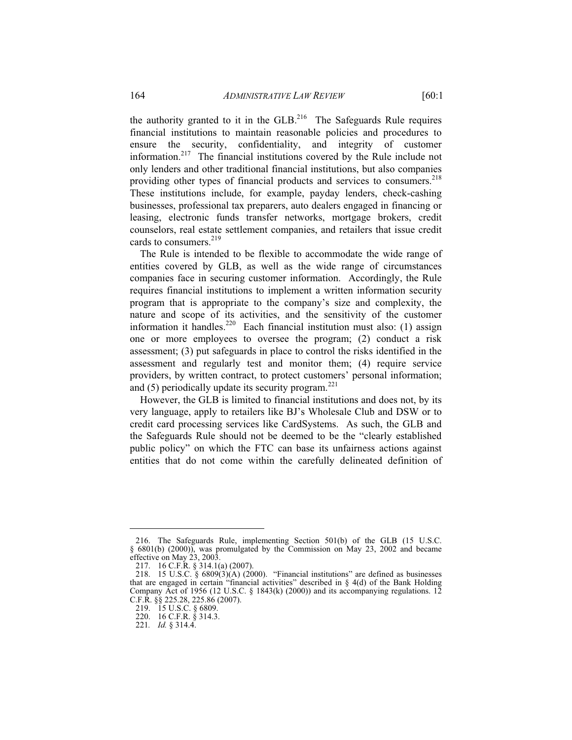the authority granted to it in the  $GLB<sup>216</sup>$  The Safeguards Rule requires financial institutions to maintain reasonable policies and procedures to ensure the security, confidentiality, and integrity of customer information.<sup>217</sup> The financial institutions covered by the Rule include not only lenders and other traditional financial institutions, but also companies providing other types of financial products and services to consumers.<sup>218</sup> These institutions include, for example, payday lenders, check-cashing businesses, professional tax preparers, auto dealers engaged in financing or leasing, electronic funds transfer networks, mortgage brokers, credit counselors, real estate settlement companies, and retailers that issue credit cards to consumers. $^{219}$ 

The Rule is intended to be flexible to accommodate the wide range of entities covered by GLB, as well as the wide range of circumstances companies face in securing customer information. Accordingly, the Rule requires financial institutions to implement a written information security program that is appropriate to the company's size and complexity, the nature and scope of its activities, and the sensitivity of the customer information it handles.<sup>220</sup> Each financial institution must also: (1) assign one or more employees to oversee the program; (2) conduct a risk assessment; (3) put safeguards in place to control the risks identified in the assessment and regularly test and monitor them; (4) require service providers, by written contract, to protect customers' personal information; and (5) periodically update its security program. $^{221}$ 

However, the GLB is limited to financial institutions and does not, by its very language, apply to retailers like BJ's Wholesale Club and DSW or to credit card processing services like CardSystems. As such, the GLB and the Safeguards Rule should not be deemed to be the "clearly established public policy" on which the FTC can base its unfairness actions against entities that do not come within the carefully delineated definition of

 <sup>216.</sup> The Safeguards Rule, implementing Section 501(b) of the GLB (15 U.S.C. § 6801(b) (2000)), was promulgated by the Commission on May 23, 2002 and became effective on May 23, 2003.

 <sup>217. 16</sup> C.F.R. § 314.1(a) (2007).

<sup>218. 15</sup> U.S.C. §  $6809(3)(A)$  (2000). "Financial institutions" are defined as businesses that are engaged in certain "financial activities" described in  $\S$  4(d) of the Bank Holding Company Act of 1956 (12 U.S.C. § 1843(k) (2000)) and its accompanying regulations. 12 C.F.R. §§ 225.28, 225.86 (2007).

 <sup>219. 15</sup> U.S.C. § 6809.

 <sup>220. 16</sup> C.F.R. § 314.3.

<sup>221</sup>*. Id.* § 314.4.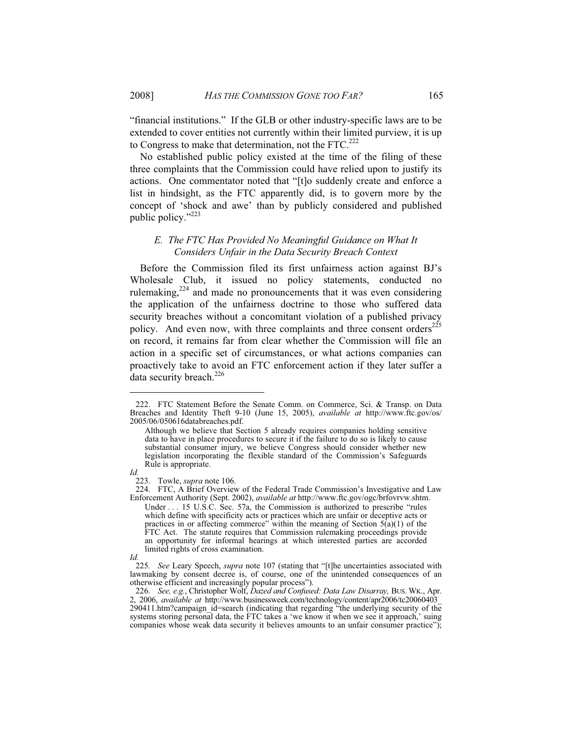"financial institutions." If the GLB or other industry-specific laws are to be extended to cover entities not currently within their limited purview, it is up to Congress to make that determination, not the  $\text{FTC}$ <sup>222</sup>

No established public policy existed at the time of the filing of these three complaints that the Commission could have relied upon to justify its actions. One commentator noted that "[t]o suddenly create and enforce a list in hindsight, as the FTC apparently did, is to govern more by the concept of 'shock and awe' than by publicly considered and published public policy."<sup>223</sup>

# *E. The FTC Has Provided No Meaningful Guidance on What It Considers Unfair in the Data Security Breach Context*

Before the Commission filed its first unfairness action against BJ's Wholesale Club, it issued no policy statements, conducted no rulemaking, $2^{24}$  and made no pronouncements that it was even considering the application of the unfairness doctrine to those who suffered data security breaches without a concomitant violation of a published privacy policy. And even now, with three complaints and three consent orders $^{225}$ on record, it remains far from clear whether the Commission will file an action in a specific set of circumstances, or what actions companies can proactively take to avoid an FTC enforcement action if they later suffer a data security breach. $226$ 

 $\overline{a}$ 

 <sup>222.</sup> FTC Statement Before the Senate Comm. on Commerce, Sci. & Transp. on Data Breaches and Identity Theft 9-10 (June 15, 2005), *available at* http://www.ftc.gov/os/ 2005/06/050616databreaches.pdf.

Although we believe that Section 5 already requires companies holding sensitive data to have in place procedures to secure it if the failure to do so is likely to cause substantial consumer injury, we believe Congress should consider whether new legislation incorporating the flexible standard of the Commission's Safeguards Rule is appropriate.

*Id.*

 <sup>223.</sup> Towle, *supra* note 106.

 <sup>224.</sup> FTC, A Brief Overview of the Federal Trade Commission's Investigative and Law Enforcement Authority (Sept. 2002), *available at* http://www.ftc.gov/ogc/brfovrvw.shtm.

Under . . . 15 U.S.C. Sec. 57a, the Commission is authorized to prescribe "rules which define with specificity acts or practices which are unfair or deceptive acts or practices in or affecting commerce" within the meaning of Section  $5(a)(1)$  of the FTC Act. The statute requires that Commission rulemaking proceedings provide an opportunity for informal hearings at which interested parties are accorded limited rights of cross examination.

*Id.*

<sup>225</sup>*. See* Leary Speech, *supra* note 107 (stating that "[t]he uncertainties associated with lawmaking by consent decree is, of course, one of the unintended consequences of an otherwise efficient and increasingly popular process").

<sup>226</sup>*. See, e.g.*, Christopher Wolf, *Dazed and Confused: Data Law Disarray,* BUS. WK., Apr. 2, 2006, *available at* http://www.businessweek.com/technology/content/apr2006/tc20060403\_  $290411$ .htm?campaign\_id=search (indicating that regarding "the underlying security of the systems storing personal data, the FTC takes a 'we know it when we see it approach,' suing companies whose weak data security it believes amounts to an unfair consumer practice");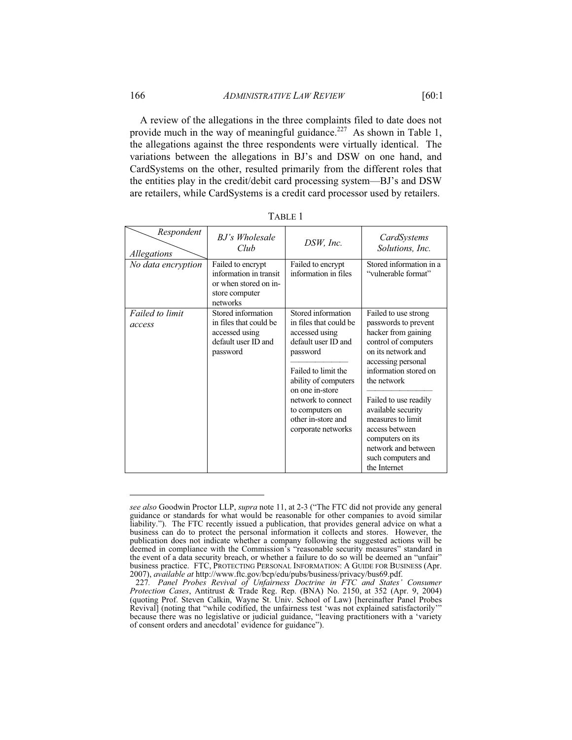A review of the allegations in the three complaints filed to date does not provide much in the way of meaningful guidance.<sup>227</sup> As shown in Table 1, the allegations against the three respondents were virtually identical. The variations between the allegations in BJ's and DSW on one hand, and CardSystems on the other, resulted primarily from the different roles that the entities play in the credit/debit card processing system—BJ's and DSW are retailers, while CardSystems is a credit card processor used by retailers.

| Respondent<br>Allegations | B.J's Wholesale<br>Club                                                                            | DSW, Inc.                                                                                                                                                                                                                                                | CardSystems<br>Solutions, Inc.                                                                                                                                                                                                                                                                                                                         |
|---------------------------|----------------------------------------------------------------------------------------------------|----------------------------------------------------------------------------------------------------------------------------------------------------------------------------------------------------------------------------------------------------------|--------------------------------------------------------------------------------------------------------------------------------------------------------------------------------------------------------------------------------------------------------------------------------------------------------------------------------------------------------|
| No data encryption        | Failed to encrypt<br>information in transit<br>or when stored on in-<br>store computer<br>networks | Failed to encrypt<br>information in files                                                                                                                                                                                                                | Stored information in a<br>"vulnerable format"                                                                                                                                                                                                                                                                                                         |
| Failed to limit<br>access | Stored information<br>in files that could be<br>accessed using<br>default user ID and<br>password  | Stored information<br>in files that could be<br>accessed using<br>default user ID and<br>password<br>Failed to limit the<br>ability of computers<br>on one in-store<br>network to connect<br>to computers on<br>other in-store and<br>corporate networks | Failed to use strong<br>passwords to prevent<br>hacker from gaining<br>control of computers<br>on its network and<br>accessing personal<br>information stored on<br>the network<br>Failed to use readily<br>available security<br>measures to limit<br>access between<br>computers on its<br>network and between<br>such computers and<br>the Internet |

|--|--|

*see also* Goodwin Proctor LLP, *supra* note 11, at 2-3 ("The FTC did not provide any general guidance or standards for what would be reasonable for other companies to avoid similar liability."). The FTC recently issued a publication, that provides general advice on what a business can do to protect the personal information it collects and stores. However, the publication does not indicate whether a company following the suggested actions will be deemed in compliance with the Commission's "reasonable security measures" standard in the event of a data security breach, or whether a failure to do so will be deemed an "unfair" business practice. FTC, PROTECTING PERSONAL INFORMATION: A GUIDE FOR BUSINESS (Apr. 2007), *available at* http://www.ftc.gov/bcp/edu/pubs/business/privacy/bus69.pdf.

<sup>227</sup>*. Panel Probes Revival of Unfairness Doctrine in FTC and States' Consumer Protection Cases*, Antitrust & Trade Reg. Rep. (BNA) No. 2150, at 352 (Apr. 9, 2004) (quoting Prof. Steven Calkin, Wayne St. Univ. School of Law) [hereinafter Panel Probes Revival] (noting that "while codified, the unfairness test 'was not explained satisfactorily'" because there was no legislative or judicial guidance, "leaving practitioners with a 'variety of consent orders and anecdotal' evidence for guidance").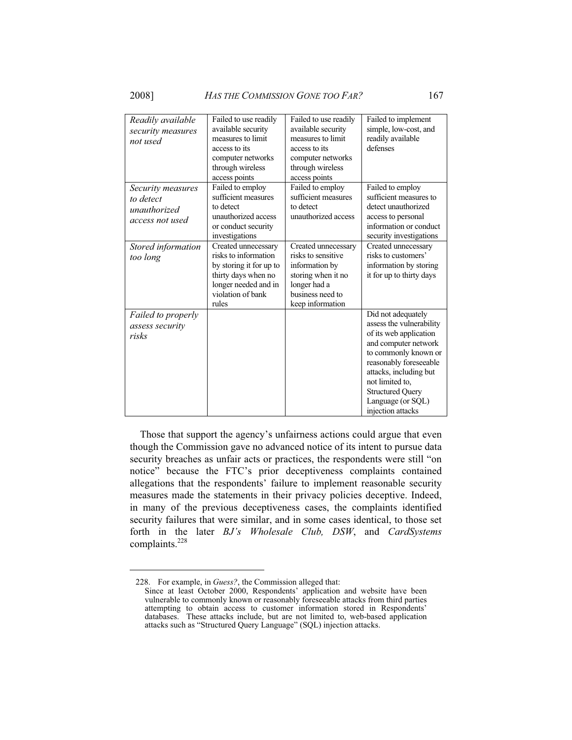$\overline{a}$ 

| Readily available  | Failed to use readily   | Failed to use readily | Failed to implement      |
|--------------------|-------------------------|-----------------------|--------------------------|
| security measures  | available security      | available security    | simple, low-cost, and    |
| not used           | measures to limit       | measures to limit     | readily available        |
|                    | access to its           | access to its         | defenses                 |
|                    | computer networks       | computer networks     |                          |
|                    | through wireless        | through wireless      |                          |
|                    | access points           | access points         |                          |
| Security measures  | Failed to employ        | Failed to employ      | Failed to employ         |
| to detect          | sufficient measures     | sufficient measures   | sufficient measures to   |
| unauthorized       | to detect               | to detect             | detect unauthorized      |
|                    | unauthorized access     | unauthorized access   | access to personal       |
| access not used    | or conduct security     |                       | information or conduct   |
|                    | investigations          |                       | security investigations  |
| Stored information | Created unnecessary     | Created unnecessary   | Created unnecessary      |
|                    | risks to information    | risks to sensitive    | risks to customers'      |
| too long           | by storing it for up to | information by        | information by storing   |
|                    | thirty days when no     | storing when it no    | it for up to thirty days |
|                    | longer needed and in    | longer had a          |                          |
|                    | violation of bank       | business need to      |                          |
|                    |                         |                       |                          |
|                    | rules                   | keep information      |                          |
| Failed to properly |                         |                       | Did not adequately       |
| assess security    |                         |                       | assess the vulnerability |
| risks              |                         |                       | of its web application   |
|                    |                         |                       | and computer network     |
|                    |                         |                       | to commonly known or     |
|                    |                         |                       | reasonably foreseeable   |
|                    |                         |                       | attacks, including but   |
|                    |                         |                       | not limited to,          |
|                    |                         |                       | <b>Structured Query</b>  |
|                    |                         |                       | Language (or SQL)        |
|                    |                         |                       | injection attacks        |

Those that support the agency's unfairness actions could argue that even though the Commission gave no advanced notice of its intent to pursue data security breaches as unfair acts or practices, the respondents were still "on notice" because the FTC's prior deceptiveness complaints contained allegations that the respondents' failure to implement reasonable security measures made the statements in their privacy policies deceptive. Indeed, in many of the previous deceptiveness cases, the complaints identified security failures that were similar, and in some cases identical, to those set forth in the later *BJ's Wholesale Club, DSW*, and *CardSystems* complaints.<sup>228</sup>

 <sup>228.</sup> For example, in *Guess?*, the Commission alleged that:

Since at least October 2000, Respondents' application and website have been vulnerable to commonly known or reasonably foreseeable attacks from third parties attempting to obtain access to customer information stored in Respondents' databases. These attacks include, but are not limited to, web-based application attacks such as "Structured Query Language" (SQL) injection attacks.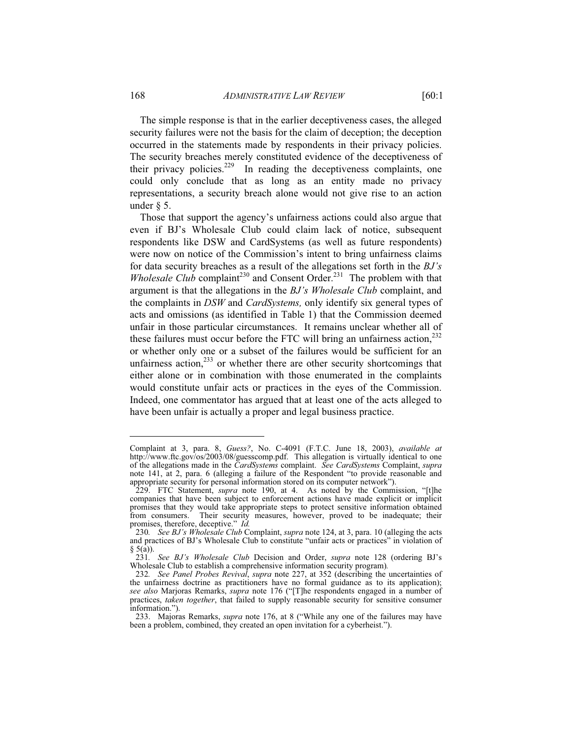The simple response is that in the earlier deceptiveness cases, the alleged security failures were not the basis for the claim of deception; the deception occurred in the statements made by respondents in their privacy policies. The security breaches merely constituted evidence of the deceptiveness of their privacy policies.<sup>229</sup> In reading the deceptiveness complaints, one could only conclude that as long as an entity made no privacy representations, a security breach alone would not give rise to an action under § 5.

Those that support the agency's unfairness actions could also argue that even if BJ's Wholesale Club could claim lack of notice, subsequent respondents like DSW and CardSystems (as well as future respondents) were now on notice of the Commission's intent to bring unfairness claims for data security breaches as a result of the allegations set forth in the *BJ's Wholesale Club* complaint<sup>230</sup> and Consent Order.<sup>231</sup> The problem with that argument is that the allegations in the *BJ's Wholesale Club* complaint, and the complaints in *DSW* and *CardSystems,* only identify six general types of acts and omissions (as identified in Table 1) that the Commission deemed unfair in those particular circumstances. It remains unclear whether all of these failures must occur before the FTC will bring an unfairness action, $^{232}$ or whether only one or a subset of the failures would be sufficient for an unfairness action, $233$  or whether there are other security shortcomings that either alone or in combination with those enumerated in the complaints would constitute unfair acts or practices in the eyes of the Commission. Indeed, one commentator has argued that at least one of the acts alleged to have been unfair is actually a proper and legal business practice.

Complaint at 3, para. 8, *Guess?*, No. C-4091 (F.T.C. June 18, 2003), *available at* http://www.ftc.gov/os/2003/08/guesscomp.pdf. This allegation is virtually identical to one of the allegations made in the *CardSystems* complaint. *See CardSystems* Complaint, *supra* note 141, at 2, para. 6 (alleging a failure of the Respondent "to provide reasonable and appropriate security for personal information stored on its computer network").

 <sup>229.</sup> FTC Statement, *supra* note 190, at 4. As noted by the Commission, "[t]he companies that have been subject to enforcement actions have made explicit or implicit promises that they would take appropriate steps to protect sensitive information obtained from consumers. Their security measures, however, proved to be inadequate; their promises, therefore, deceptive." *Id.*

<sup>230</sup>*. See BJ's Wholesale Club* Complaint, *supra* note 124, at 3, para. 10 (alleging the acts and practices of BJ's Wholesale Club to constitute "unfair acts or practices" in violation of  $§ 5(a)$ ).

<sup>231</sup>*. See BJ's Wholesale Club* Decision and Order, *supra* note 128 (ordering BJ's Wholesale Club to establish a comprehensive information security program)*.*

<sup>232</sup>*. See Panel Probes Revival*, *supra* note 227, at 352 (describing the uncertainties of the unfairness doctrine as practitioners have no formal guidance as to its application); *see also* Marjoras Remarks, *supra* note 176 ("[T]he respondents engaged in a number of practices, *taken together*, that failed to supply reasonable security for sensitive consumer information.").

 <sup>233.</sup> Majoras Remarks, *supra* note 176, at 8 ("While any one of the failures may have been a problem, combined, they created an open invitation for a cyberheist.").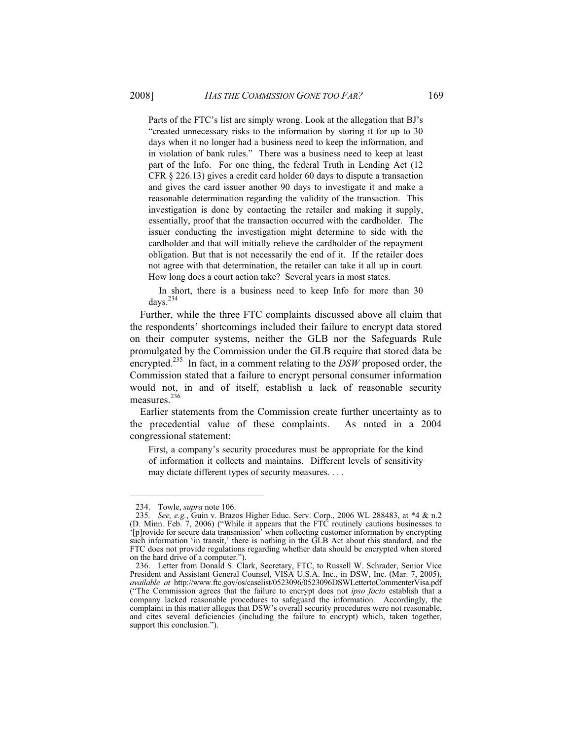Parts of the FTC's list are simply wrong. Look at the allegation that BJ's "created unnecessary risks to the information by storing it for up to 30 days when it no longer had a business need to keep the information, and in violation of bank rules." There was a business need to keep at least part of the Info. For one thing, the federal Truth in Lending Act (12 CFR § 226.13) gives a credit card holder 60 days to dispute a transaction and gives the card issuer another 90 days to investigate it and make a reasonable determination regarding the validity of the transaction. This investigation is done by contacting the retailer and making it supply, essentially, proof that the transaction occurred with the cardholder. The issuer conducting the investigation might determine to side with the cardholder and that will initially relieve the cardholder of the repayment obligation. But that is not necessarily the end of it. If the retailer does not agree with that determination, the retailer can take it all up in court. How long does a court action take? Several years in most states.

 In short, there is a business need to keep Info for more than 30 days.<sup>234</sup>

Further, while the three FTC complaints discussed above all claim that the respondents' shortcomings included their failure to encrypt data stored on their computer systems, neither the GLB nor the Safeguards Rule promulgated by the Commission under the GLB require that stored data be encrypted.<sup>235</sup> In fact, in a comment relating to the *DSW* proposed order, the Commission stated that a failure to encrypt personal consumer information would not, in and of itself, establish a lack of reasonable security measures.<sup>236</sup>

Earlier statements from the Commission create further uncertainty as to the precedential value of these complaints. As noted in a 2004 congressional statement:

First, a company's security procedures must be appropriate for the kind of information it collects and maintains. Different levels of sensitivity may dictate different types of security measures. . . .

 <sup>234.</sup> Towle, *supra* note 106.

<sup>235</sup>*. See, e.g.*, Guin v. Brazos Higher Educ. Serv. Corp., 2006 WL 288483, at \*4 & n.2 (D. Minn. Feb. 7, 2006) ("While it appears that the FTC routinely cautions businesses to '[p]rovide for secure data transmission' when collecting customer information by encrypting such information 'in transit,' there is nothing in the GLB Act about this standard, and the FTC does not provide regulations regarding whether data should be encrypted when stored on the hard drive of a computer.").

 <sup>236.</sup> Letter from Donald S. Clark, Secretary, FTC, to Russell W. Schrader, Senior Vice President and Assistant General Counsel, VISA U.S.A. Inc., in DSW, Inc. (Mar. 7, 2005), *available at* http://www.ftc.gov/os/caselist/0523096/0523096DSWLettertoCommenterVisa.pdf ("The Commission agrees that the failure to encrypt does not *ipso facto* establish that a company lacked reasonable procedures to safeguard the information. Accordingly, the complaint in this matter alleges that DSW's overall security procedures were not reasonable, and cites several deficiencies (including the failure to encrypt) which, taken together, support this conclusion.").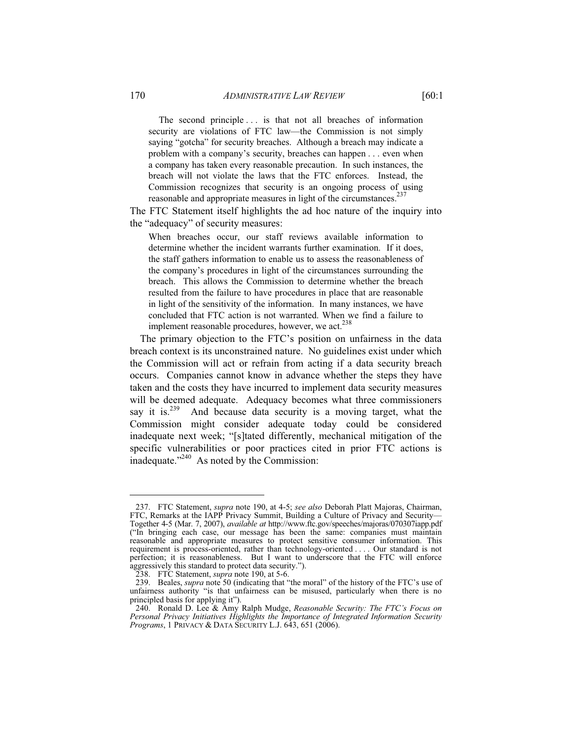The second principle . . . is that not all breaches of information security are violations of FTC law—the Commission is not simply saying "gotcha" for security breaches. Although a breach may indicate a problem with a company's security, breaches can happen . . . even when a company has taken every reasonable precaution. In such instances, the breach will not violate the laws that the FTC enforces. Instead, the Commission recognizes that security is an ongoing process of using reasonable and appropriate measures in light of the circumstances.<sup>237</sup>

The FTC Statement itself highlights the ad hoc nature of the inquiry into the "adequacy" of security measures:

When breaches occur, our staff reviews available information to determine whether the incident warrants further examination. If it does, the staff gathers information to enable us to assess the reasonableness of the company's procedures in light of the circumstances surrounding the breach. This allows the Commission to determine whether the breach resulted from the failure to have procedures in place that are reasonable in light of the sensitivity of the information. In many instances, we have concluded that FTC action is not warranted. When we find a failure to implement reasonable procedures, however, we act.<sup>238</sup>

The primary objection to the FTC's position on unfairness in the data breach context is its unconstrained nature. No guidelines exist under which the Commission will act or refrain from acting if a data security breach occurs. Companies cannot know in advance whether the steps they have taken and the costs they have incurred to implement data security measures will be deemed adequate. Adequacy becomes what three commissioners say it is.<sup>239</sup> And because data security is a moving target, what the And because data security is a moving target, what the Commission might consider adequate today could be considered inadequate next week; "[s]tated differently, mechanical mitigation of the specific vulnerabilities or poor practices cited in prior FTC actions is inadequate."240 As noted by the Commission:

 <sup>237.</sup> FTC Statement, *supra* note 190, at 4-5; *see also* Deborah Platt Majoras, Chairman, FTC, Remarks at the IAPP Privacy Summit, Building a Culture of Privacy and Security— Together 4-5 (Mar. 7, 2007), *available at* http://www.ftc.gov/speeches/majoras/070307iapp.pdf ("In bringing each case, our message has been the same: companies must maintain reasonable and appropriate measures to protect sensitive consumer information. This requirement is process-oriented, rather than technology-oriented . . . . Our standard is not perfection; it is reasonableness. But I want to underscore that the FTC will enforce aggressively this standard to protect data security.").

 <sup>238.</sup> FTC Statement, *supra* note 190, at 5-6.

 <sup>239.</sup> Beales, *supra* note 50 (indicating that "the moral" of the history of the FTC's use of unfairness authority "is that unfairness can be misused, particularly when there is no principled basis for applying it").

 <sup>240.</sup> Ronald D. Lee & Amy Ralph Mudge, *Reasonable Security: The FTC's Focus on Personal Privacy Initiatives Highlights the Importance of Integrated Information Security Programs*, 1 PRIVACY & DATA SECURITY L.J. 643, 651 (2006).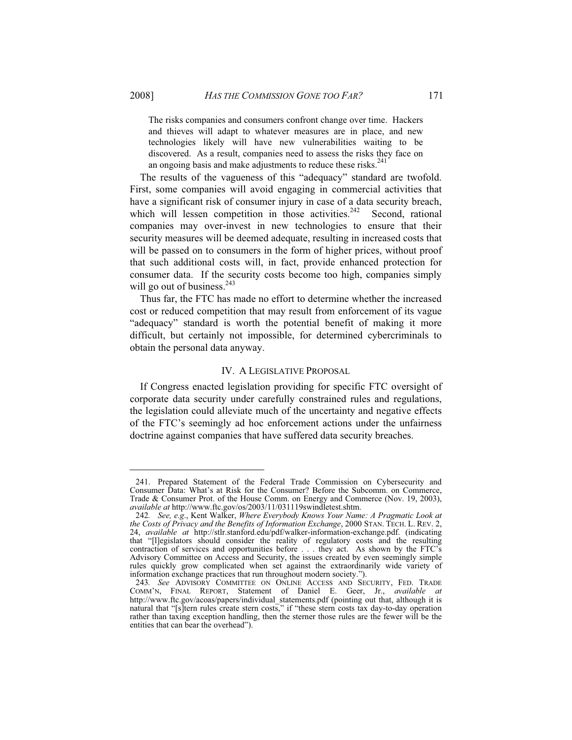The risks companies and consumers confront change over time. Hackers and thieves will adapt to whatever measures are in place, and new technologies likely will have new vulnerabilities waiting to be discovered. As a result, companies need to assess the risks they face on an ongoing basis and make adjustments to reduce these risks. $241$ 

The results of the vagueness of this "adequacy" standard are twofold. First, some companies will avoid engaging in commercial activities that have a significant risk of consumer injury in case of a data security breach, which will lessen competition in those activities.<sup>242</sup> Second, rational companies may over-invest in new technologies to ensure that their security measures will be deemed adequate, resulting in increased costs that will be passed on to consumers in the form of higher prices, without proof that such additional costs will, in fact, provide enhanced protection for consumer data. If the security costs become too high, companies simply will go out of business. $243$ 

Thus far, the FTC has made no effort to determine whether the increased cost or reduced competition that may result from enforcement of its vague "adequacy" standard is worth the potential benefit of making it more difficult, but certainly not impossible, for determined cybercriminals to obtain the personal data anyway.

#### IV. A LEGISLATIVE PROPOSAL

If Congress enacted legislation providing for specific FTC oversight of corporate data security under carefully constrained rules and regulations, the legislation could alleviate much of the uncertainty and negative effects of the FTC's seemingly ad hoc enforcement actions under the unfairness doctrine against companies that have suffered data security breaches.

 <sup>241.</sup> Prepared Statement of the Federal Trade Commission on Cybersecurity and Consumer Data: What's at Risk for the Consumer? Before the Subcomm. on Commerce, Trade & Consumer Prot. of the House Comm. on Energy and Commerce (Nov. 19, 2003), *available at* http://www.ftc.gov/os/2003/11/031119swindletest.shtm.

<sup>242</sup>*. See, e.g*., Kent Walker, *Where Everybody Knows Your Name: A Pragmatic Look at the Costs of Privacy and the Benefits of Information Exchange*, 2000 STAN. TECH. L. REV. 2, 24, *available at* http://stlr.stanford.edu/pdf/walker-information-exchange.pdf. (indicating that "[l]egislators should consider the reality of regulatory costs and the resulting contraction of services and opportunities before . . . they act. As shown by the FTC's Advisory Committee on Access and Security, the issues created by even seemingly simple rules quickly grow complicated when set against the extraordinarily wide variety of information exchange practices that run throughout modern society.").

<sup>243</sup>*. See* ADVISORY COMMITTEE ON ONLINE ACCESS AND SECURITY, FED. TRADE COMM'N, FINAL REPORT, Statement of Daniel E. Geer, Jr., *available at* http://www.ftc.gov/acoas/papers/individual\_statements.pdf (pointing out that, although it is natural that "[s]tern rules create stern costs," if "these stern costs tax day-to-day operation rather than taxing exception handling, then the sterner those rules are the fewer will be the entities that can bear the overhead").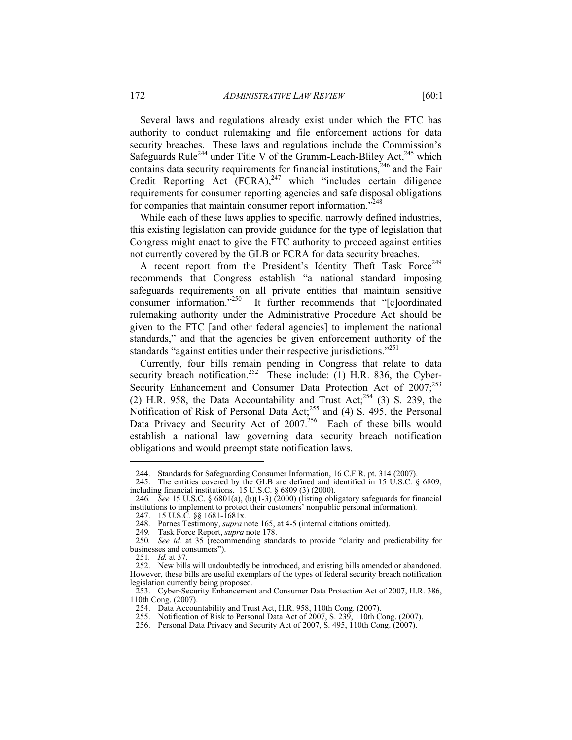Several laws and regulations already exist under which the FTC has authority to conduct rulemaking and file enforcement actions for data security breaches. These laws and regulations include the Commission's Safeguards Rule<sup>244</sup> under Title V of the Gramm-Leach-Bliley Act, $^{245}$  which contains data security requirements for financial institutions,<sup>246</sup> and the Fair Credit Reporting Act  $(FCRA)$ , <sup>247</sup> which "includes certain diligence" requirements for consumer reporting agencies and safe disposal obligations for companies that maintain consumer report information."<sup>248</sup>

While each of these laws applies to specific, narrowly defined industries, this existing legislation can provide guidance for the type of legislation that Congress might enact to give the FTC authority to proceed against entities not currently covered by the GLB or FCRA for data security breaches.

A recent report from the President's Identity Theft Task Force<sup>249</sup> recommends that Congress establish "a national standard imposing safeguards requirements on all private entities that maintain sensitive consumer information."250 It further recommends that "[c]oordinated rulemaking authority under the Administrative Procedure Act should be given to the FTC [and other federal agencies] to implement the national standards," and that the agencies be given enforcement authority of the standards "against entities under their respective jurisdictions."<sup>251</sup>

Currently, four bills remain pending in Congress that relate to data security breach notification.<sup>252</sup> These include: (1) H.R. 836, the Cyber-Security Enhancement and Consumer Data Protection Act of  $2007$ ;<sup>253</sup> (2) H.R. 958, the Data Accountability and Trust Act;<sup>254</sup> (3) S. 239, the Notification of Risk of Personal Data Act;<sup>255</sup> and (4) S. 495, the Personal Data Privacy and Security Act of 2007.<sup>256</sup> Each of these bills would establish a national law governing data security breach notification obligations and would preempt state notification laws.

 <sup>244.</sup> Standards for Safeguarding Consumer Information, 16 C.F.R. pt. 314 (2007).

 <sup>245.</sup> The entities covered by the GLB are defined and identified in 15 U.S.C. § 6809, including financial institutions. 15 U.S.C. § 6809 (3) (2000).

<sup>246</sup>*. See* 15 U.S.C. § 6801(a), (b)(1-3) (2000) (listing obligatory safeguards for financial institutions to implement to protect their customers' nonpublic personal information)*.*

 <sup>247. 15</sup> U.S.C. §§ 1681-1681x*.*

<sup>248.</sup> Parnes Testimony, *supra* note 165, at 4-5 (internal citations omitted).<br>249. Task Force Report, *supra* note 178.

<sup>249</sup>*.* Task Force Report, *supra* note 178.

<sup>250</sup>*. See id.* at 35 (recommending standards to provide "clarity and predictability for businesses and consumers").

<sup>251</sup>*. Id.* at 37.

 <sup>252.</sup> New bills will undoubtedly be introduced, and existing bills amended or abandoned. However, these bills are useful exemplars of the types of federal security breach notification legislation currently being proposed.

 <sup>253.</sup> Cyber-Security Enhancement and Consumer Data Protection Act of 2007, H.R. 386, 110th Cong. (2007).

 <sup>254.</sup> Data Accountability and Trust Act, H.R. 958, 110th Cong. (2007).

 <sup>255.</sup> Notification of Risk to Personal Data Act of 2007, S. 239, 110th Cong. (2007).

 <sup>256.</sup> Personal Data Privacy and Security Act of 2007, S. 495, 110th Cong. (2007).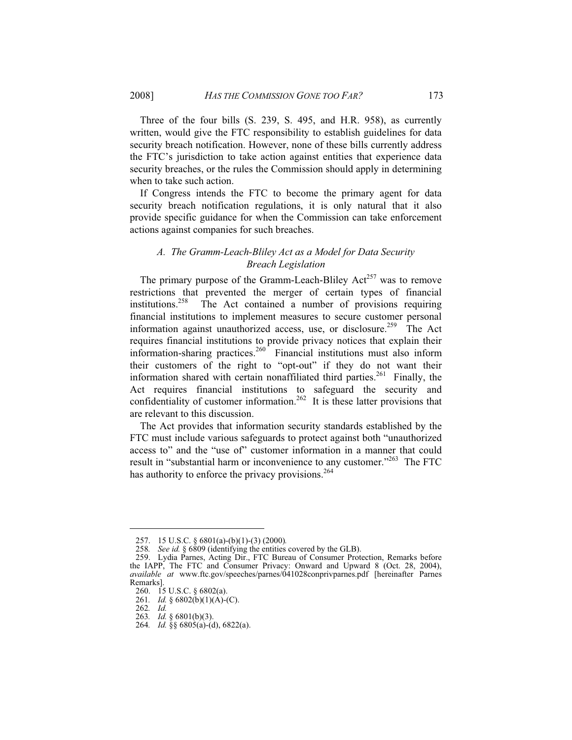Three of the four bills (S. 239, S. 495, and H.R. 958), as currently written, would give the FTC responsibility to establish guidelines for data security breach notification. However, none of these bills currently address the FTC's jurisdiction to take action against entities that experience data security breaches, or the rules the Commission should apply in determining when to take such action.

If Congress intends the FTC to become the primary agent for data security breach notification regulations, it is only natural that it also provide specific guidance for when the Commission can take enforcement actions against companies for such breaches.

# *A. The Gramm-Leach-Bliley Act as a Model for Data Security Breach Legislation*

The primary purpose of the Gramm-Leach-Bliley  $Act^{257}$  was to remove restrictions that prevented the merger of certain types of financial institutions.<sup>258</sup> The Act contained a number of provisions requiring financial institutions to implement measures to secure customer personal information against unauthorized access, use, or disclosure.<sup>259</sup> The Act requires financial institutions to provide privacy notices that explain their information-sharing practices.260 Financial institutions must also inform their customers of the right to "opt-out" if they do not want their information shared with certain nonaffiliated third parties.<sup>261</sup> Finally, the Act requires financial institutions to safeguard the security and confidentiality of customer information.<sup>262</sup> It is these latter provisions that are relevant to this discussion.

The Act provides that information security standards established by the FTC must include various safeguards to protect against both "unauthorized access to" and the "use of" customer information in a manner that could result in "substantial harm or inconvenience to any customer."<sup>263</sup> The FTC has authority to enforce the privacy provisions.<sup>264</sup>

 <sup>257. 15</sup> U.S.C. § 6801(a)-(b)(1)-(3) (2000)*.*

<sup>258</sup>*. See id.* § 6809 (identifying the entities covered by the GLB).

 <sup>259.</sup> Lydia Parnes, Acting Dir., FTC Bureau of Consumer Protection, Remarks before the IAPP, The FTC and Consumer Privacy: Onward and Upward 8 (Oct. 28, 2004), *available at* www.ftc.gov/speeches/parnes/041028conprivparnes.pdf [hereinafter Parnes Remarks].

 <sup>260. 15</sup> U.S.C. § 6802(a).

<sup>261</sup>*. Id.* § 6802(b)(1)(A)-(C).

<sup>262</sup>*. Id.*

<sup>263</sup>*. Id.* § 6801(b)(3).

<sup>264</sup>*. Id.* §§ 6805(a)-(d), 6822(a).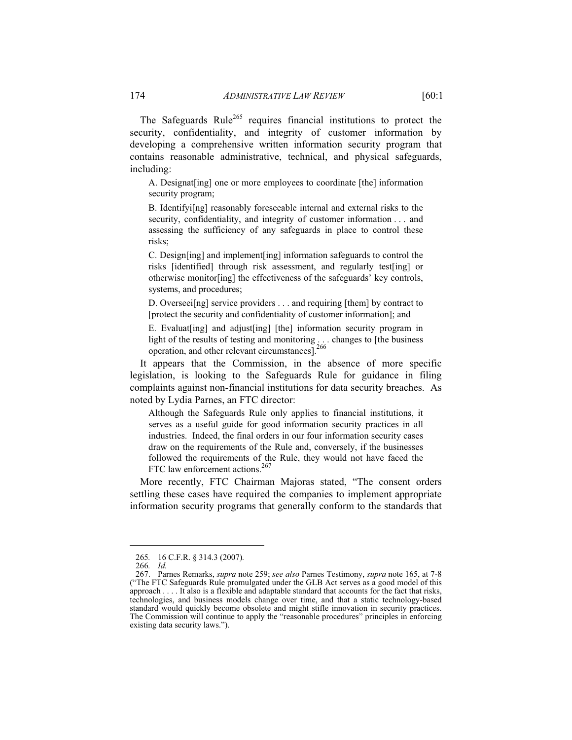The Safeguards Rule<sup>265</sup> requires financial institutions to protect the security, confidentiality, and integrity of customer information by developing a comprehensive written information security program that contains reasonable administrative, technical, and physical safeguards, including:

A. Designat[ing] one or more employees to coordinate [the] information security program;

B. Identifyi[ng] reasonably foreseeable internal and external risks to the security, confidentiality, and integrity of customer information . . . and assessing the sufficiency of any safeguards in place to control these risks;

C. Design[ing] and implement[ing] information safeguards to control the risks [identified] through risk assessment, and regularly test[ing] or otherwise monitor[ing] the effectiveness of the safeguards' key controls, systems, and procedures;

D. Overseei[ng] service providers . . . and requiring [them] by contract to [protect the security and confidentiality of customer information]; and

E. Evaluat[ing] and adjust[ing] [the] information security program in light of the results of testing and monitoring . . . changes to [the business operation, and other relevant circumstances].<sup>266</sup>

It appears that the Commission, in the absence of more specific legislation, is looking to the Safeguards Rule for guidance in filing complaints against non-financial institutions for data security breaches. As noted by Lydia Parnes, an FTC director:

Although the Safeguards Rule only applies to financial institutions, it serves as a useful guide for good information security practices in all industries. Indeed, the final orders in our four information security cases draw on the requirements of the Rule and, conversely, if the businesses followed the requirements of the Rule, they would not have faced the FTC law enforcement actions.<sup>267</sup>

More recently, FTC Chairman Majoras stated, "The consent orders settling these cases have required the companies to implement appropriate information security programs that generally conform to the standards that

<sup>265</sup>*.* 16 C.F.R. § 314.3 (2007)*.*

<sup>266</sup>*. Id.*

 <sup>267.</sup> Parnes Remarks, *supra* note 259; *see also* Parnes Testimony, *supra* note 165, at 7-8 ("The FTC Safeguards Rule promulgated under the GLB Act serves as a good model of this approach . . . . It also is a flexible and adaptable standard that accounts for the fact that risks, technologies, and business models change over time, and that a static technology-based standard would quickly become obsolete and might stifle innovation in security practices. The Commission will continue to apply the "reasonable procedures" principles in enforcing existing data security laws.").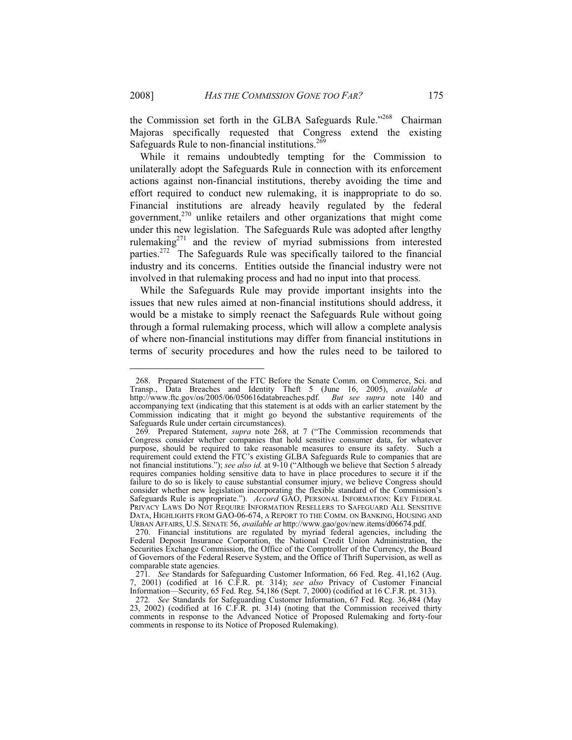the Commission set forth in the GLBA Safeguards Rule."<sup>268</sup> Chairman Majoras specifically requested that Congress extend the existing Safeguards Rule to non-financial institutions. $269$ 

While it remains undoubtedly tempting for the Commission to unilaterally adopt the Safeguards Rule in connection with its enforcement actions against non-financial institutions, thereby avoiding the time and effort required to conduct new rulemaking, it is inappropriate to do so. Financial institutions are already heavily regulated by the federal government, $270$  unlike retailers and other organizations that might come under this new legislation. The Safeguards Rule was adopted after lengthy rulemaking271 and the review of myriad submissions from interested parties.272 The Safeguards Rule was specifically tailored to the financial industry and its concerns. Entities outside the financial industry were not involved in that rulemaking process and had no input into that process.

While the Safeguards Rule may provide important insights into the issues that new rules aimed at non-financial institutions should address, it would be a mistake to simply reenact the Safeguards Rule without going through a formal rulemaking process, which will allow a complete analysis of where non-financial institutions may differ from financial institutions in terms of security procedures and how the rules need to be tailored to

 <sup>268.</sup> Prepared Statement of the FTC Before the Senate Comm. on Commerce, Sci. and Transp., Data Breaches and Identity Theft 5 (June 16, 2005), *available at* http://www.ftc.gov/os/2005/06/050616databreaches.pdf. *But see supra* note 140 and accompanying text (indicating that this statement is at odds with an earlier statement by the Commission indicating that it might go beyond the substantive requirements of the Safeguards Rule under certain circumstances).

<sup>269</sup>*.* Prepared Statement, *supra* note 268, at 7 ("The Commission recommends that Congress consider whether companies that hold sensitive consumer data, for whatever purpose, should be required to take reasonable measures to ensure its safety. Such a requirement could extend the FTC's existing GLBA Safeguards Rule to companies that are not financial institutions."); *see also id.* at 9-10 ("Although we believe that Section 5 already requires companies holding sensitive data to have in place procedures to secure it if the failure to do so is likely to cause substantial consumer injury, we believe Congress should consider whether new legislation incorporating the flexible standard of the Commission's Safeguards Rule is appropriate."). *Accord* GAO, PERSONAL INFORMATION: KEY FEDERAL PRIVACY LAWS DO NOT REQUIRE INFORMATION RESELLERS TO SAFEGUARD ALL SENSITIVE DATA, HIGHLIGHTS FROM GAO-06-674, A REPORT TO THE COMM. ON BANKING, HOUSING AND URBAN AFFAIRS, U.S. SENATE 56, *available at* http://www.gao/gov/new.items/d06674.pdf.

 <sup>270.</sup> Financial institutions are regulated by myriad federal agencies, including the Federal Deposit Insurance Corporation, the National Credit Union Administration, the Securities Exchange Commission, the Office of the Comptroller of the Currency, the Board of Governors of the Federal Reserve System, and the Office of Thrift Supervision, as well as comparable state agencies.

<sup>271</sup>*. See* Standards for Safeguarding Customer Information, 66 Fed. Reg. 41,162 (Aug. 7, 2001) (codified at 16 C.F.R. pt. 314); *see also* Privacy of Customer Financial Information—Security, 65 Fed. Reg. 54,186 (Sept. 7, 2000) (codified at 16 C.F.R. pt. 313).

<sup>272</sup>*. See* Standards for Safeguarding Customer Information, 67 Fed. Reg. 36,484 (May 23, 2002) (codified at 16 C.F.R. pt. 314) (noting that the Commission received thirty comments in response to the Advanced Notice of Proposed Rulemaking and forty-four comments in response to its Notice of Proposed Rulemaking).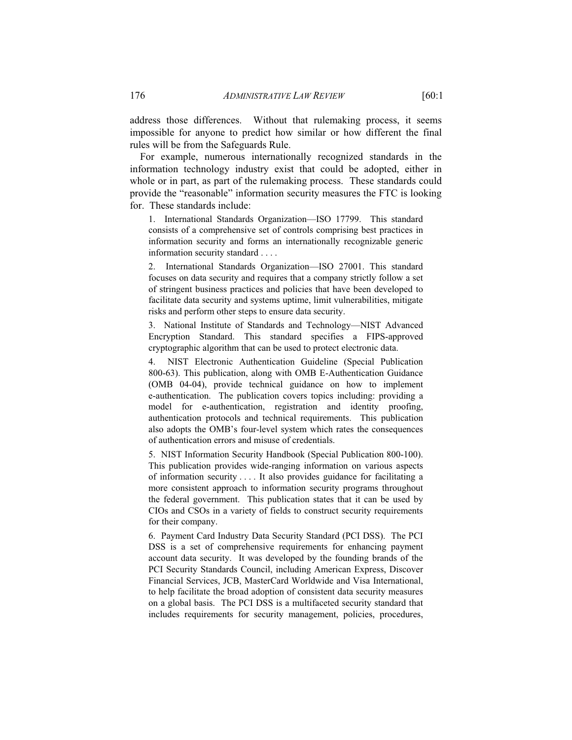address those differences. Without that rulemaking process, it seems impossible for anyone to predict how similar or how different the final rules will be from the Safeguards Rule.

For example, numerous internationally recognized standards in the information technology industry exist that could be adopted, either in whole or in part, as part of the rulemaking process. These standards could provide the "reasonable" information security measures the FTC is looking for. These standards include:

1. International Standards Organization—ISO 17799. This standard consists of a comprehensive set of controls comprising best practices in information security and forms an internationally recognizable generic information security standard . . . .

2. International Standards Organization—ISO 27001. This standard focuses on data security and requires that a company strictly follow a set of stringent business practices and policies that have been developed to facilitate data security and systems uptime, limit vulnerabilities, mitigate risks and perform other steps to ensure data security.

3. National Institute of Standards and Technology—NIST Advanced Encryption Standard. This standard specifies a FIPS-approved cryptographic algorithm that can be used to protect electronic data.

4. NIST Electronic Authentication Guideline (Special Publication 800-63). This publication, along with OMB E-Authentication Guidance (OMB 04-04), provide technical guidance on how to implement e-authentication. The publication covers topics including: providing a model for e-authentication, registration and identity proofing, authentication protocols and technical requirements. This publication also adopts the OMB's four-level system which rates the consequences of authentication errors and misuse of credentials.

5. NIST Information Security Handbook (Special Publication 800-100). This publication provides wide-ranging information on various aspects of information security . . . . It also provides guidance for facilitating a more consistent approach to information security programs throughout the federal government. This publication states that it can be used by CIOs and CSOs in a variety of fields to construct security requirements for their company.

6. Payment Card Industry Data Security Standard (PCI DSS). The PCI DSS is a set of comprehensive requirements for enhancing payment account data security. It was developed by the founding brands of the PCI Security Standards Council, including American Express, Discover Financial Services, JCB, MasterCard Worldwide and Visa International, to help facilitate the broad adoption of consistent data security measures on a global basis. The PCI DSS is a multifaceted security standard that includes requirements for security management, policies, procedures,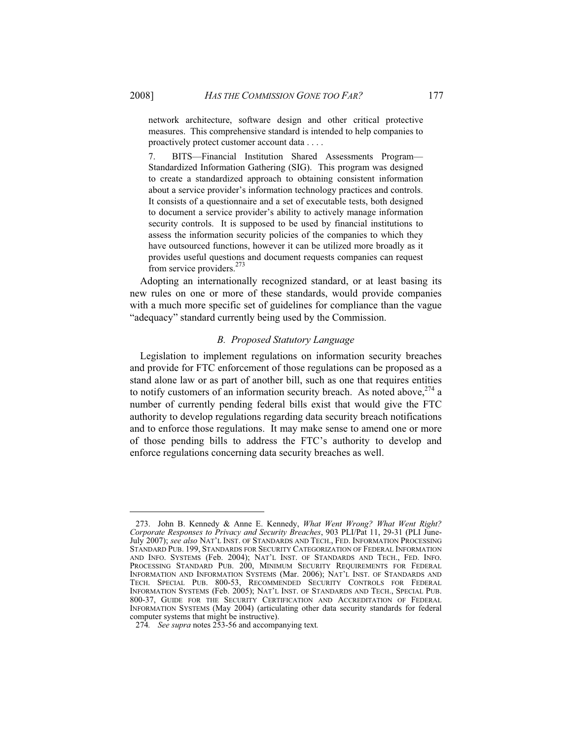network architecture, software design and other critical protective measures. This comprehensive standard is intended to help companies to proactively protect customer account data . . . .

7. BITS—Financial Institution Shared Assessments Program— Standardized Information Gathering (SIG). This program was designed to create a standardized approach to obtaining consistent information about a service provider's information technology practices and controls. It consists of a questionnaire and a set of executable tests, both designed to document a service provider's ability to actively manage information security controls. It is supposed to be used by financial institutions to assess the information security policies of the companies to which they have outsourced functions, however it can be utilized more broadly as it provides useful questions and document requests companies can request from service providers.<sup>273</sup>

Adopting an internationally recognized standard, or at least basing its new rules on one or more of these standards, would provide companies with a much more specific set of guidelines for compliance than the vague "adequacy" standard currently being used by the Commission.

#### *B. Proposed Statutory Language*

Legislation to implement regulations on information security breaches and provide for FTC enforcement of those regulations can be proposed as a stand alone law or as part of another bill, such as one that requires entities to notify customers of an information security breach. As noted above, $274$  a number of currently pending federal bills exist that would give the FTC authority to develop regulations regarding data security breach notifications and to enforce those regulations. It may make sense to amend one or more of those pending bills to address the FTC's authority to develop and enforce regulations concerning data security breaches as well.

 $\overline{a}$ 

 <sup>273.</sup> John B. Kennedy & Anne E. Kennedy, *What Went Wrong? What Went Right? Corporate Responses to Privacy and Security Breaches*, 903 PLI/Pat 11, 29-31 (PLI June-July 2007); *see also* NAT'L INST. OF STANDARDS AND TECH., FED. INFORMATION PROCESSING STANDARD PUB. 199, STANDARDS FOR SECURITY CATEGORIZATION OF FEDERAL INFORMATION AND INFO. SYSTEMS (Feb. 2004); NAT'L INST. OF STANDARDS AND TECH., FED. INFO. PROCESSING STANDARD PUB. 200, MINIMUM SECURITY REQUIREMENTS FOR FEDERAL INFORMATION AND INFORMATION SYSTEMS (Mar. 2006); NAT'L INST. OF STANDARDS AND TECH. SPECIAL PUB. 800-53, RECOMMENDED SECURITY CONTROLS FOR FEDERAL INFORMATION SYSTEMS (Feb. 2005); NAT'L INST. OF STANDARDS AND TECH., SPECIAL PUB. 800-37, GUIDE FOR THE SECURITY CERTIFICATION AND ACCREDITATION OF FEDERAL INFORMATION SYSTEMS (May 2004) (articulating other data security standards for federal computer systems that might be instructive).

<sup>274</sup>*. See supra* notes 253-56 and accompanying text*.*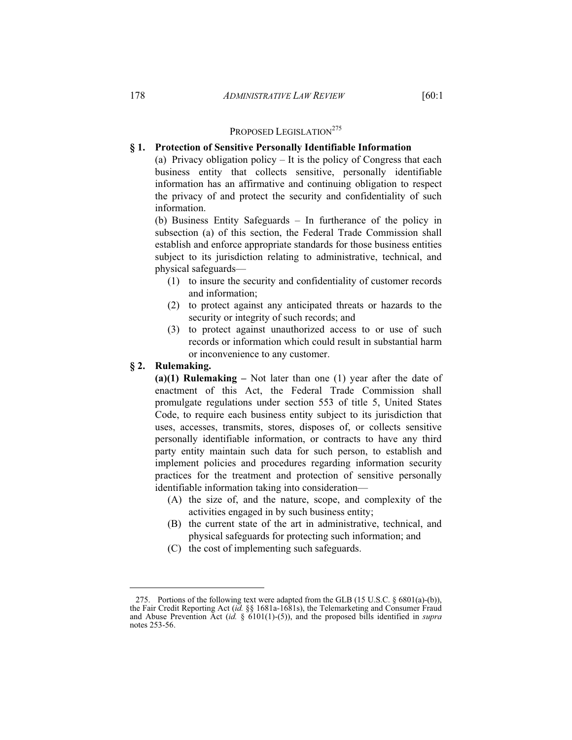# PROPOSED LEGISLATION<sup>275</sup>

#### **§ 1. Protection of Sensitive Personally Identifiable Information**

(a) Privacy obligation policy – It is the policy of Congress that each business entity that collects sensitive, personally identifiable information has an affirmative and continuing obligation to respect the privacy of and protect the security and confidentiality of such information.

(b) Business Entity Safeguards – In furtherance of the policy in subsection (a) of this section, the Federal Trade Commission shall establish and enforce appropriate standards for those business entities subject to its jurisdiction relating to administrative, technical, and physical safeguards—

- (1) to insure the security and confidentiality of customer records and information;
- (2) to protect against any anticipated threats or hazards to the security or integrity of such records; and
- (3) to protect against unauthorized access to or use of such records or information which could result in substantial harm or inconvenience to any customer.

#### **§ 2. Rulemaking.**

 $\overline{a}$ 

**(a)(1) Rulemaking –** Not later than one (1) year after the date of enactment of this Act, the Federal Trade Commission shall promulgate regulations under section 553 of title 5, United States Code, to require each business entity subject to its jurisdiction that uses, accesses, transmits, stores, disposes of, or collects sensitive personally identifiable information, or contracts to have any third party entity maintain such data for such person, to establish and implement policies and procedures regarding information security practices for the treatment and protection of sensitive personally identifiable information taking into consideration—

- (A) the size of, and the nature, scope, and complexity of the activities engaged in by such business entity;
- (B) the current state of the art in administrative, technical, and physical safeguards for protecting such information; and
- (C) the cost of implementing such safeguards.

 <sup>275.</sup> Portions of the following text were adapted from the GLB (15 U.S.C. § 6801(a)-(b)), the Fair Credit Reporting Act (*id.* §§ 1681a-1681s), the Telemarketing and Consumer Fraud and Abuse Prevention Act (*id.* § 6101(1)-(5)), and the proposed bills identified in *supra* notes 253-56.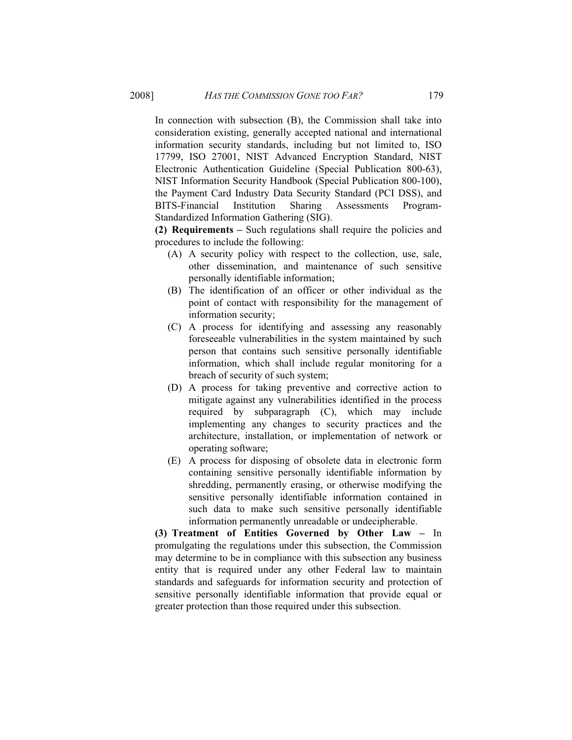In connection with subsection (B), the Commission shall take into consideration existing, generally accepted national and international information security standards, including but not limited to, ISO 17799, ISO 27001, NIST Advanced Encryption Standard, NIST Electronic Authentication Guideline (Special Publication 800-63), NIST Information Security Handbook (Special Publication 800-100), the Payment Card Industry Data Security Standard (PCI DSS), and BITS-Financial Institution Sharing Assessments Program-Standardized Information Gathering (SIG).

**(2) Requirements –** Such regulations shall require the policies and procedures to include the following:

- (A) A security policy with respect to the collection, use, sale, other dissemination, and maintenance of such sensitive personally identifiable information;
- (B) The identification of an officer or other individual as the point of contact with responsibility for the management of information security;
- (C) A process for identifying and assessing any reasonably foreseeable vulnerabilities in the system maintained by such person that contains such sensitive personally identifiable information, which shall include regular monitoring for a breach of security of such system;
- (D) A process for taking preventive and corrective action to mitigate against any vulnerabilities identified in the process required by subparagraph (C), which may include implementing any changes to security practices and the architecture, installation, or implementation of network or operating software;
- (E) A process for disposing of obsolete data in electronic form containing sensitive personally identifiable information by shredding, permanently erasing, or otherwise modifying the sensitive personally identifiable information contained in such data to make such sensitive personally identifiable information permanently unreadable or undecipherable.

**(3) Treatment of Entities Governed by Other Law –** In promulgating the regulations under this subsection, the Commission may determine to be in compliance with this subsection any business entity that is required under any other Federal law to maintain standards and safeguards for information security and protection of sensitive personally identifiable information that provide equal or greater protection than those required under this subsection.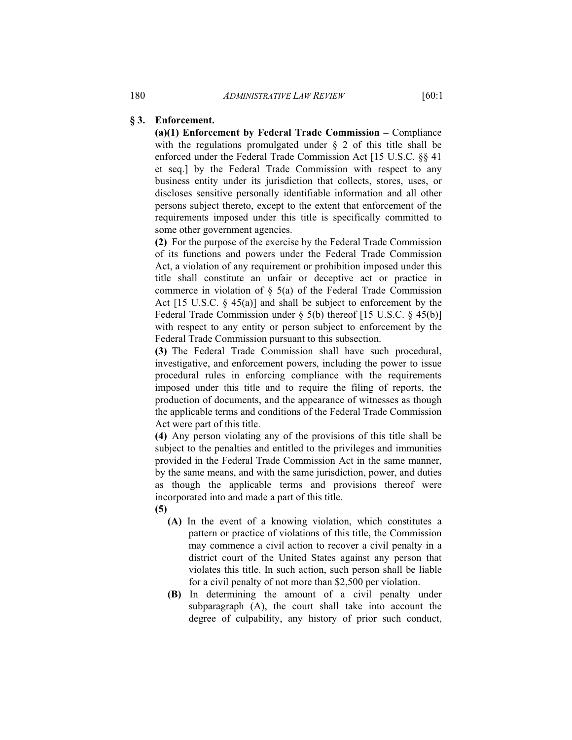#### **§ 3. Enforcement.**

**(a)(1) Enforcement by Federal Trade Commission –** Compliance with the regulations promulgated under § 2 of this title shall be enforced under the Federal Trade Commission Act [15 U.S.C. §§ 41 et seq.] by the Federal Trade Commission with respect to any business entity under its jurisdiction that collects, stores, uses, or discloses sensitive personally identifiable information and all other persons subject thereto, except to the extent that enforcement of the requirements imposed under this title is specifically committed to some other government agencies.

**(2)** For the purpose of the exercise by the Federal Trade Commission of its functions and powers under the Federal Trade Commission Act, a violation of any requirement or prohibition imposed under this title shall constitute an unfair or deceptive act or practice in commerce in violation of  $\S$  5(a) of the Federal Trade Commission Act [15 U.S.C. § 45(a)] and shall be subject to enforcement by the Federal Trade Commission under § 5(b) thereof [15 U.S.C. § 45(b)] with respect to any entity or person subject to enforcement by the Federal Trade Commission pursuant to this subsection.

**(3)** The Federal Trade Commission shall have such procedural, investigative, and enforcement powers, including the power to issue procedural rules in enforcing compliance with the requirements imposed under this title and to require the filing of reports, the production of documents, and the appearance of witnesses as though the applicable terms and conditions of the Federal Trade Commission Act were part of this title.

**(4)** Any person violating any of the provisions of this title shall be subject to the penalties and entitled to the privileges and immunities provided in the Federal Trade Commission Act in the same manner, by the same means, and with the same jurisdiction, power, and duties as though the applicable terms and provisions thereof were incorporated into and made a part of this title. **(5)**

- **(A)** In the event of a knowing violation, which constitutes a pattern or practice of violations of this title, the Commission may commence a civil action to recover a civil penalty in a district court of the United States against any person that violates this title. In such action, such person shall be liable for a civil penalty of not more than \$2,500 per violation.
- **(B)** In determining the amount of a civil penalty under subparagraph (A), the court shall take into account the degree of culpability, any history of prior such conduct,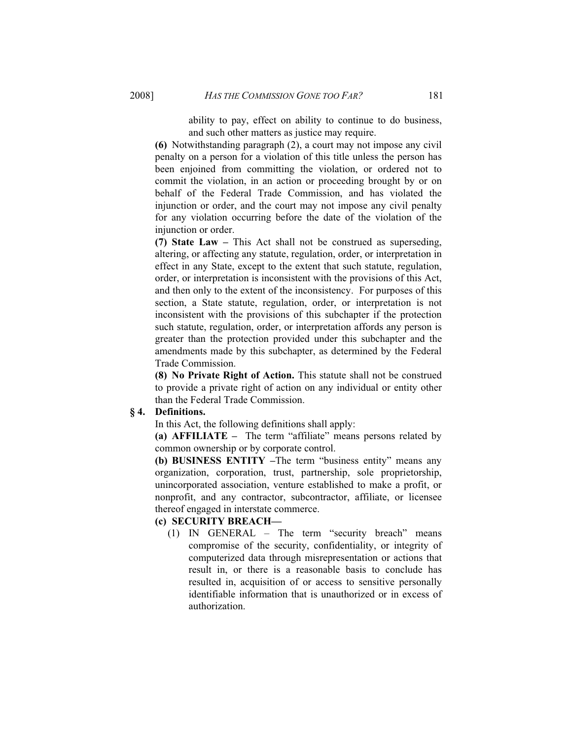ability to pay, effect on ability to continue to do business, and such other matters as justice may require.

**(6)** Notwithstanding paragraph (2), a court may not impose any civil penalty on a person for a violation of this title unless the person has been enjoined from committing the violation, or ordered not to commit the violation, in an action or proceeding brought by or on behalf of the Federal Trade Commission, and has violated the injunction or order, and the court may not impose any civil penalty for any violation occurring before the date of the violation of the injunction or order.

**(7) State Law –** This Act shall not be construed as superseding, altering, or affecting any statute, regulation, order, or interpretation in effect in any State, except to the extent that such statute, regulation, order, or interpretation is inconsistent with the provisions of this Act, and then only to the extent of the inconsistency. For purposes of this section, a State statute, regulation, order, or interpretation is not inconsistent with the provisions of this subchapter if the protection such statute, regulation, order, or interpretation affords any person is greater than the protection provided under this subchapter and the amendments made by this subchapter, as determined by the Federal Trade Commission.

**(8) No Private Right of Action.** This statute shall not be construed to provide a private right of action on any individual or entity other than the Federal Trade Commission.

## **§ 4. Definitions.**

In this Act, the following definitions shall apply:

**(a) AFFILIATE –** The term "affiliate" means persons related by common ownership or by corporate control.

**(b) BUSINESS ENTITY –**The term "business entity" means any organization, corporation, trust, partnership, sole proprietorship, unincorporated association, venture established to make a profit, or nonprofit, and any contractor, subcontractor, affiliate, or licensee thereof engaged in interstate commerce.

# **(c) SECURITY BREACH—**

(1) IN GENERAL – The term "security breach" means compromise of the security, confidentiality, or integrity of computerized data through misrepresentation or actions that result in, or there is a reasonable basis to conclude has resulted in, acquisition of or access to sensitive personally identifiable information that is unauthorized or in excess of authorization.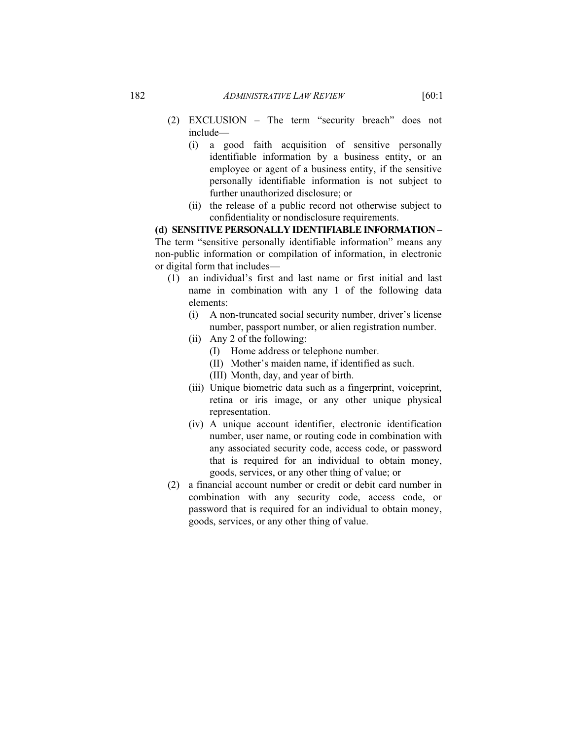- (2) EXCLUSION The term "security breach" does not include—
	- (i) a good faith acquisition of sensitive personally identifiable information by a business entity, or an employee or agent of a business entity, if the sensitive personally identifiable information is not subject to further unauthorized disclosure; or
	- (ii) the release of a public record not otherwise subject to confidentiality or nondisclosure requirements.

**(d) SENSITIVE PERSONALLY IDENTIFIABLE INFORMATION –**  The term "sensitive personally identifiable information" means any non-public information or compilation of information, in electronic or digital form that includes—

- (1) an individual's first and last name or first initial and last name in combination with any 1 of the following data elements:
	- (i) A non-truncated social security number, driver's license number, passport number, or alien registration number.
	- (ii) Any 2 of the following:
		- (I) Home address or telephone number.
		- (II) Mother's maiden name, if identified as such.
		- (III) Month, day, and year of birth.
	- (iii) Unique biometric data such as a fingerprint, voiceprint, retina or iris image, or any other unique physical representation.
	- (iv) A unique account identifier, electronic identification number, user name, or routing code in combination with any associated security code, access code, or password that is required for an individual to obtain money, goods, services, or any other thing of value; or
- (2) a financial account number or credit or debit card number in combination with any security code, access code, or password that is required for an individual to obtain money, goods, services, or any other thing of value.